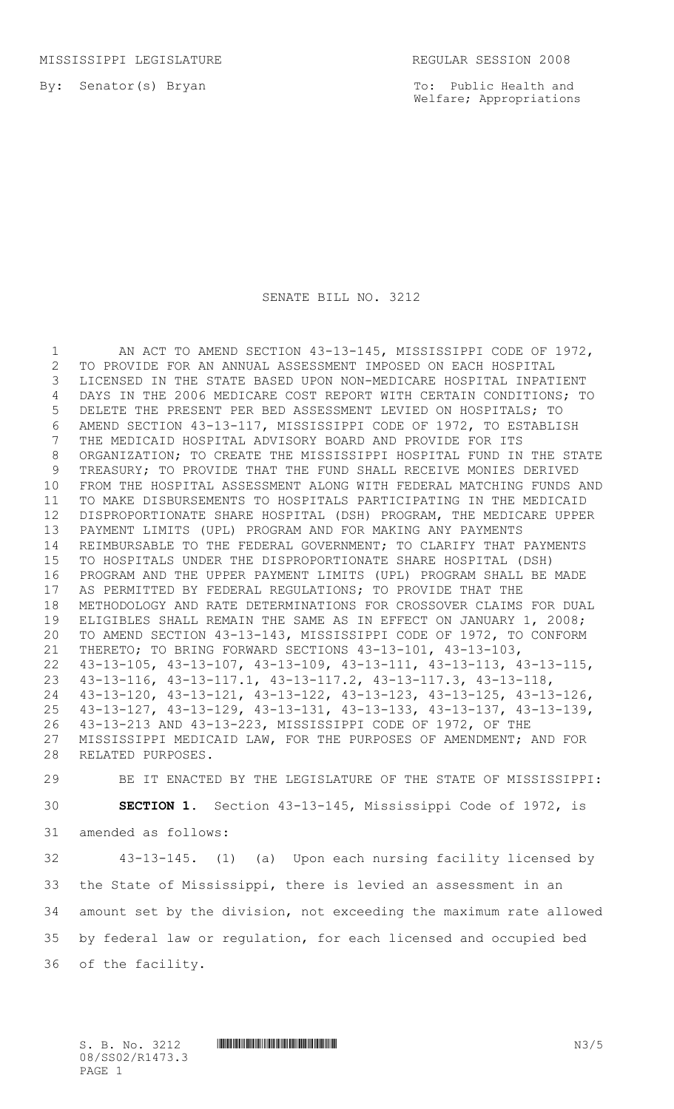By: Senator(s) Bryan

To: Public Health and Welfare; Appropriations

### SENATE BILL NO. 3212

1 AN ACT TO AMEND SECTION 43-13-145, MISSISSIPPI CODE OF 1972, TO PROVIDE FOR AN ANNUAL ASSESSMENT IMPOSED ON EACH HOSPITAL LICENSED IN THE STATE BASED UPON NON-MEDICARE HOSPITAL INPATIENT DAYS IN THE 2006 MEDICARE COST REPORT WITH CERTAIN CONDITIONS; TO DELETE THE PRESENT PER BED ASSESSMENT LEVIED ON HOSPITALS; TO AMEND SECTION 43-13-117, MISSISSIPPI CODE OF 1972, TO ESTABLISH THE MEDICAID HOSPITAL ADVISORY BOARD AND PROVIDE FOR ITS ORGANIZATION; TO CREATE THE MISSISSIPPI HOSPITAL FUND IN THE STATE TREASURY; TO PROVIDE THAT THE FUND SHALL RECEIVE MONIES DERIVED FROM THE HOSPITAL ASSESSMENT ALONG WITH FEDERAL MATCHING FUNDS AND TO MAKE DISBURSEMENTS TO HOSPITALS PARTICIPATING IN THE MEDICAID DISPROPORTIONATE SHARE HOSPITAL (DSH) PROGRAM, THE MEDICARE UPPER PAYMENT LIMITS (UPL) PROGRAM AND FOR MAKING ANY PAYMENTS REIMBURSABLE TO THE FEDERAL GOVERNMENT; TO CLARIFY THAT PAYMENTS TO HOSPITALS UNDER THE DISPROPORTIONATE SHARE HOSPITAL (DSH) PROGRAM AND THE UPPER PAYMENT LIMITS (UPL) PROGRAM SHALL BE MADE AS PERMITTED BY FEDERAL REGULATIONS; TO PROVIDE THAT THE METHODOLOGY AND RATE DETERMINATIONS FOR CROSSOVER CLAIMS FOR DUAL ELIGIBLES SHALL REMAIN THE SAME AS IN EFFECT ON JANUARY 1, 2008; TO AMEND SECTION 43-13-143, MISSISSIPPI CODE OF 1972, TO CONFORM THERETO; TO BRING FORWARD SECTIONS 43-13-101, 43-13-103, 43-13-105, 43-13-107, 43-13-109, 43-13-111, 43-13-113, 43-13-115, 43-13-116, 43-13-117.1, 43-13-117.2, 43-13-117.3, 43-13-118, 43-13-120, 43-13-121, 43-13-122, 43-13-123, 43-13-125, 43-13-126, 43-13-127, 43-13-129, 43-13-131, 43-13-133, 43-13-137, 43-13-139, 43-13-213 AND 43-13-223, MISSISSIPPI CODE OF 1972, OF THE MISSISSIPPI MEDICAID LAW, FOR THE PURPOSES OF AMENDMENT; AND FOR RELATED PURPOSES.

 BE IT ENACTED BY THE LEGISLATURE OF THE STATE OF MISSISSIPPI: **SECTION 1.** Section 43-13-145, Mississippi Code of 1972, is amended as follows:

 43-13-145. (1) (a) Upon each nursing facility licensed by the State of Mississippi, there is levied an assessment in an amount set by the division, not exceeding the maximum rate allowed by federal law or regulation, for each licensed and occupied bed of the facility.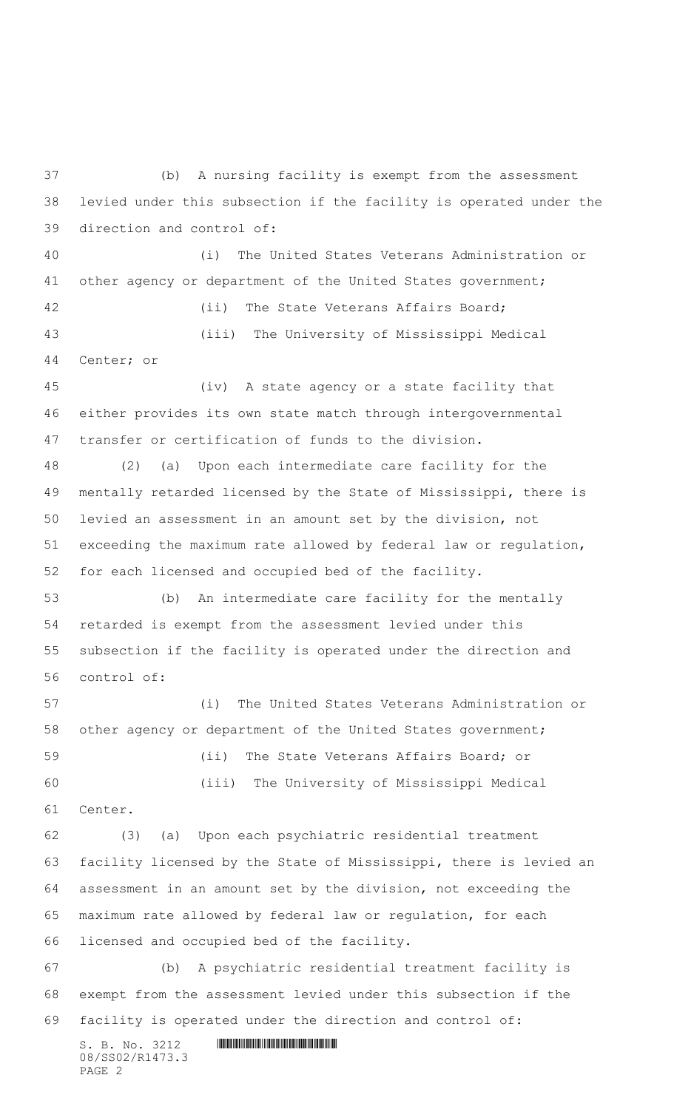$S. B. No. 3212$  **INNIFICALLY AND ALL AND ALL AND ADDRESS** 08/SS02/R1473.3 (b) A nursing facility is exempt from the assessment levied under this subsection if the facility is operated under the direction and control of: (i) The United States Veterans Administration or 41 other agency or department of the United States government; (ii) The State Veterans Affairs Board; (iii) The University of Mississippi Medical Center; or (iv) A state agency or a state facility that either provides its own state match through intergovernmental transfer or certification of funds to the division. (2) (a) Upon each intermediate care facility for the mentally retarded licensed by the State of Mississippi, there is levied an assessment in an amount set by the division, not exceeding the maximum rate allowed by federal law or regulation, for each licensed and occupied bed of the facility. (b) An intermediate care facility for the mentally retarded is exempt from the assessment levied under this subsection if the facility is operated under the direction and control of: (i) The United States Veterans Administration or other agency or department of the United States government; (ii) The State Veterans Affairs Board; or (iii) The University of Mississippi Medical Center. (3) (a) Upon each psychiatric residential treatment facility licensed by the State of Mississippi, there is levied an assessment in an amount set by the division, not exceeding the maximum rate allowed by federal law or regulation, for each licensed and occupied bed of the facility. (b) A psychiatric residential treatment facility is exempt from the assessment levied under this subsection if the facility is operated under the direction and control of: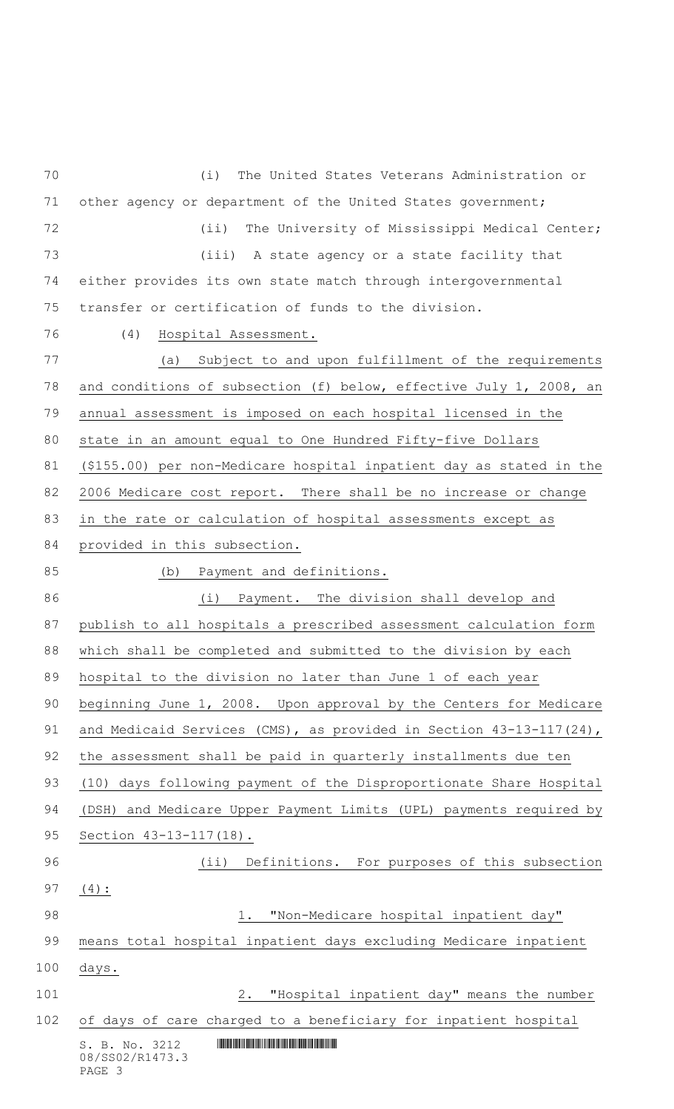$S. B. No. 3212$  **INNIFICALLY AND ALL AND ALL AND ADDRESS** 08/SS02/R1473.3 (i) The United States Veterans Administration or 71 other agency or department of the United States government; (ii) The University of Mississippi Medical Center; (iii) A state agency or a state facility that either provides its own state match through intergovernmental transfer or certification of funds to the division. (4) Hospital Assessment. (a) Subject to and upon fulfillment of the requirements and conditions of subsection (f) below, effective July 1, 2008, an annual assessment is imposed on each hospital licensed in the state in an amount equal to One Hundred Fifty-five Dollars (\$155.00) per non-Medicare hospital inpatient day as stated in the 2006 Medicare cost report. There shall be no increase or change in the rate or calculation of hospital assessments except as 84 provided in this subsection. (b) Payment and definitions. (i) Payment. The division shall develop and publish to all hospitals a prescribed assessment calculation form which shall be completed and submitted to the division by each hospital to the division no later than June 1 of each year beginning June 1, 2008. Upon approval by the Centers for Medicare 91 and Medicaid Services (CMS), as provided in Section 43-13-117(24), the assessment shall be paid in quarterly installments due ten (10) days following payment of the Disproportionate Share Hospital 94 (DSH) and Medicare Upper Payment Limits (UPL) payments required by Section 43-13-117(18). (ii) Definitions. For purposes of this subsection (4): 98 1. "Non-Medicare hospital inpatient day" means total hospital inpatient days excluding Medicare inpatient days. 2. "Hospital inpatient day" means the number of days of care charged to a beneficiary for inpatient hospital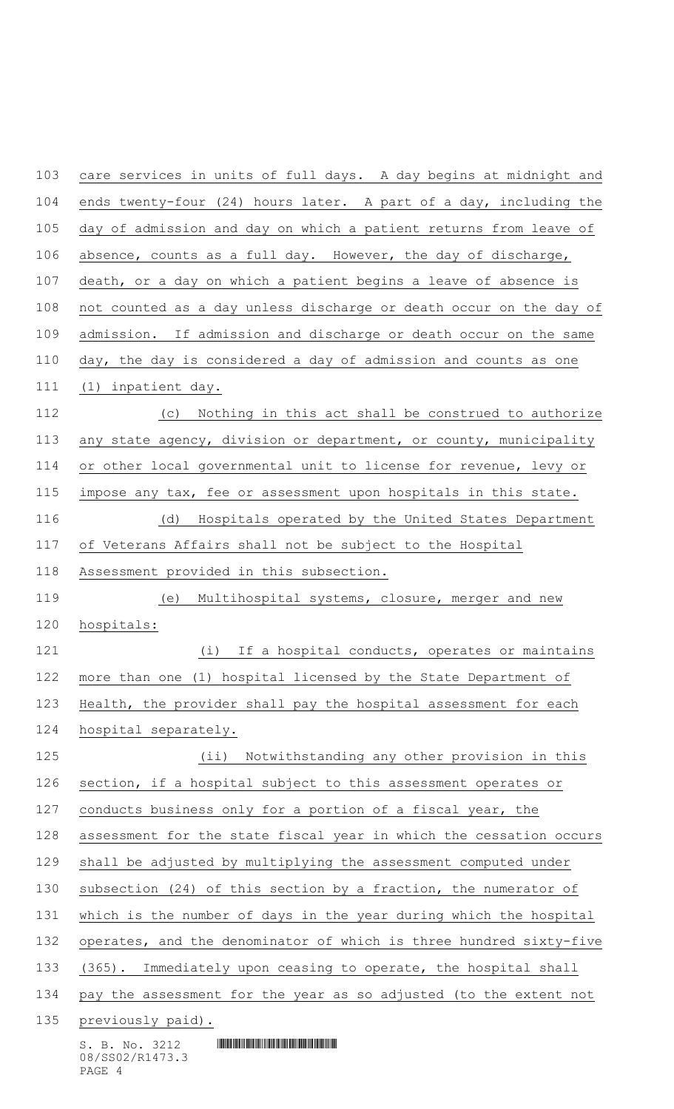$S. B. No. 3212$  **INNIFICALLY AND ALL AND ALL AND ADDRESS**  care services in units of full days. A day begins at midnight and ends twenty-four (24) hours later. A part of a day, including the day of admission and day on which a patient returns from leave of absence, counts as a full day. However, the day of discharge, death, or a day on which a patient begins a leave of absence is not counted as a day unless discharge or death occur on the day of admission. If admission and discharge or death occur on the same day, the day is considered a day of admission and counts as one (1) inpatient day. (c) Nothing in this act shall be construed to authorize any state agency, division or department, or county, municipality or other local governmental unit to license for revenue, levy or impose any tax, fee or assessment upon hospitals in this state. (d) Hospitals operated by the United States Department of Veterans Affairs shall not be subject to the Hospital Assessment provided in this subsection. (e) Multihospital systems, closure, merger and new hospitals: 121 (i) If a hospital conducts, operates or maintains more than one (1) hospital licensed by the State Department of Health, the provider shall pay the hospital assessment for each hospital separately. (ii) Notwithstanding any other provision in this section, if a hospital subject to this assessment operates or 127 conducts business only for a portion of a fiscal year, the assessment for the state fiscal year in which the cessation occurs shall be adjusted by multiplying the assessment computed under subsection (24) of this section by a fraction, the numerator of 131 which is the number of days in the year during which the hospital operates, and the denominator of which is three hundred sixty-five (365). Immediately upon ceasing to operate, the hospital shall pay the assessment for the year as so adjusted (to the extent not 135 previously paid).

08/SS02/R1473.3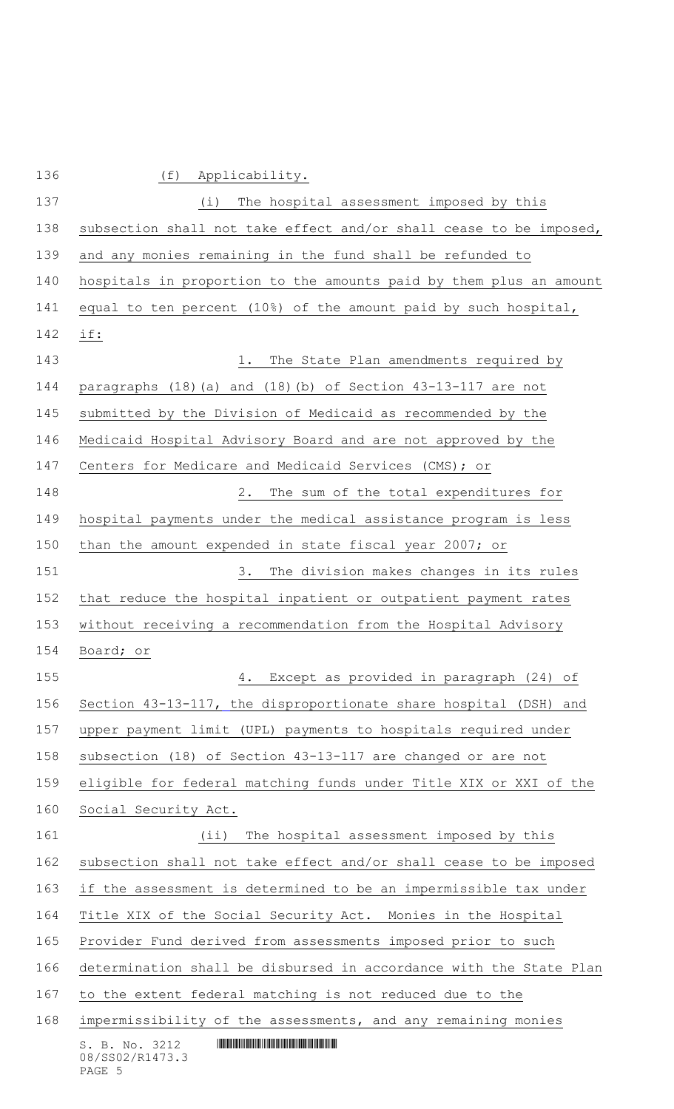$S. B. No. 3212$  **INNIFICALLY AND ALL AND ALL AND ADDRESS** 08/SS02/R1473.3 (f) Applicability. (i) The hospital assessment imposed by this subsection shall not take effect and/or shall cease to be imposed, and any monies remaining in the fund shall be refunded to hospitals in proportion to the amounts paid by them plus an amount equal to ten percent (10%) of the amount paid by such hospital, if: 143 18 1. The State Plan amendments required by paragraphs (18)(a) and (18)(b) of Section 43-13-117 are not submitted by the Division of Medicaid as recommended by the Medicaid Hospital Advisory Board and are not approved by the Centers for Medicare and Medicaid Services (CMS); or 2. The sum of the total expenditures for hospital payments under the medical assistance program is less than the amount expended in state fiscal year 2007; or 3. The division makes changes in its rules that reduce the hospital inpatient or outpatient payment rates without receiving a recommendation from the Hospital Advisory Board; or 4. Except as provided in paragraph (24) of Section 43-13-117, the disproportionate share hospital (DSH) and upper payment limit (UPL) payments to hospitals required under subsection (18) of Section 43-13-117 are changed or are not eligible for federal matching funds under Title XIX or XXI of the Social Security Act. (ii) The hospital assessment imposed by this subsection shall not take effect and/or shall cease to be imposed if the assessment is determined to be an impermissible tax under Title XIX of the Social Security Act. Monies in the Hospital Provider Fund derived from assessments imposed prior to such determination shall be disbursed in accordance with the State Plan to the extent federal matching is not reduced due to the impermissibility of the assessments, and any remaining monies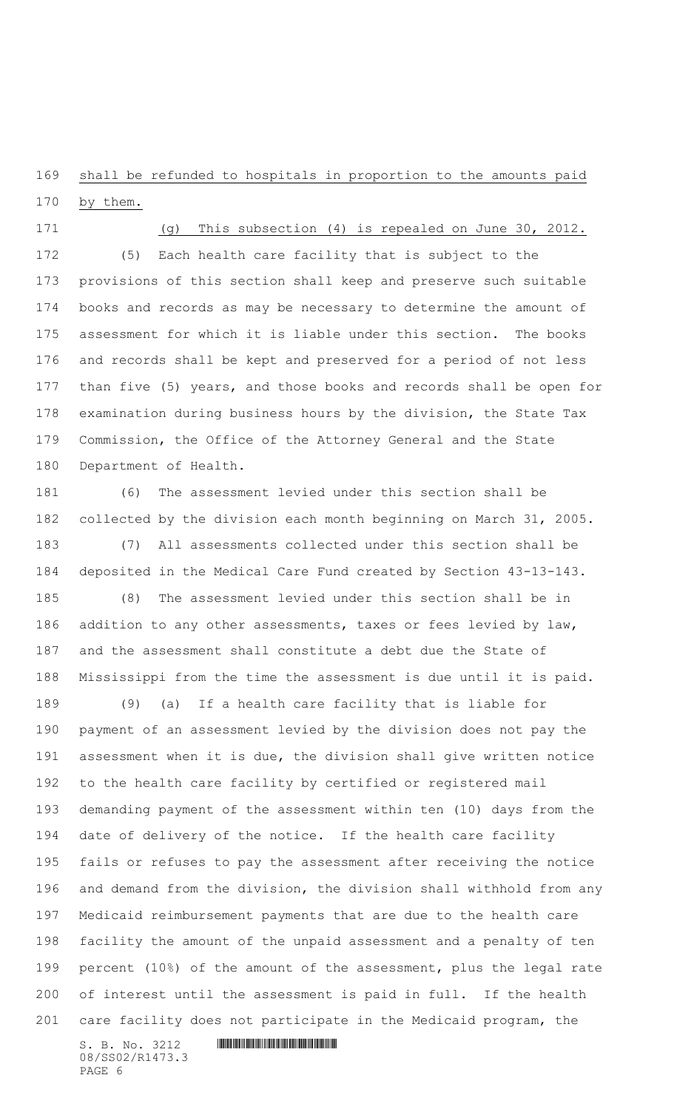shall be refunded to hospitals in proportion to the amounts paid

by them.

(g) This subsection (4) is repealed on June 30, 2012.

 (5) Each health care facility that is subject to the provisions of this section shall keep and preserve such suitable books and records as may be necessary to determine the amount of assessment for which it is liable under this section. The books and records shall be kept and preserved for a period of not less than five (5) years, and those books and records shall be open for examination during business hours by the division, the State Tax Commission, the Office of the Attorney General and the State Department of Health.

 (6) The assessment levied under this section shall be collected by the division each month beginning on March 31, 2005.

 (7) All assessments collected under this section shall be deposited in the Medical Care Fund created by Section 43-13-143. (8) The assessment levied under this section shall be in

186 addition to any other assessments, taxes or fees levied by law, and the assessment shall constitute a debt due the State of Mississippi from the time the assessment is due until it is paid.

 (9) (a) If a health care facility that is liable for payment of an assessment levied by the division does not pay the assessment when it is due, the division shall give written notice to the health care facility by certified or registered mail demanding payment of the assessment within ten (10) days from the date of delivery of the notice. If the health care facility fails or refuses to pay the assessment after receiving the notice and demand from the division, the division shall withhold from any Medicaid reimbursement payments that are due to the health care facility the amount of the unpaid assessment and a penalty of ten percent (10%) of the amount of the assessment, plus the legal rate of interest until the assessment is paid in full. If the health care facility does not participate in the Medicaid program, the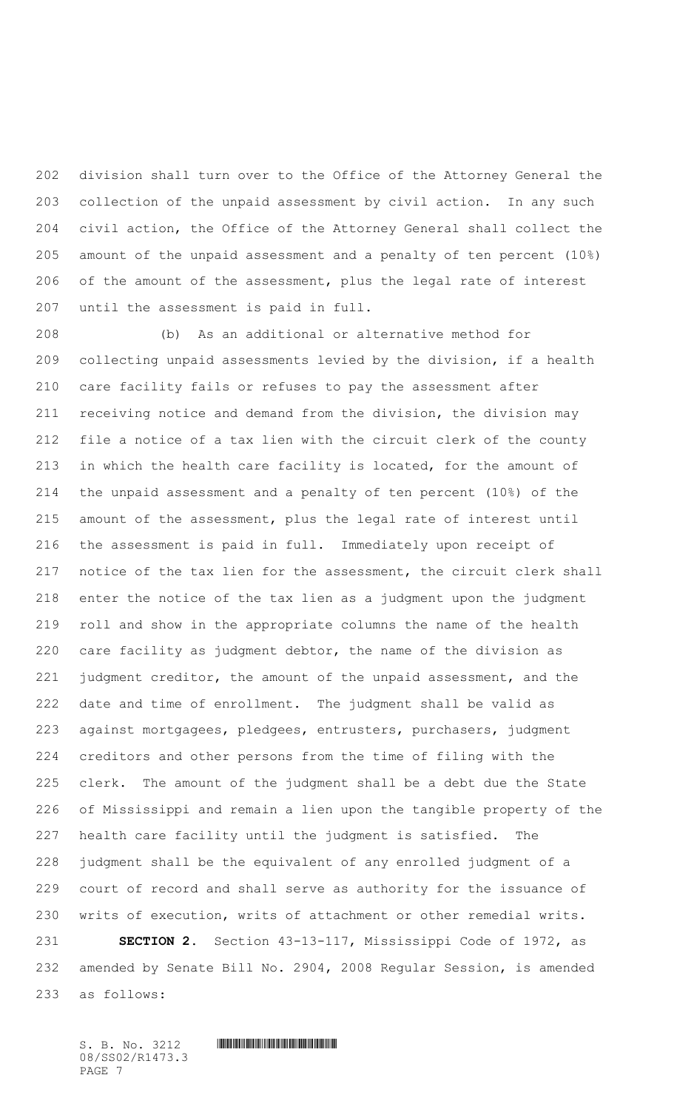division shall turn over to the Office of the Attorney General the collection of the unpaid assessment by civil action. In any such civil action, the Office of the Attorney General shall collect the amount of the unpaid assessment and a penalty of ten percent (10%) of the amount of the assessment, plus the legal rate of interest until the assessment is paid in full.

 (b) As an additional or alternative method for collecting unpaid assessments levied by the division, if a health care facility fails or refuses to pay the assessment after receiving notice and demand from the division, the division may file a notice of a tax lien with the circuit clerk of the county 213 in which the health care facility is located, for the amount of the unpaid assessment and a penalty of ten percent (10%) of the amount of the assessment, plus the legal rate of interest until the assessment is paid in full. Immediately upon receipt of notice of the tax lien for the assessment, the circuit clerk shall enter the notice of the tax lien as a judgment upon the judgment roll and show in the appropriate columns the name of the health care facility as judgment debtor, the name of the division as judgment creditor, the amount of the unpaid assessment, and the date and time of enrollment. The judgment shall be valid as against mortgagees, pledgees, entrusters, purchasers, judgment creditors and other persons from the time of filing with the clerk. The amount of the judgment shall be a debt due the State of Mississippi and remain a lien upon the tangible property of the health care facility until the judgment is satisfied. The judgment shall be the equivalent of any enrolled judgment of a court of record and shall serve as authority for the issuance of writs of execution, writs of attachment or other remedial writs. **SECTION 2.** Section 43-13-117, Mississippi Code of 1972, as

 amended by Senate Bill No. 2904, 2008 Regular Session, is amended as follows: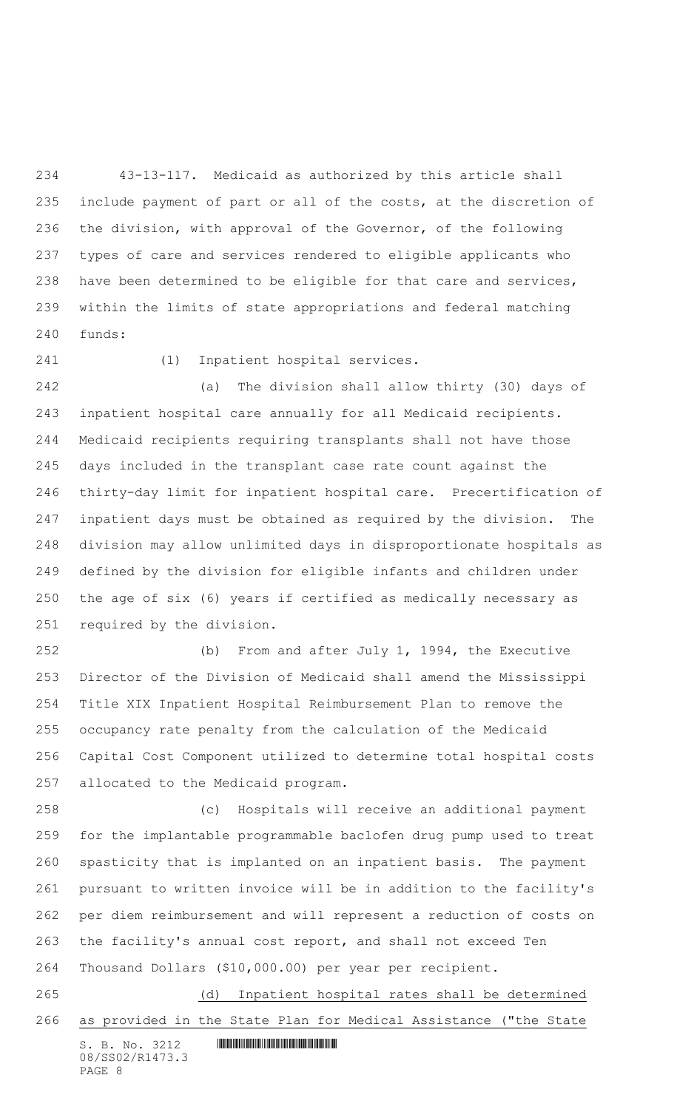43-13-117. Medicaid as authorized by this article shall include payment of part or all of the costs, at the discretion of the division, with approval of the Governor, of the following types of care and services rendered to eligible applicants who have been determined to be eligible for that care and services, within the limits of state appropriations and federal matching funds:

# (1) Inpatient hospital services.

 (a) The division shall allow thirty (30) days of inpatient hospital care annually for all Medicaid recipients. Medicaid recipients requiring transplants shall not have those days included in the transplant case rate count against the thirty-day limit for inpatient hospital care. Precertification of inpatient days must be obtained as required by the division. The division may allow unlimited days in disproportionate hospitals as defined by the division for eligible infants and children under the age of six (6) years if certified as medically necessary as required by the division.

 (b) From and after July 1, 1994, the Executive Director of the Division of Medicaid shall amend the Mississippi Title XIX Inpatient Hospital Reimbursement Plan to remove the occupancy rate penalty from the calculation of the Medicaid Capital Cost Component utilized to determine total hospital costs allocated to the Medicaid program.

 (c) Hospitals will receive an additional payment for the implantable programmable baclofen drug pump used to treat spasticity that is implanted on an inpatient basis. The payment pursuant to written invoice will be in addition to the facility's per diem reimbursement and will represent a reduction of costs on the facility's annual cost report, and shall not exceed Ten Thousand Dollars (\$10,000.00) per year per recipient.

 (d) Inpatient hospital rates shall be determined as provided in the State Plan for Medical Assistance ("the State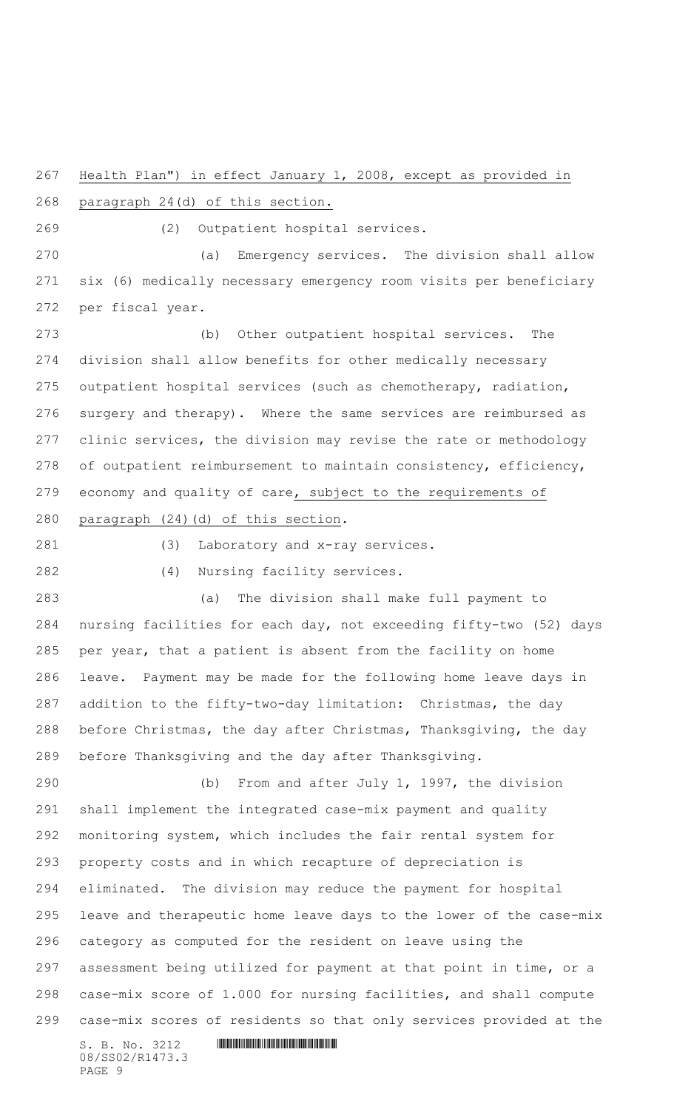Health Plan") in effect January 1, 2008, except as provided in

paragraph 24(d) of this section.

(2) Outpatient hospital services.

 (a) Emergency services. The division shall allow six (6) medically necessary emergency room visits per beneficiary per fiscal year.

 (b) Other outpatient hospital services. The division shall allow benefits for other medically necessary outpatient hospital services (such as chemotherapy, radiation, surgery and therapy). Where the same services are reimbursed as clinic services, the division may revise the rate or methodology of outpatient reimbursement to maintain consistency, efficiency, economy and quality of care, subject to the requirements of paragraph (24)(d) of this section.

(3) Laboratory and x-ray services.

(4) Nursing facility services.

 (a) The division shall make full payment to nursing facilities for each day, not exceeding fifty-two (52) days per year, that a patient is absent from the facility on home leave. Payment may be made for the following home leave days in addition to the fifty-two-day limitation: Christmas, the day before Christmas, the day after Christmas, Thanksgiving, the day before Thanksgiving and the day after Thanksgiving.

S. B. No. 3212 \*SS02/R1473.3\* (b) From and after July 1, 1997, the division shall implement the integrated case-mix payment and quality monitoring system, which includes the fair rental system for property costs and in which recapture of depreciation is eliminated. The division may reduce the payment for hospital leave and therapeutic home leave days to the lower of the case-mix category as computed for the resident on leave using the assessment being utilized for payment at that point in time, or a case-mix score of 1.000 for nursing facilities, and shall compute case-mix scores of residents so that only services provided at the

08/SS02/R1473.3 PAGE 9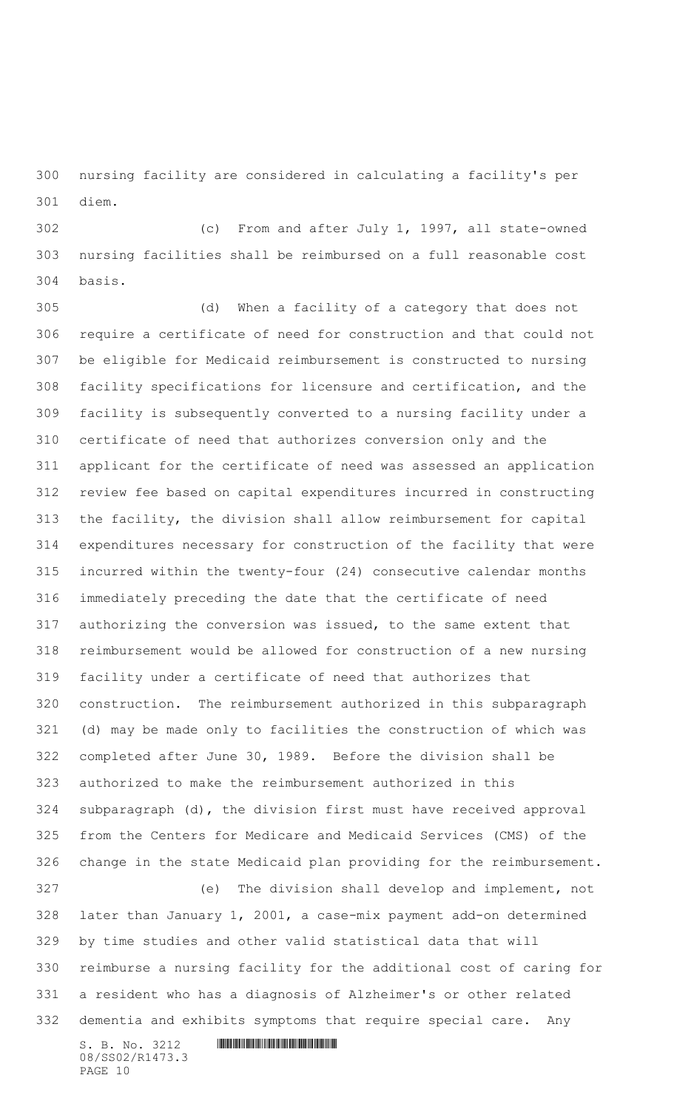nursing facility are considered in calculating a facility's per diem.

 (c) From and after July 1, 1997, all state-owned nursing facilities shall be reimbursed on a full reasonable cost basis.

 (d) When a facility of a category that does not require a certificate of need for construction and that could not be eligible for Medicaid reimbursement is constructed to nursing facility specifications for licensure and certification, and the facility is subsequently converted to a nursing facility under a certificate of need that authorizes conversion only and the applicant for the certificate of need was assessed an application review fee based on capital expenditures incurred in constructing the facility, the division shall allow reimbursement for capital expenditures necessary for construction of the facility that were incurred within the twenty-four (24) consecutive calendar months immediately preceding the date that the certificate of need authorizing the conversion was issued, to the same extent that reimbursement would be allowed for construction of a new nursing facility under a certificate of need that authorizes that construction. The reimbursement authorized in this subparagraph (d) may be made only to facilities the construction of which was completed after June 30, 1989. Before the division shall be authorized to make the reimbursement authorized in this subparagraph (d), the division first must have received approval from the Centers for Medicare and Medicaid Services (CMS) of the change in the state Medicaid plan providing for the reimbursement. (e) The division shall develop and implement, not later than January 1, 2001, a case-mix payment add-on determined by time studies and other valid statistical data that will reimburse a nursing facility for the additional cost of caring for a resident who has a diagnosis of Alzheimer's or other related dementia and exhibits symptoms that require special care. Any

S. B. No. 3212 \*SS02/R1473.3\* 08/SS02/R1473.3 PAGE 10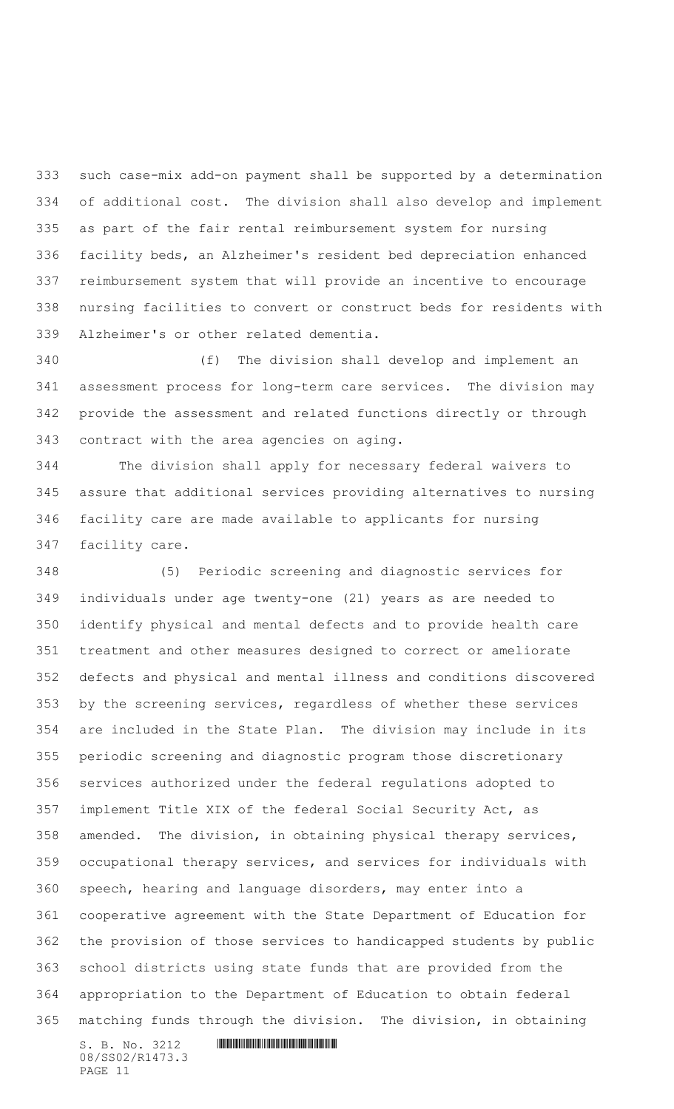such case-mix add-on payment shall be supported by a determination of additional cost. The division shall also develop and implement as part of the fair rental reimbursement system for nursing facility beds, an Alzheimer's resident bed depreciation enhanced reimbursement system that will provide an incentive to encourage nursing facilities to convert or construct beds for residents with Alzheimer's or other related dementia.

 (f) The division shall develop and implement an assessment process for long-term care services. The division may provide the assessment and related functions directly or through contract with the area agencies on aging.

 The division shall apply for necessary federal waivers to assure that additional services providing alternatives to nursing facility care are made available to applicants for nursing facility care.

S. B. No. 3212 \*SS02/R1473.3\* (5) Periodic screening and diagnostic services for individuals under age twenty-one (21) years as are needed to identify physical and mental defects and to provide health care treatment and other measures designed to correct or ameliorate defects and physical and mental illness and conditions discovered by the screening services, regardless of whether these services are included in the State Plan. The division may include in its periodic screening and diagnostic program those discretionary services authorized under the federal regulations adopted to implement Title XIX of the federal Social Security Act, as amended. The division, in obtaining physical therapy services, occupational therapy services, and services for individuals with speech, hearing and language disorders, may enter into a cooperative agreement with the State Department of Education for the provision of those services to handicapped students by public school districts using state funds that are provided from the appropriation to the Department of Education to obtain federal matching funds through the division. The division, in obtaining

08/SS02/R1473.3 PAGE 11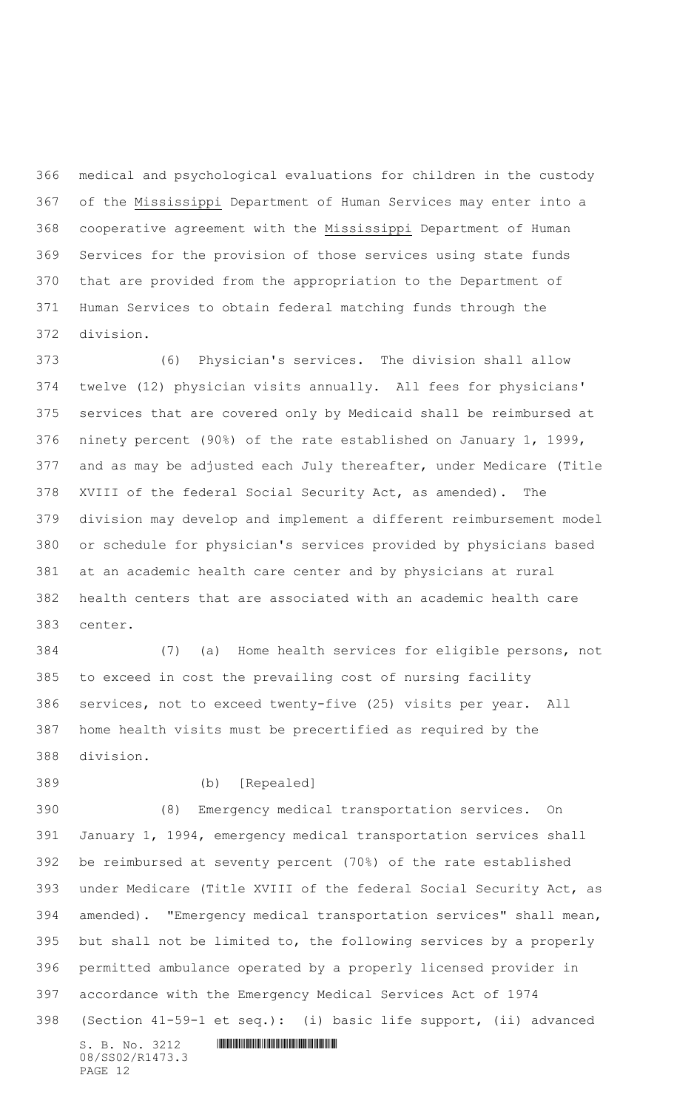medical and psychological evaluations for children in the custody of the Mississippi Department of Human Services may enter into a cooperative agreement with the Mississippi Department of Human Services for the provision of those services using state funds that are provided from the appropriation to the Department of Human Services to obtain federal matching funds through the division.

 (6) Physician's services. The division shall allow twelve (12) physician visits annually. All fees for physicians' services that are covered only by Medicaid shall be reimbursed at ninety percent (90%) of the rate established on January 1, 1999, and as may be adjusted each July thereafter, under Medicare (Title XVIII of the federal Social Security Act, as amended). The division may develop and implement a different reimbursement model or schedule for physician's services provided by physicians based at an academic health care center and by physicians at rural health centers that are associated with an academic health care center.

 (7) (a) Home health services for eligible persons, not to exceed in cost the prevailing cost of nursing facility services, not to exceed twenty-five (25) visits per year. All home health visits must be precertified as required by the division.

(b) [Repealed]

 $S. B. No. 3212$  **INNIFICALLY AND ALL AND ALL AND ADDRESS**  (8) Emergency medical transportation services. On January 1, 1994, emergency medical transportation services shall be reimbursed at seventy percent (70%) of the rate established under Medicare (Title XVIII of the federal Social Security Act, as amended). "Emergency medical transportation services" shall mean, but shall not be limited to, the following services by a properly permitted ambulance operated by a properly licensed provider in accordance with the Emergency Medical Services Act of 1974 (Section 41-59-1 et seq.): (i) basic life support, (ii) advanced

08/SS02/R1473.3 PAGE 12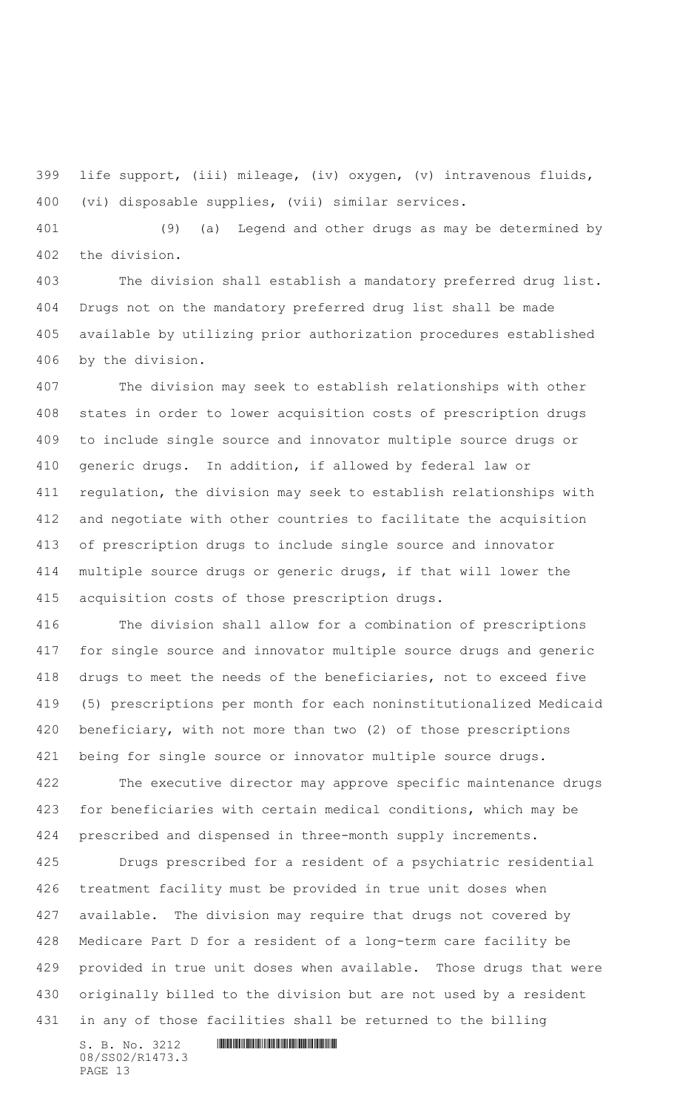life support, (iii) mileage, (iv) oxygen, (v) intravenous fluids, (vi) disposable supplies, (vii) similar services.

 (9) (a) Legend and other drugs as may be determined by the division.

 The division shall establish a mandatory preferred drug list. Drugs not on the mandatory preferred drug list shall be made available by utilizing prior authorization procedures established by the division.

 The division may seek to establish relationships with other states in order to lower acquisition costs of prescription drugs to include single source and innovator multiple source drugs or generic drugs. In addition, if allowed by federal law or regulation, the division may seek to establish relationships with and negotiate with other countries to facilitate the acquisition of prescription drugs to include single source and innovator multiple source drugs or generic drugs, if that will lower the acquisition costs of those prescription drugs.

 The division shall allow for a combination of prescriptions for single source and innovator multiple source drugs and generic drugs to meet the needs of the beneficiaries, not to exceed five (5) prescriptions per month for each noninstitutionalized Medicaid beneficiary, with not more than two (2) of those prescriptions being for single source or innovator multiple source drugs.

 The executive director may approve specific maintenance drugs for beneficiaries with certain medical conditions, which may be prescribed and dispensed in three-month supply increments.

 Drugs prescribed for a resident of a psychiatric residential treatment facility must be provided in true unit doses when available. The division may require that drugs not covered by Medicare Part D for a resident of a long-term care facility be provided in true unit doses when available. Those drugs that were originally billed to the division but are not used by a resident in any of those facilities shall be returned to the billing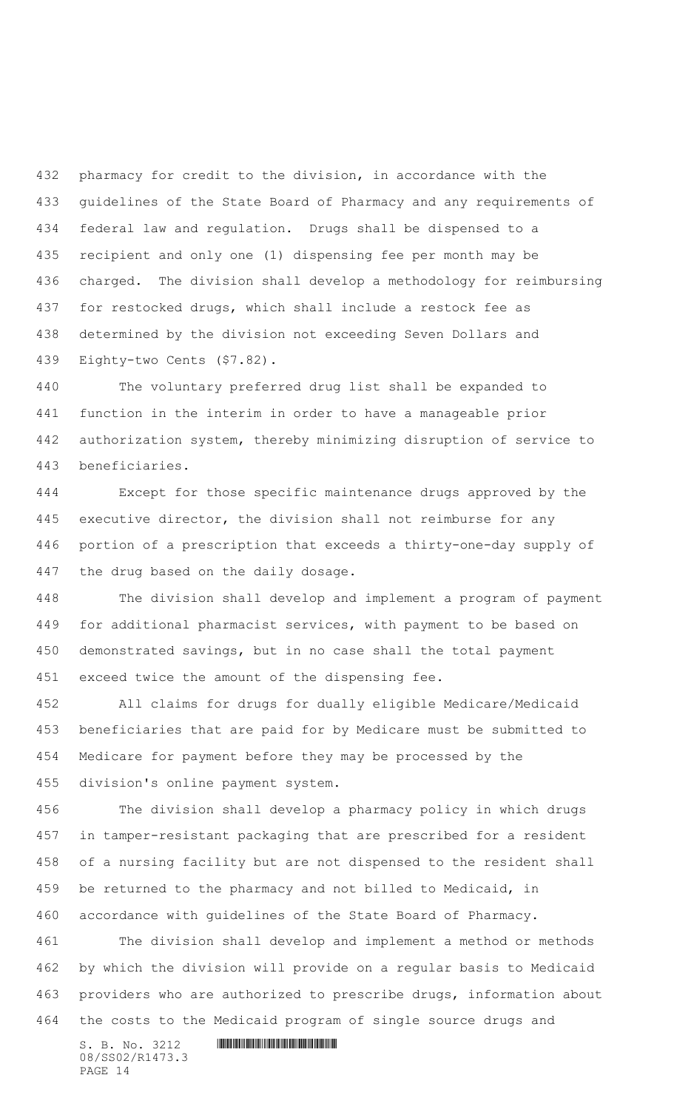pharmacy for credit to the division, in accordance with the guidelines of the State Board of Pharmacy and any requirements of federal law and regulation. Drugs shall be dispensed to a recipient and only one (1) dispensing fee per month may be charged. The division shall develop a methodology for reimbursing for restocked drugs, which shall include a restock fee as determined by the division not exceeding Seven Dollars and Eighty-two Cents (\$7.82).

 The voluntary preferred drug list shall be expanded to function in the interim in order to have a manageable prior authorization system, thereby minimizing disruption of service to beneficiaries.

 Except for those specific maintenance drugs approved by the executive director, the division shall not reimburse for any portion of a prescription that exceeds a thirty-one-day supply of the drug based on the daily dosage.

 The division shall develop and implement a program of payment for additional pharmacist services, with payment to be based on demonstrated savings, but in no case shall the total payment exceed twice the amount of the dispensing fee.

 All claims for drugs for dually eligible Medicare/Medicaid beneficiaries that are paid for by Medicare must be submitted to Medicare for payment before they may be processed by the division's online payment system.

 The division shall develop a pharmacy policy in which drugs in tamper-resistant packaging that are prescribed for a resident of a nursing facility but are not dispensed to the resident shall be returned to the pharmacy and not billed to Medicaid, in accordance with guidelines of the State Board of Pharmacy.

 The division shall develop and implement a method or methods by which the division will provide on a regular basis to Medicaid providers who are authorized to prescribe drugs, information about the costs to the Medicaid program of single source drugs and

S. B. No. 3212 \*SS02/R1473.3\* 08/SS02/R1473.3 PAGE 14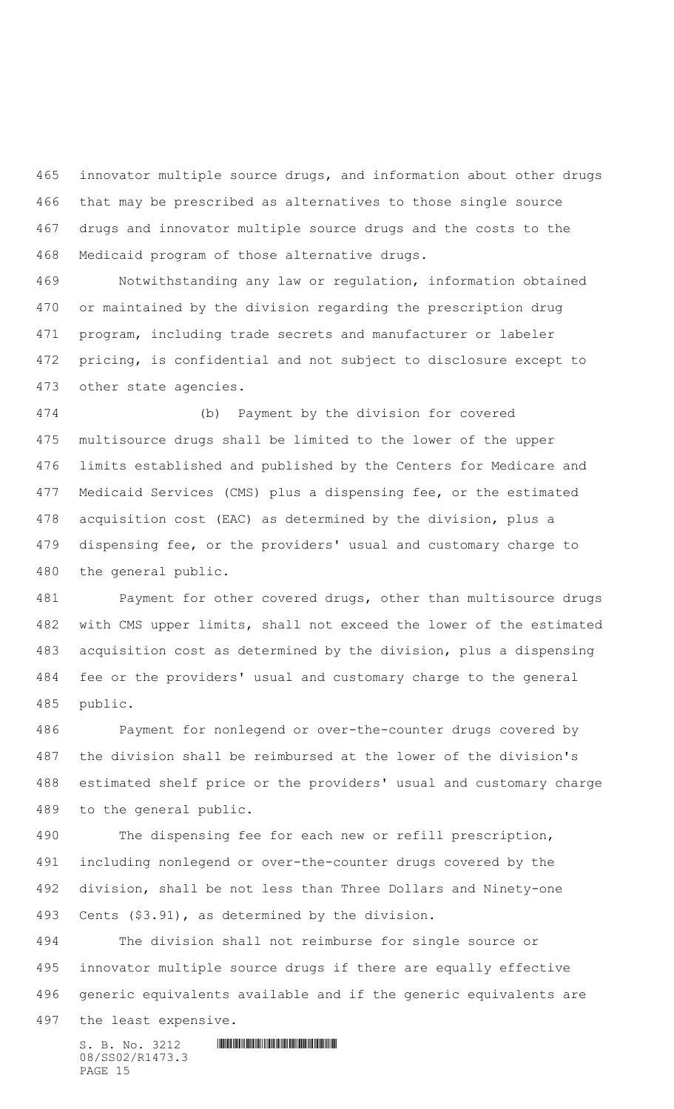innovator multiple source drugs, and information about other drugs that may be prescribed as alternatives to those single source drugs and innovator multiple source drugs and the costs to the Medicaid program of those alternative drugs.

 Notwithstanding any law or regulation, information obtained or maintained by the division regarding the prescription drug program, including trade secrets and manufacturer or labeler pricing, is confidential and not subject to disclosure except to other state agencies.

 (b) Payment by the division for covered multisource drugs shall be limited to the lower of the upper limits established and published by the Centers for Medicare and Medicaid Services (CMS) plus a dispensing fee, or the estimated acquisition cost (EAC) as determined by the division, plus a dispensing fee, or the providers' usual and customary charge to the general public.

 Payment for other covered drugs, other than multisource drugs with CMS upper limits, shall not exceed the lower of the estimated acquisition cost as determined by the division, plus a dispensing fee or the providers' usual and customary charge to the general public.

 Payment for nonlegend or over-the-counter drugs covered by the division shall be reimbursed at the lower of the division's estimated shelf price or the providers' usual and customary charge to the general public.

 The dispensing fee for each new or refill prescription, including nonlegend or over-the-counter drugs covered by the division, shall be not less than Three Dollars and Ninety-one Cents (\$3.91), as determined by the division.

 The division shall not reimburse for single source or innovator multiple source drugs if there are equally effective generic equivalents available and if the generic equivalents are the least expensive.

 $S. B. No. 3212$  **INNIFICALLY AND INTERNATIONAL CONTRACT AND INTERNATIONAL CONTRACT AND INTERNATIONAL CONTRACT AND INTERNATIONAL CONTRACT AND INTERNATIONAL CONTRACT AND INTERNATIONAL CONTRACT OF A SECOND AND INTERNATIONAL CO** 08/SS02/R1473.3 PAGE 15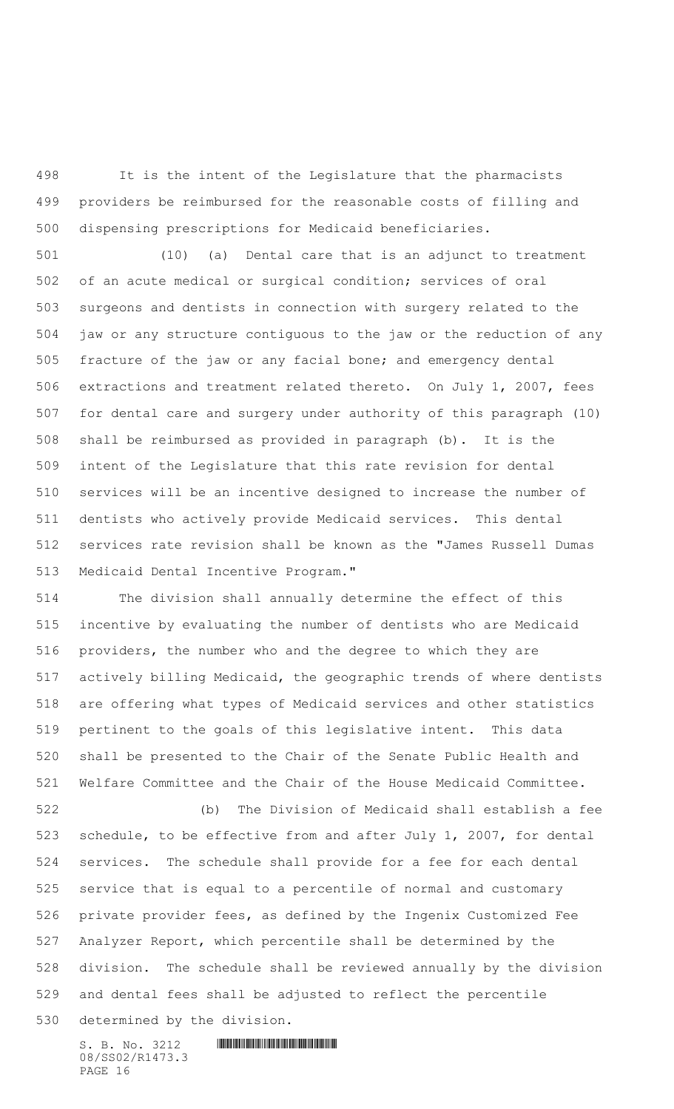It is the intent of the Legislature that the pharmacists providers be reimbursed for the reasonable costs of filling and dispensing prescriptions for Medicaid beneficiaries.

 (10) (a) Dental care that is an adjunct to treatment of an acute medical or surgical condition; services of oral surgeons and dentists in connection with surgery related to the jaw or any structure contiguous to the jaw or the reduction of any fracture of the jaw or any facial bone; and emergency dental extractions and treatment related thereto. On July 1, 2007, fees for dental care and surgery under authority of this paragraph (10) shall be reimbursed as provided in paragraph (b). It is the intent of the Legislature that this rate revision for dental services will be an incentive designed to increase the number of dentists who actively provide Medicaid services. This dental services rate revision shall be known as the "James Russell Dumas Medicaid Dental Incentive Program."

 The division shall annually determine the effect of this incentive by evaluating the number of dentists who are Medicaid providers, the number who and the degree to which they are actively billing Medicaid, the geographic trends of where dentists are offering what types of Medicaid services and other statistics pertinent to the goals of this legislative intent. This data shall be presented to the Chair of the Senate Public Health and Welfare Committee and the Chair of the House Medicaid Committee.

 (b) The Division of Medicaid shall establish a fee schedule, to be effective from and after July 1, 2007, for dental services. The schedule shall provide for a fee for each dental service that is equal to a percentile of normal and customary private provider fees, as defined by the Ingenix Customized Fee Analyzer Report, which percentile shall be determined by the division. The schedule shall be reviewed annually by the division and dental fees shall be adjusted to reflect the percentile determined by the division.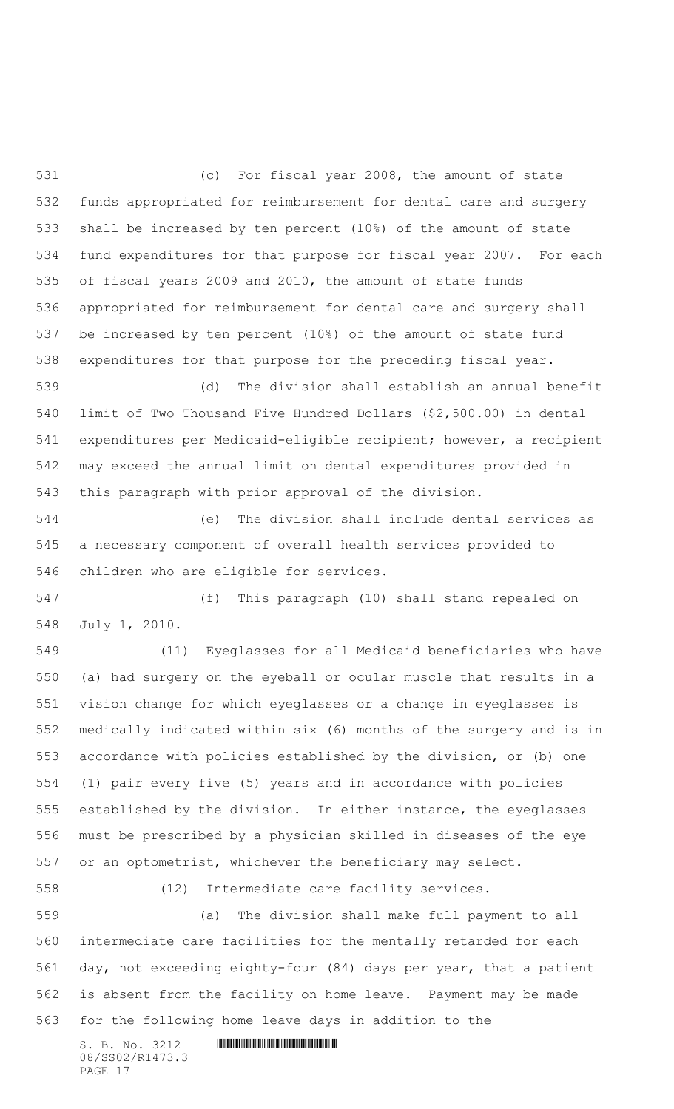(c) For fiscal year 2008, the amount of state funds appropriated for reimbursement for dental care and surgery shall be increased by ten percent (10%) of the amount of state fund expenditures for that purpose for fiscal year 2007. For each of fiscal years 2009 and 2010, the amount of state funds appropriated for reimbursement for dental care and surgery shall be increased by ten percent (10%) of the amount of state fund expenditures for that purpose for the preceding fiscal year.

 (d) The division shall establish an annual benefit limit of Two Thousand Five Hundred Dollars (\$2,500.00) in dental expenditures per Medicaid-eligible recipient; however, a recipient may exceed the annual limit on dental expenditures provided in this paragraph with prior approval of the division.

 (e) The division shall include dental services as a necessary component of overall health services provided to children who are eligible for services.

 (f) This paragraph (10) shall stand repealed on July 1, 2010.

 (11) Eyeglasses for all Medicaid beneficiaries who have (a) had surgery on the eyeball or ocular muscle that results in a vision change for which eyeglasses or a change in eyeglasses is medically indicated within six (6) months of the surgery and is in accordance with policies established by the division, or (b) one (1) pair every five (5) years and in accordance with policies established by the division. In either instance, the eyeglasses must be prescribed by a physician skilled in diseases of the eye or an optometrist, whichever the beneficiary may select.

(12) Intermediate care facility services.

 (a) The division shall make full payment to all intermediate care facilities for the mentally retarded for each day, not exceeding eighty-four (84) days per year, that a patient is absent from the facility on home leave. Payment may be made for the following home leave days in addition to the

08/SS02/R1473.3 PAGE 17

 $S. B. No. 3212$  **INNIFICALLY AND ALL AND ALL AND ADDRESS**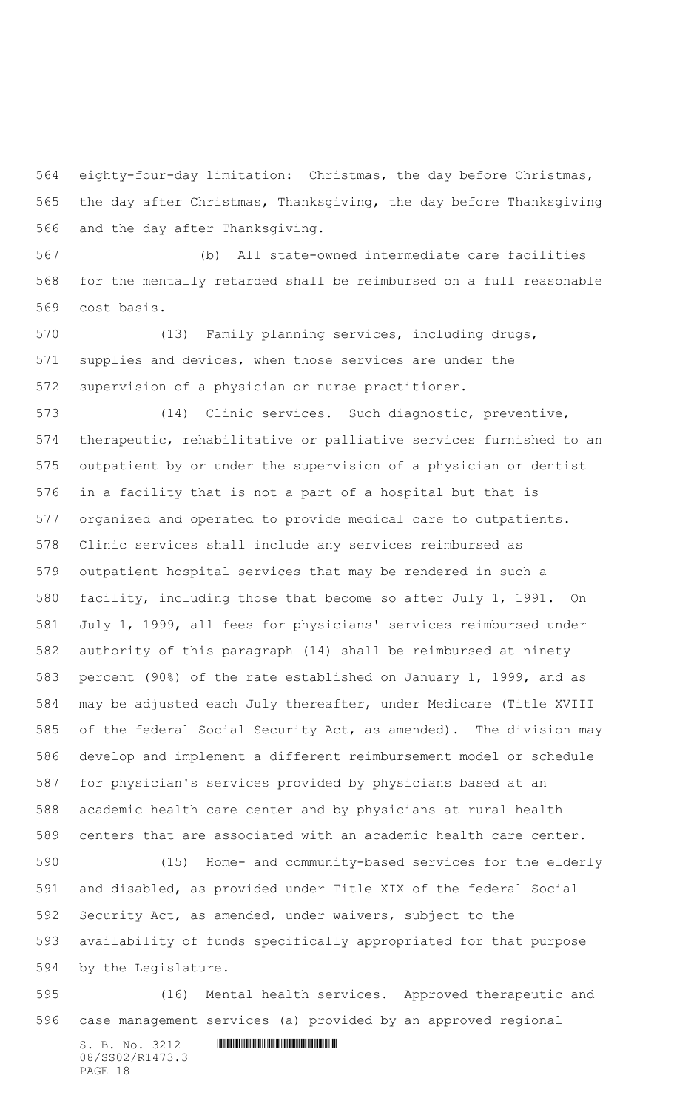eighty-four-day limitation: Christmas, the day before Christmas, the day after Christmas, Thanksgiving, the day before Thanksgiving and the day after Thanksgiving.

 (b) All state-owned intermediate care facilities for the mentally retarded shall be reimbursed on a full reasonable cost basis.

 (13) Family planning services, including drugs, supplies and devices, when those services are under the supervision of a physician or nurse practitioner.

 (14) Clinic services. Such diagnostic, preventive, therapeutic, rehabilitative or palliative services furnished to an outpatient by or under the supervision of a physician or dentist in a facility that is not a part of a hospital but that is organized and operated to provide medical care to outpatients. Clinic services shall include any services reimbursed as outpatient hospital services that may be rendered in such a facility, including those that become so after July 1, 1991. On July 1, 1999, all fees for physicians' services reimbursed under authority of this paragraph (14) shall be reimbursed at ninety percent (90%) of the rate established on January 1, 1999, and as may be adjusted each July thereafter, under Medicare (Title XVIII of the federal Social Security Act, as amended). The division may develop and implement a different reimbursement model or schedule for physician's services provided by physicians based at an academic health care center and by physicians at rural health centers that are associated with an academic health care center.

 (15) Home- and community-based services for the elderly and disabled, as provided under Title XIX of the federal Social Security Act, as amended, under waivers, subject to the availability of funds specifically appropriated for that purpose by the Legislature.

 (16) Mental health services. Approved therapeutic and case management services (a) provided by an approved regional

S. B. No. 3212 \*SS02/R1473.3\* 08/SS02/R1473.3 PAGE 18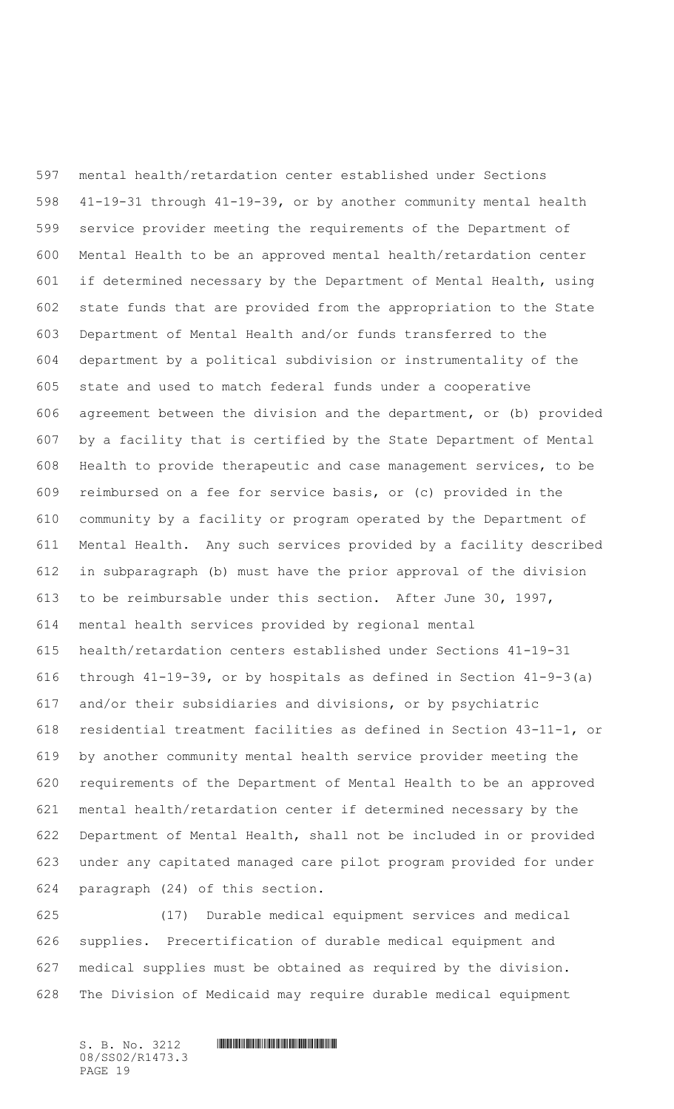mental health/retardation center established under Sections 41-19-31 through 41-19-39, or by another community mental health service provider meeting the requirements of the Department of Mental Health to be an approved mental health/retardation center if determined necessary by the Department of Mental Health, using state funds that are provided from the appropriation to the State Department of Mental Health and/or funds transferred to the department by a political subdivision or instrumentality of the state and used to match federal funds under a cooperative agreement between the division and the department, or (b) provided by a facility that is certified by the State Department of Mental Health to provide therapeutic and case management services, to be reimbursed on a fee for service basis, or (c) provided in the community by a facility or program operated by the Department of Mental Health. Any such services provided by a facility described in subparagraph (b) must have the prior approval of the division to be reimbursable under this section. After June 30, 1997, mental health services provided by regional mental health/retardation centers established under Sections 41-19-31 through 41-19-39, or by hospitals as defined in Section 41-9-3(a) and/or their subsidiaries and divisions, or by psychiatric residential treatment facilities as defined in Section 43-11-1, or by another community mental health service provider meeting the requirements of the Department of Mental Health to be an approved mental health/retardation center if determined necessary by the Department of Mental Health, shall not be included in or provided under any capitated managed care pilot program provided for under paragraph (24) of this section.

 (17) Durable medical equipment services and medical supplies. Precertification of durable medical equipment and medical supplies must be obtained as required by the division. The Division of Medicaid may require durable medical equipment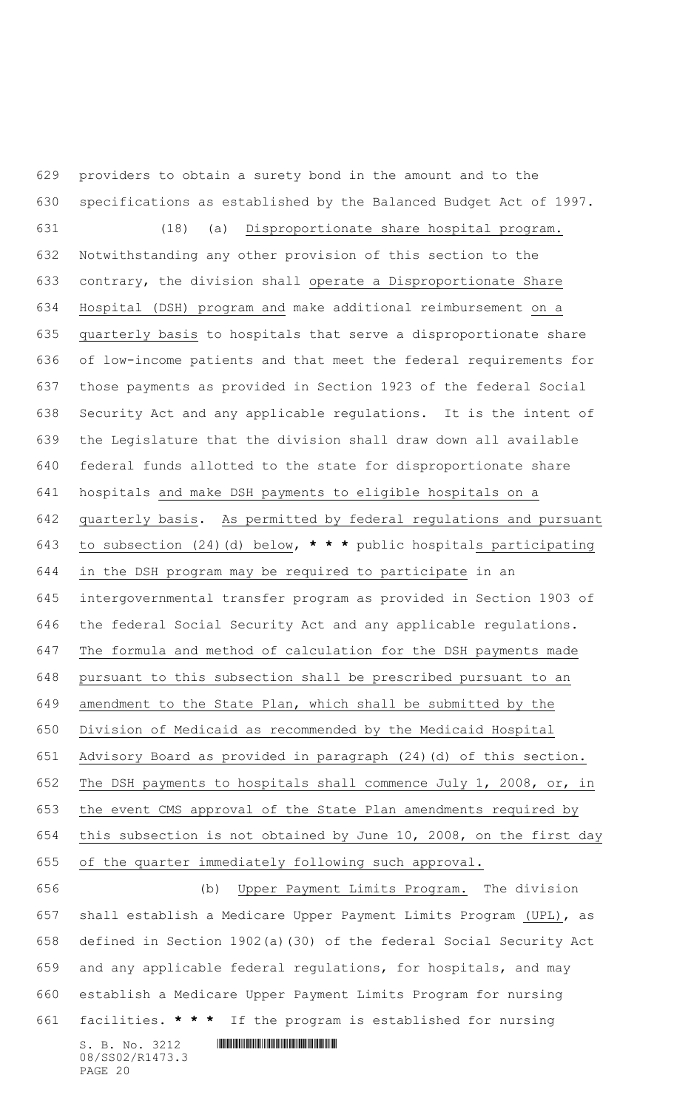providers to obtain a surety bond in the amount and to the specifications as established by the Balanced Budget Act of 1997.

 (18) (a) Disproportionate share hospital program. Notwithstanding any other provision of this section to the contrary, the division shall operate a Disproportionate Share Hospital (DSH) program and make additional reimbursement on a quarterly basis to hospitals that serve a disproportionate share of low-income patients and that meet the federal requirements for those payments as provided in Section 1923 of the federal Social Security Act and any applicable regulations. It is the intent of the Legislature that the division shall draw down all available federal funds allotted to the state for disproportionate share hospitals and make DSH payments to eligible hospitals on a quarterly basis. As permitted by federal regulations and pursuant to subsection (24)(d) below, **\* \* \*** public hospitals participating in the DSH program may be required to participate in an intergovernmental transfer program as provided in Section 1903 of the federal Social Security Act and any applicable regulations. The formula and method of calculation for the DSH payments made pursuant to this subsection shall be prescribed pursuant to an amendment to the State Plan, which shall be submitted by the Division of Medicaid as recommended by the Medicaid Hospital Advisory Board as provided in paragraph (24)(d) of this section. The DSH payments to hospitals shall commence July 1, 2008, or, in the event CMS approval of the State Plan amendments required by this subsection is not obtained by June 10, 2008, on the first day of the quarter immediately following such approval. (b) Upper Payment Limits Program. The division

 $S. B. No. 3212$  **INNIFICALLY AND ALL AND ALL AND ADDRESS**  shall establish a Medicare Upper Payment Limits Program (UPL), as defined in Section 1902(a)(30) of the federal Social Security Act and any applicable federal regulations, for hospitals, and may establish a Medicare Upper Payment Limits Program for nursing facilities. **\* \* \*** If the program is established for nursing

08/SS02/R1473.3 PAGE 20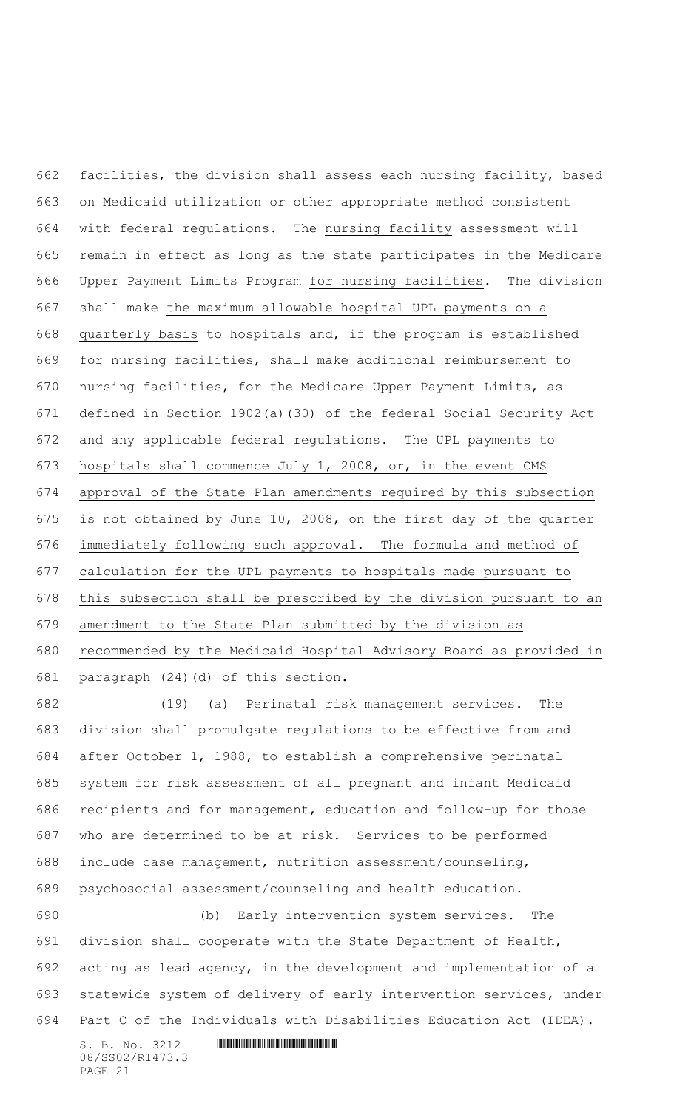facilities, the division shall assess each nursing facility, based on Medicaid utilization or other appropriate method consistent with federal regulations. The nursing facility assessment will remain in effect as long as the state participates in the Medicare Upper Payment Limits Program for nursing facilities. The division shall make the maximum allowable hospital UPL payments on a quarterly basis to hospitals and, if the program is established for nursing facilities, shall make additional reimbursement to nursing facilities, for the Medicare Upper Payment Limits, as defined in Section 1902(a)(30) of the federal Social Security Act 672 and any applicable federal regulations. The UPL payments to hospitals shall commence July 1, 2008, or, in the event CMS approval of the State Plan amendments required by this subsection is not obtained by June 10, 2008, on the first day of the quarter immediately following such approval. The formula and method of calculation for the UPL payments to hospitals made pursuant to this subsection shall be prescribed by the division pursuant to an amendment to the State Plan submitted by the division as recommended by the Medicaid Hospital Advisory Board as provided in paragraph (24)(d) of this section.

 (19) (a) Perinatal risk management services. The division shall promulgate regulations to be effective from and after October 1, 1988, to establish a comprehensive perinatal system for risk assessment of all pregnant and infant Medicaid recipients and for management, education and follow-up for those who are determined to be at risk. Services to be performed include case management, nutrition assessment/counseling, psychosocial assessment/counseling and health education.

 (b) Early intervention system services. The division shall cooperate with the State Department of Health, acting as lead agency, in the development and implementation of a statewide system of delivery of early intervention services, under Part C of the Individuals with Disabilities Education Act (IDEA).

 $S. B. No. 3212$  **IN THE R14**  $S. B. No. 3212$ 08/SS02/R1473.3 PAGE 21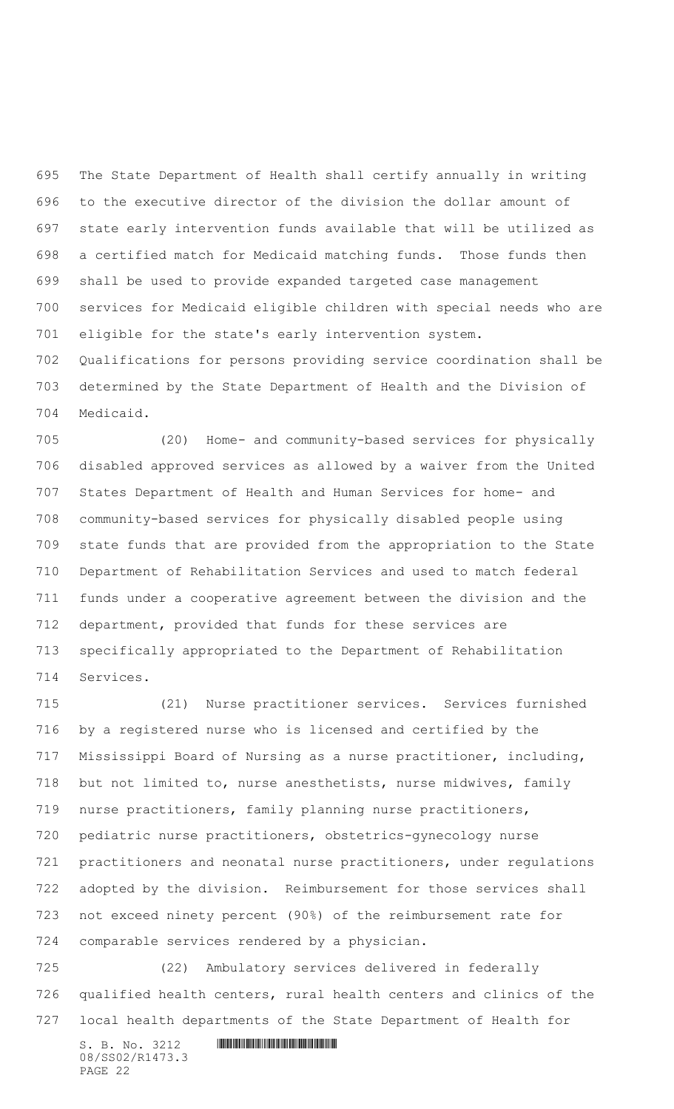The State Department of Health shall certify annually in writing to the executive director of the division the dollar amount of state early intervention funds available that will be utilized as a certified match for Medicaid matching funds. Those funds then shall be used to provide expanded targeted case management services for Medicaid eligible children with special needs who are eligible for the state's early intervention system. Qualifications for persons providing service coordination shall be

 determined by the State Department of Health and the Division of Medicaid.

 (20) Home- and community-based services for physically disabled approved services as allowed by a waiver from the United States Department of Health and Human Services for home- and community-based services for physically disabled people using state funds that are provided from the appropriation to the State Department of Rehabilitation Services and used to match federal funds under a cooperative agreement between the division and the department, provided that funds for these services are specifically appropriated to the Department of Rehabilitation Services.

 (21) Nurse practitioner services. Services furnished by a registered nurse who is licensed and certified by the Mississippi Board of Nursing as a nurse practitioner, including, but not limited to, nurse anesthetists, nurse midwives, family nurse practitioners, family planning nurse practitioners, pediatric nurse practitioners, obstetrics-gynecology nurse practitioners and neonatal nurse practitioners, under regulations adopted by the division. Reimbursement for those services shall not exceed ninety percent (90%) of the reimbursement rate for comparable services rendered by a physician.

 (22) Ambulatory services delivered in federally qualified health centers, rural health centers and clinics of the local health departments of the State Department of Health for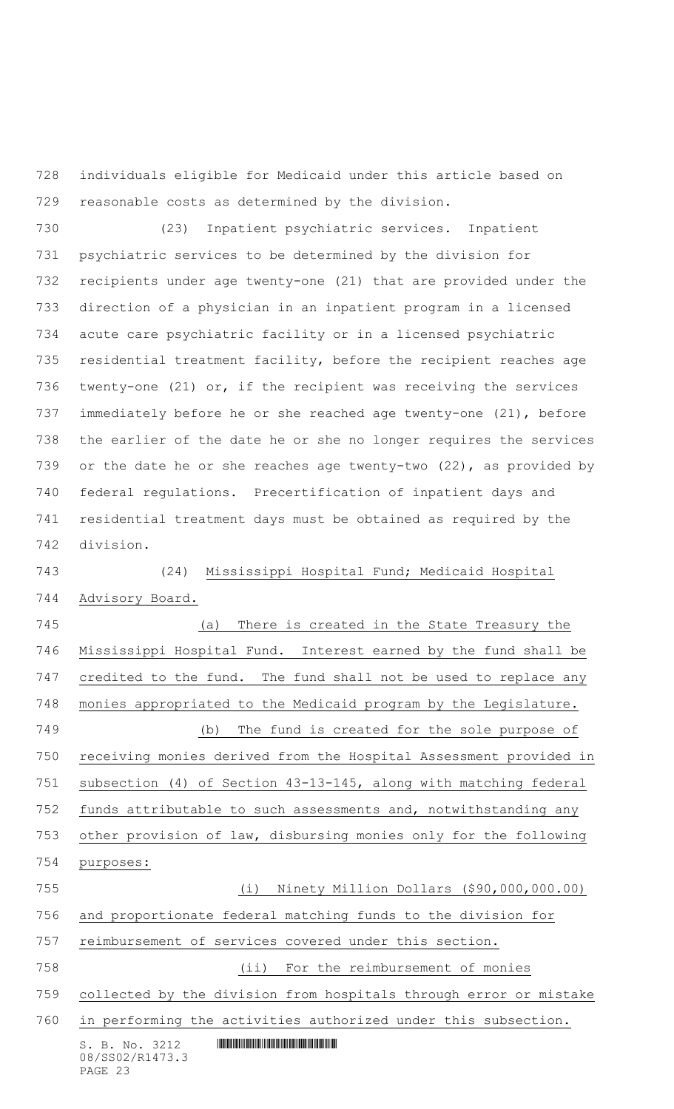individuals eligible for Medicaid under this article based on reasonable costs as determined by the division.

 (23) Inpatient psychiatric services. Inpatient psychiatric services to be determined by the division for recipients under age twenty-one (21) that are provided under the direction of a physician in an inpatient program in a licensed acute care psychiatric facility or in a licensed psychiatric residential treatment facility, before the recipient reaches age twenty-one (21) or, if the recipient was receiving the services immediately before he or she reached age twenty-one (21), before the earlier of the date he or she no longer requires the services 739 or the date he or she reaches age twenty-two (22), as provided by federal regulations. Precertification of inpatient days and residential treatment days must be obtained as required by the division.

 (24) Mississippi Hospital Fund; Medicaid Hospital Advisory Board.

 (a) There is created in the State Treasury the Mississippi Hospital Fund. Interest earned by the fund shall be credited to the fund. The fund shall not be used to replace any monies appropriated to the Medicaid program by the Legislature. (b) The fund is created for the sole purpose of receiving monies derived from the Hospital Assessment provided in subsection (4) of Section 43-13-145, along with matching federal funds attributable to such assessments and, notwithstanding any other provision of law, disbursing monies only for the following purposes: (i) Ninety Million Dollars (\$90,000,000.00) and proportionate federal matching funds to the division for reimbursement of services covered under this section. (ii) For the reimbursement of monies collected by the division from hospitals through error or mistake in performing the activities authorized under this subsection.

 $S. B. No. 3212$  **IN THE R14**  $R$ 08/SS02/R1473.3 PAGE 23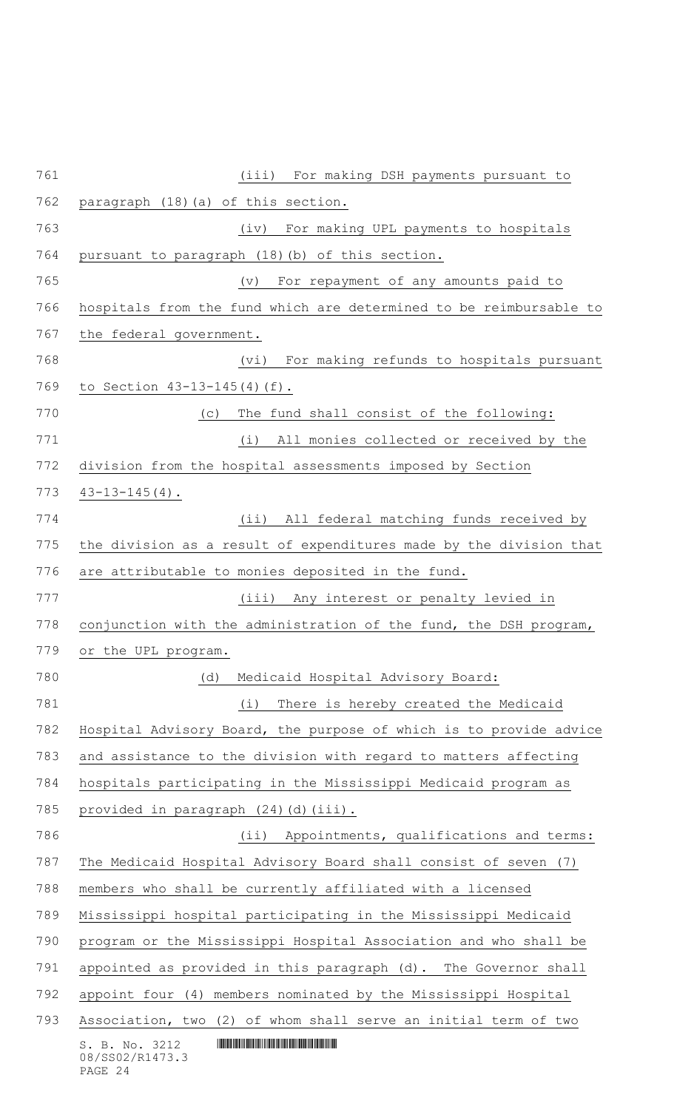| 761 | (iii)<br>For making DSH payments pursuant to                       |
|-----|--------------------------------------------------------------------|
| 762 | paragraph (18) (a) of this section.                                |
| 763 | (iv)<br>For making UPL payments to hospitals                       |
| 764 | pursuant to paragraph (18) (b) of this section.                    |
| 765 | For repayment of any amounts paid to<br>(v)                        |
| 766 | hospitals from the fund which are determined to be reimbursable to |
| 767 | the federal government.                                            |
| 768 | For making refunds to hospitals pursuant<br>(vi)                   |
| 769 | to Section 43-13-145(4)(f).                                        |
| 770 | The fund shall consist of the following:<br>(C)                    |
| 771 | (i)<br>All monies collected or received by the                     |
| 772 | division from the hospital assessments imposed by Section          |
| 773 | $43 - 13 - 145(4)$ .                                               |
| 774 | All federal matching funds received by<br>(i)                      |
| 775 | the division as a result of expenditures made by the division that |
| 776 | are attributable to monies deposited in the fund.                  |
| 777 | (iii) Any interest or penalty levied in                            |
| 778 | conjunction with the administration of the fund, the DSH program,  |
| 779 | or the UPL program.                                                |
| 780 | Medicaid Hospital Advisory Board:<br>(d)                           |
| 781 | There is hereby created the Medicaid<br>(i)                        |
| 782 | Hospital Advisory Board, the purpose of which is to provide advice |
| 783 | and assistance to the division with regard to matters affecting    |
| 784 | hospitals participating in the Mississippi Medicaid program as     |
| 785 | provided in paragraph (24)(d)(iii).                                |
| 786 | (ii) Appointments, qualifications and terms:                       |
| 787 | The Medicaid Hospital Advisory Board shall consist of seven (7)    |
| 788 | members who shall be currently affiliated with a licensed          |
| 789 | Mississippi hospital participating in the Mississippi Medicaid     |
| 790 | program or the Mississippi Hospital Association and who shall be   |
| 791 | appointed as provided in this paragraph (d). The Governor shall    |
| 792 | appoint four (4) members nominated by the Mississippi Hospital     |
| 793 | Association, two (2) of whom shall serve an initial term of two    |
|     | S. B. No. 3212<br>08/SS02/R1473.3<br>PAGE 24                       |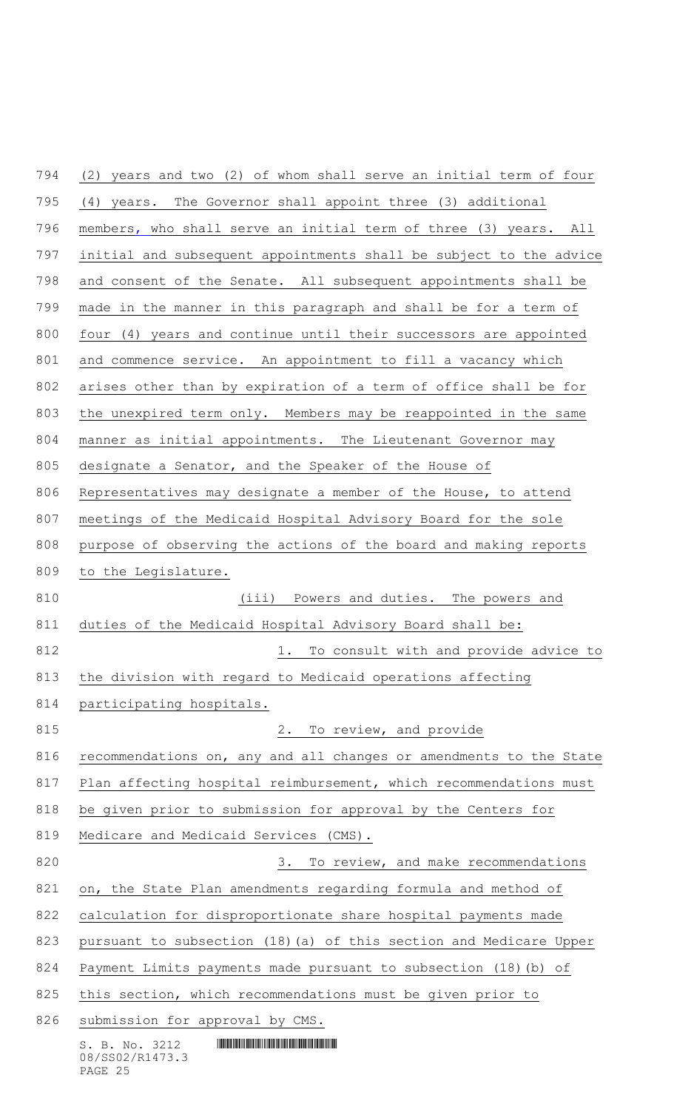$S. B. No. 3212$  **INNIFICALLY AND ALL AND ALL AND ADDRESS**  (2) years and two (2) of whom shall serve an initial term of four (4) years. The Governor shall appoint three (3) additional members, who shall serve an initial term of three (3) years. All initial and subsequent appointments shall be subject to the advice and consent of the Senate. All subsequent appointments shall be made in the manner in this paragraph and shall be for a term of four (4) years and continue until their successors are appointed and commence service. An appointment to fill a vacancy which arises other than by expiration of a term of office shall be for the unexpired term only. Members may be reappointed in the same manner as initial appointments. The Lieutenant Governor may designate a Senator, and the Speaker of the House of Representatives may designate a member of the House, to attend meetings of the Medicaid Hospital Advisory Board for the sole purpose of observing the actions of the board and making reports to the Legislature. 810 (iii) Powers and duties. The powers and duties of the Medicaid Hospital Advisory Board shall be: **1.** To consult with and provide advice to the division with regard to Medicaid operations affecting participating hospitals. 815 2. To review, and provide recommendations on, any and all changes or amendments to the State 817 Plan affecting hospital reimbursement, which recommendations must be given prior to submission for approval by the Centers for Medicare and Medicaid Services (CMS). 820 3. To review, and make recommendations on, the State Plan amendments regarding formula and method of calculation for disproportionate share hospital payments made pursuant to subsection (18)(a) of this section and Medicare Upper Payment Limits payments made pursuant to subsection (18)(b) of 825 this section, which recommendations must be given prior to submission for approval by CMS.

# 08/SS02/R1473.3 PAGE 25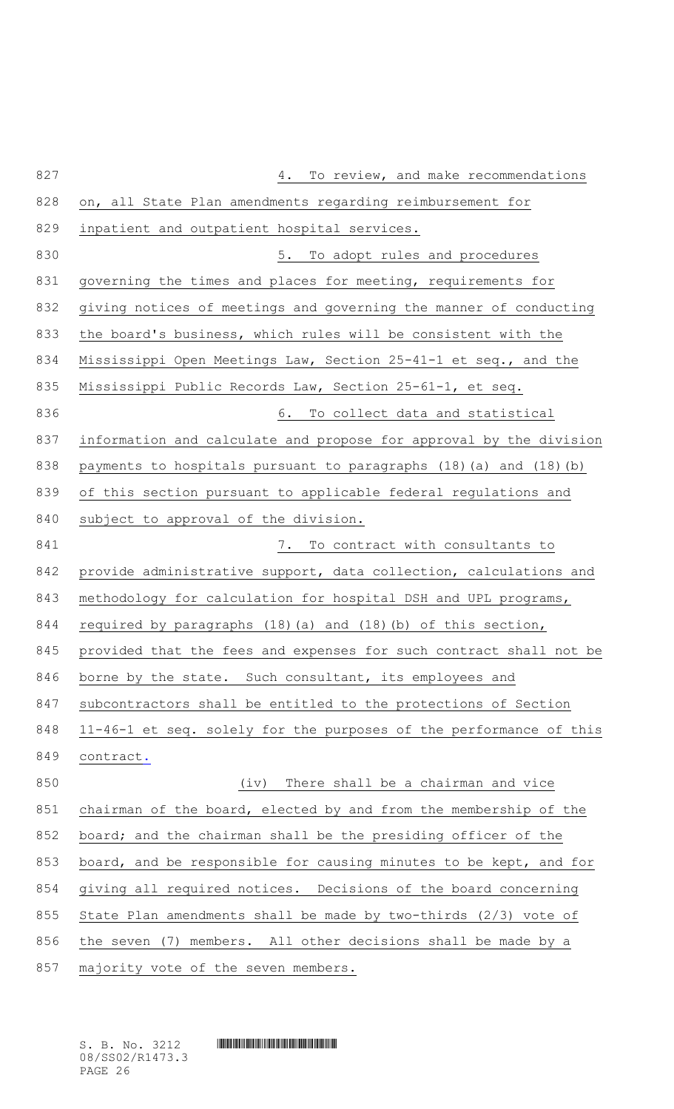| 827 | To review, and make recommendations<br>4.                              |
|-----|------------------------------------------------------------------------|
| 828 | on, all State Plan amendments regarding reimbursement for              |
| 829 | inpatient and outpatient hospital services.                            |
| 830 | 5. To adopt rules and procedures                                       |
| 831 | governing the times and places for meeting, requirements for           |
| 832 | giving notices of meetings and governing the manner of conducting      |
| 833 | the board's business, which rules will be consistent with the          |
| 834 | Mississippi Open Meetings Law, Section 25-41-1 et seq., and the        |
| 835 | Mississippi Public Records Law, Section 25-61-1, et seq.               |
| 836 | 6. To collect data and statistical                                     |
| 837 | information and calculate and propose for approval by the division     |
| 838 | payments to hospitals pursuant to paragraphs $(18)$ (a) and $(18)$ (b) |
| 839 | of this section pursuant to applicable federal regulations and         |
| 840 | subject to approval of the division.                                   |
| 841 | 7. To contract with consultants to                                     |
| 842 | provide administrative support, data collection, calculations and      |
| 843 | methodology for calculation for hospital DSH and UPL programs,         |
| 844 | required by paragraphs (18) (a) and (18) (b) of this section,          |
| 845 | provided that the fees and expenses for such contract shall not be     |
| 846 | borne by the state. Such consultant, its employees and                 |
| 847 | subcontractors shall be entitled to the protections of Section         |
| 848 | 11-46-1 et seq. solely for the purposes of the performance of this     |
| 849 | contract.                                                              |
| 850 | There shall be a chairman and vice<br>(iv)                             |
| 851 | chairman of the board, elected by and from the membership of the       |
| 852 | board; and the chairman shall be the presiding officer of the          |
| 853 | board, and be responsible for causing minutes to be kept, and for      |
| 854 | giving all required notices. Decisions of the board concerning         |
| 855 | State Plan amendments shall be made by two-thirds (2/3) vote of        |
| 856 | the seven (7) members. All other decisions shall be made by a          |
| 857 | majority vote of the seven members.                                    |

 $S. B. No. 3212$  **IN THE R14**  $S. B. No. 3212$ 08/SS02/R1473.3 PAGE 26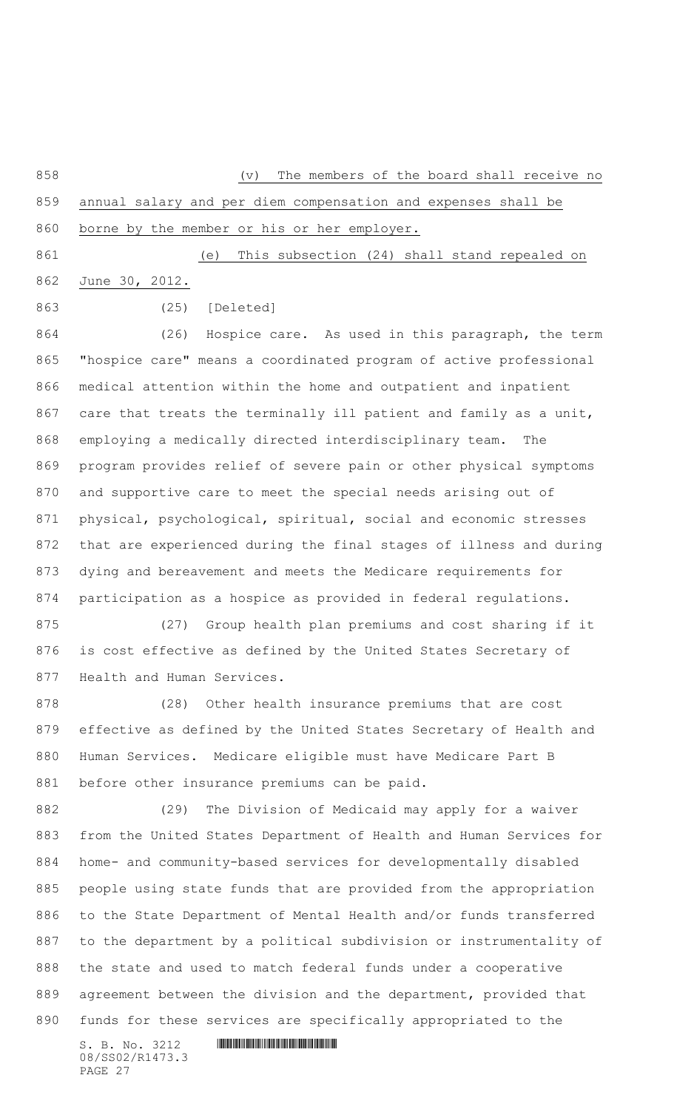(v) The members of the board shall receive no

 annual salary and per diem compensation and expenses shall be borne by the member or his or her employer.

(e) This subsection (24) shall stand repealed on

June 30, 2012.

(25) [Deleted]

 (26) Hospice care. As used in this paragraph, the term "hospice care" means a coordinated program of active professional medical attention within the home and outpatient and inpatient 867 care that treats the terminally ill patient and family as a unit, employing a medically directed interdisciplinary team. The program provides relief of severe pain or other physical symptoms and supportive care to meet the special needs arising out of physical, psychological, spiritual, social and economic stresses that are experienced during the final stages of illness and during dying and bereavement and meets the Medicare requirements for participation as a hospice as provided in federal regulations.

 (27) Group health plan premiums and cost sharing if it is cost effective as defined by the United States Secretary of Health and Human Services.

 (28) Other health insurance premiums that are cost effective as defined by the United States Secretary of Health and Human Services. Medicare eligible must have Medicare Part B before other insurance premiums can be paid.

 (29) The Division of Medicaid may apply for a waiver from the United States Department of Health and Human Services for home- and community-based services for developmentally disabled people using state funds that are provided from the appropriation to the State Department of Mental Health and/or funds transferred to the department by a political subdivision or instrumentality of the state and used to match federal funds under a cooperative agreement between the division and the department, provided that funds for these services are specifically appropriated to the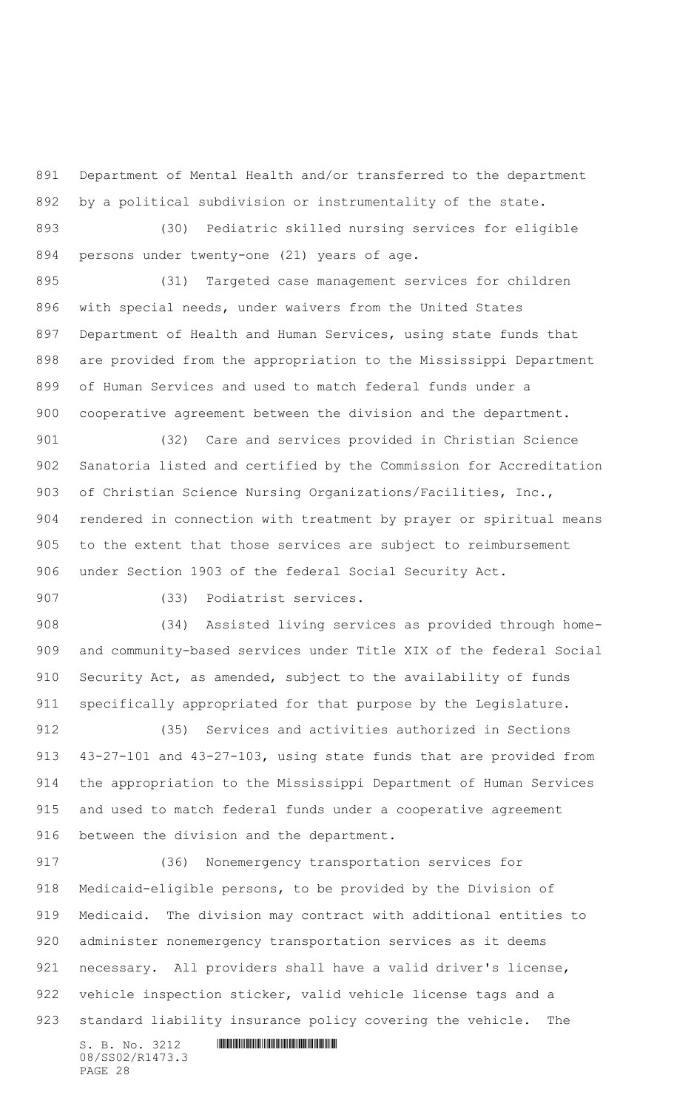Department of Mental Health and/or transferred to the department by a political subdivision or instrumentality of the state.

 (30) Pediatric skilled nursing services for eligible persons under twenty-one (21) years of age.

 (31) Targeted case management services for children with special needs, under waivers from the United States Department of Health and Human Services, using state funds that are provided from the appropriation to the Mississippi Department of Human Services and used to match federal funds under a cooperative agreement between the division and the department.

 (32) Care and services provided in Christian Science Sanatoria listed and certified by the Commission for Accreditation of Christian Science Nursing Organizations/Facilities, Inc., rendered in connection with treatment by prayer or spiritual means to the extent that those services are subject to reimbursement under Section 1903 of the federal Social Security Act.

(33) Podiatrist services.

 (34) Assisted living services as provided through home- and community-based services under Title XIX of the federal Social Security Act, as amended, subject to the availability of funds specifically appropriated for that purpose by the Legislature.

 (35) Services and activities authorized in Sections 43-27-101 and 43-27-103, using state funds that are provided from the appropriation to the Mississippi Department of Human Services and used to match federal funds under a cooperative agreement between the division and the department.

 $S. B. No. 3212$  **INNIFICALLY AND ALL AND ALL AND ADDRESS**  (36) Nonemergency transportation services for Medicaid-eligible persons, to be provided by the Division of Medicaid. The division may contract with additional entities to administer nonemergency transportation services as it deems necessary. All providers shall have a valid driver's license, vehicle inspection sticker, valid vehicle license tags and a standard liability insurance policy covering the vehicle. The

08/SS02/R1473.3 PAGE 28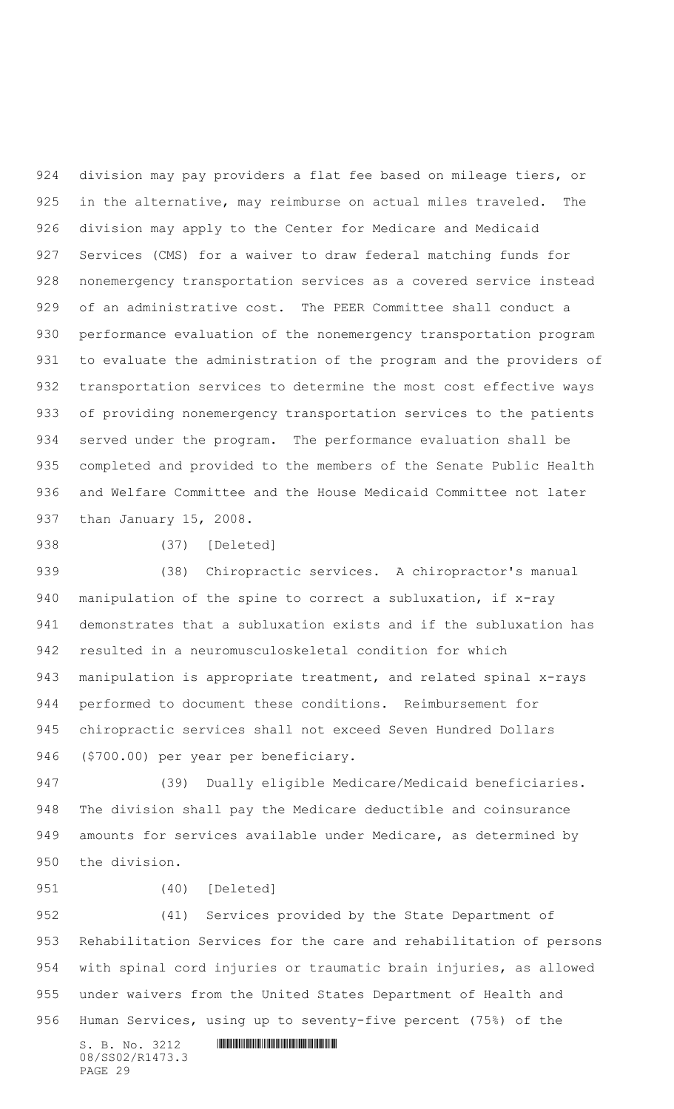division may pay providers a flat fee based on mileage tiers, or in the alternative, may reimburse on actual miles traveled. The division may apply to the Center for Medicare and Medicaid Services (CMS) for a waiver to draw federal matching funds for nonemergency transportation services as a covered service instead of an administrative cost. The PEER Committee shall conduct a performance evaluation of the nonemergency transportation program to evaluate the administration of the program and the providers of transportation services to determine the most cost effective ways of providing nonemergency transportation services to the patients served under the program. The performance evaluation shall be completed and provided to the members of the Senate Public Health and Welfare Committee and the House Medicaid Committee not later than January 15, 2008.

(37) [Deleted]

 (38) Chiropractic services. A chiropractor's manual manipulation of the spine to correct a subluxation, if x-ray demonstrates that a subluxation exists and if the subluxation has resulted in a neuromusculoskeletal condition for which manipulation is appropriate treatment, and related spinal x-rays performed to document these conditions. Reimbursement for chiropractic services shall not exceed Seven Hundred Dollars (\$700.00) per year per beneficiary.

 (39) Dually eligible Medicare/Medicaid beneficiaries. The division shall pay the Medicare deductible and coinsurance amounts for services available under Medicare, as determined by the division.

#### (40) [Deleted]

 (41) Services provided by the State Department of Rehabilitation Services for the care and rehabilitation of persons with spinal cord injuries or traumatic brain injuries, as allowed under waivers from the United States Department of Health and Human Services, using up to seventy-five percent (75%) of the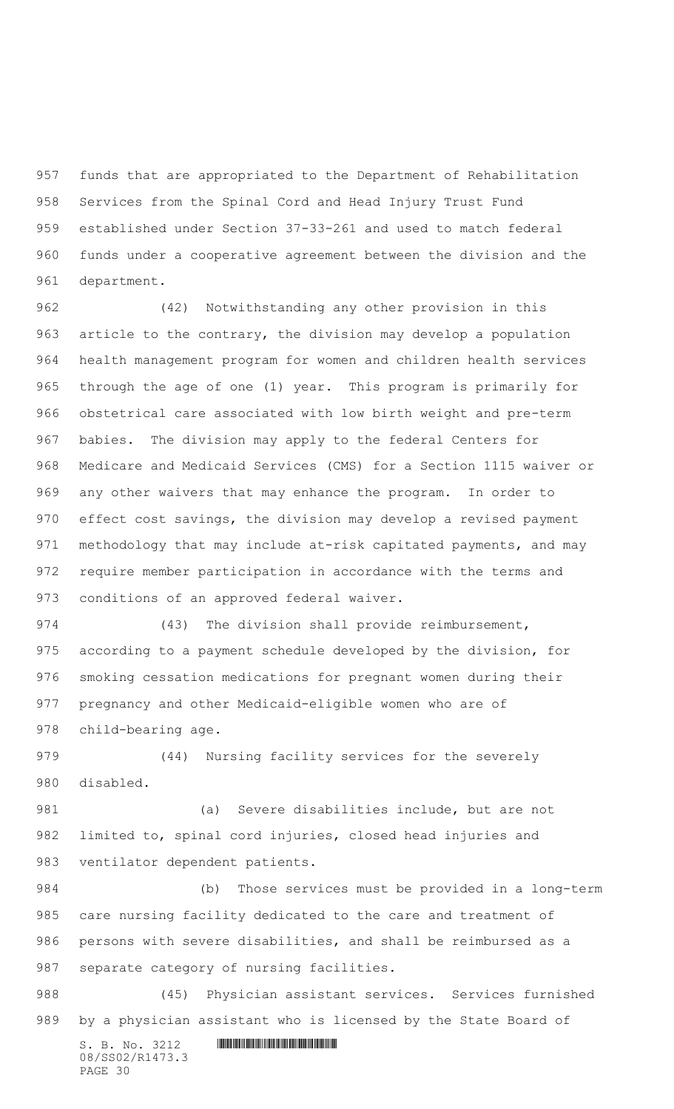funds that are appropriated to the Department of Rehabilitation Services from the Spinal Cord and Head Injury Trust Fund established under Section 37-33-261 and used to match federal funds under a cooperative agreement between the division and the department.

 (42) Notwithstanding any other provision in this article to the contrary, the division may develop a population health management program for women and children health services through the age of one (1) year. This program is primarily for obstetrical care associated with low birth weight and pre-term babies. The division may apply to the federal Centers for Medicare and Medicaid Services (CMS) for a Section 1115 waiver or any other waivers that may enhance the program. In order to effect cost savings, the division may develop a revised payment 971 methodology that may include at-risk capitated payments, and may require member participation in accordance with the terms and conditions of an approved federal waiver.

 (43) The division shall provide reimbursement, according to a payment schedule developed by the division, for smoking cessation medications for pregnant women during their pregnancy and other Medicaid-eligible women who are of child-bearing age.

 (44) Nursing facility services for the severely disabled.

 (a) Severe disabilities include, but are not limited to, spinal cord injuries, closed head injuries and ventilator dependent patients.

 (b) Those services must be provided in a long-term care nursing facility dedicated to the care and treatment of persons with severe disabilities, and shall be reimbursed as a separate category of nursing facilities.

 (45) Physician assistant services. Services furnished by a physician assistant who is licensed by the State Board of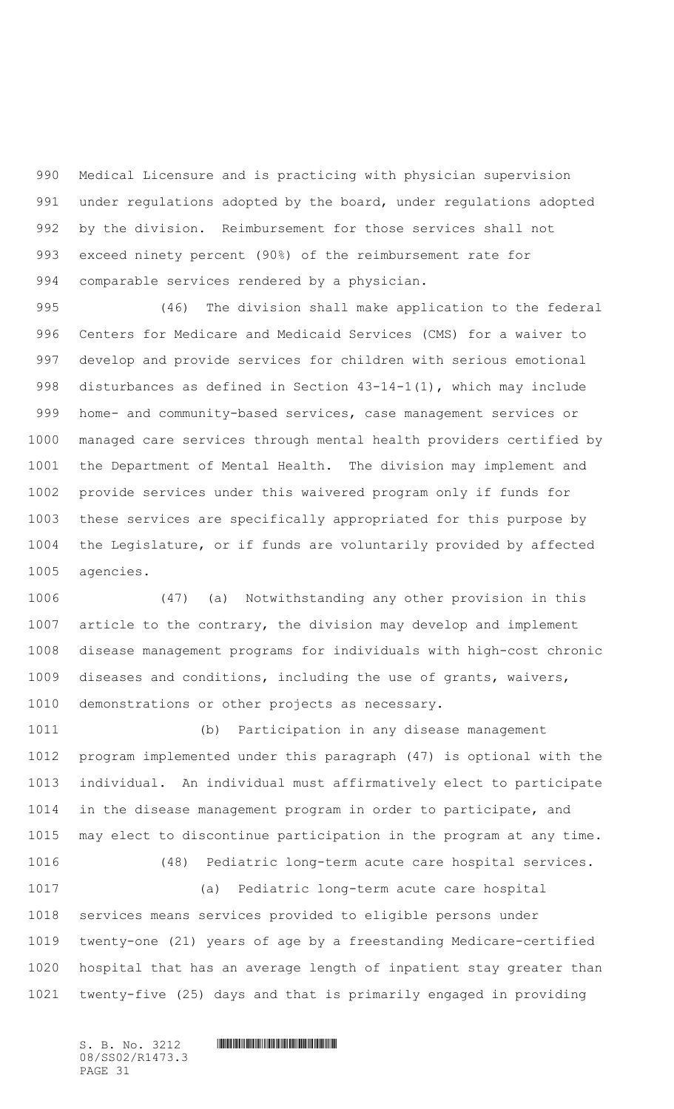Medical Licensure and is practicing with physician supervision under regulations adopted by the board, under regulations adopted by the division. Reimbursement for those services shall not exceed ninety percent (90%) of the reimbursement rate for comparable services rendered by a physician.

 (46) The division shall make application to the federal Centers for Medicare and Medicaid Services (CMS) for a waiver to develop and provide services for children with serious emotional disturbances as defined in Section 43-14-1(1), which may include home- and community-based services, case management services or managed care services through mental health providers certified by the Department of Mental Health. The division may implement and provide services under this waivered program only if funds for these services are specifically appropriated for this purpose by the Legislature, or if funds are voluntarily provided by affected agencies.

 (47) (a) Notwithstanding any other provision in this article to the contrary, the division may develop and implement disease management programs for individuals with high-cost chronic diseases and conditions, including the use of grants, waivers, demonstrations or other projects as necessary.

 (b) Participation in any disease management program implemented under this paragraph (47) is optional with the individual. An individual must affirmatively elect to participate in the disease management program in order to participate, and may elect to discontinue participation in the program at any time. (48) Pediatric long-term acute care hospital services. (a) Pediatric long-term acute care hospital services means services provided to eligible persons under twenty-one (21) years of age by a freestanding Medicare-certified hospital that has an average length of inpatient stay greater than twenty-five (25) days and that is primarily engaged in providing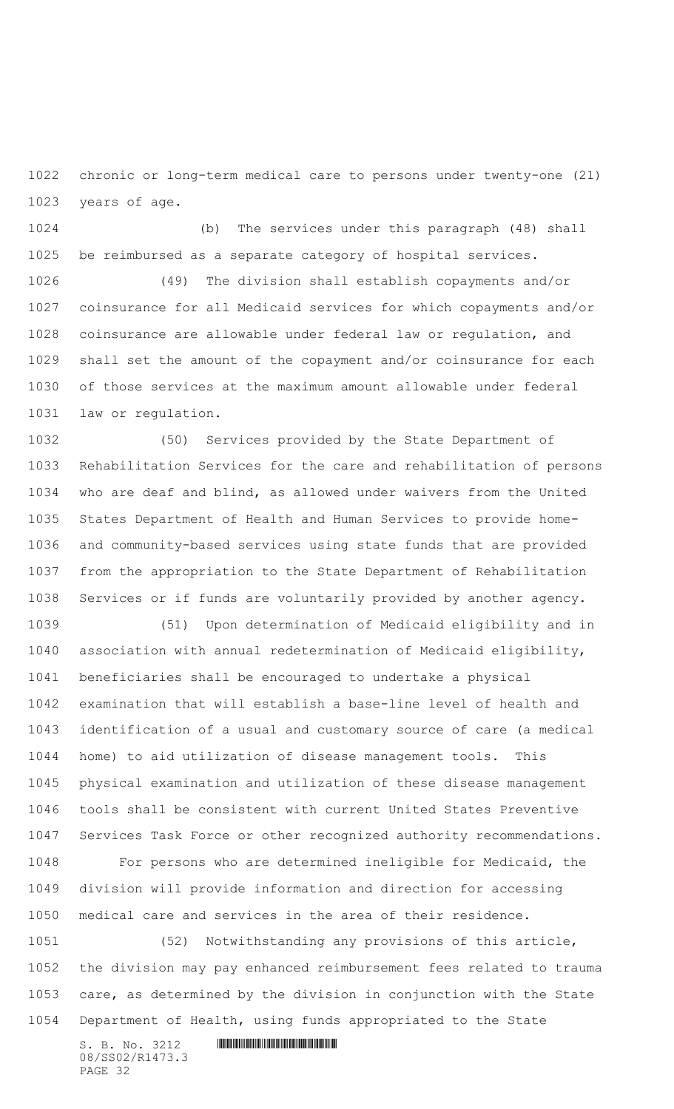chronic or long-term medical care to persons under twenty-one (21) years of age.

 (b) The services under this paragraph (48) shall be reimbursed as a separate category of hospital services.

 (49) The division shall establish copayments and/or coinsurance for all Medicaid services for which copayments and/or coinsurance are allowable under federal law or regulation, and shall set the amount of the copayment and/or coinsurance for each of those services at the maximum amount allowable under federal law or regulation.

 (50) Services provided by the State Department of Rehabilitation Services for the care and rehabilitation of persons who are deaf and blind, as allowed under waivers from the United States Department of Health and Human Services to provide home- and community-based services using state funds that are provided from the appropriation to the State Department of Rehabilitation Services or if funds are voluntarily provided by another agency.

 (51) Upon determination of Medicaid eligibility and in association with annual redetermination of Medicaid eligibility, beneficiaries shall be encouraged to undertake a physical examination that will establish a base-line level of health and identification of a usual and customary source of care (a medical home) to aid utilization of disease management tools. This physical examination and utilization of these disease management tools shall be consistent with current United States Preventive Services Task Force or other recognized authority recommendations. For persons who are determined ineligible for Medicaid, the division will provide information and direction for accessing medical care and services in the area of their residence. (52) Notwithstanding any provisions of this article,

 the division may pay enhanced reimbursement fees related to trauma care, as determined by the division in conjunction with the State Department of Health, using funds appropriated to the State

S. B. No. 3212 \*SS02/R1473.3\* 08/SS02/R1473.3 PAGE 32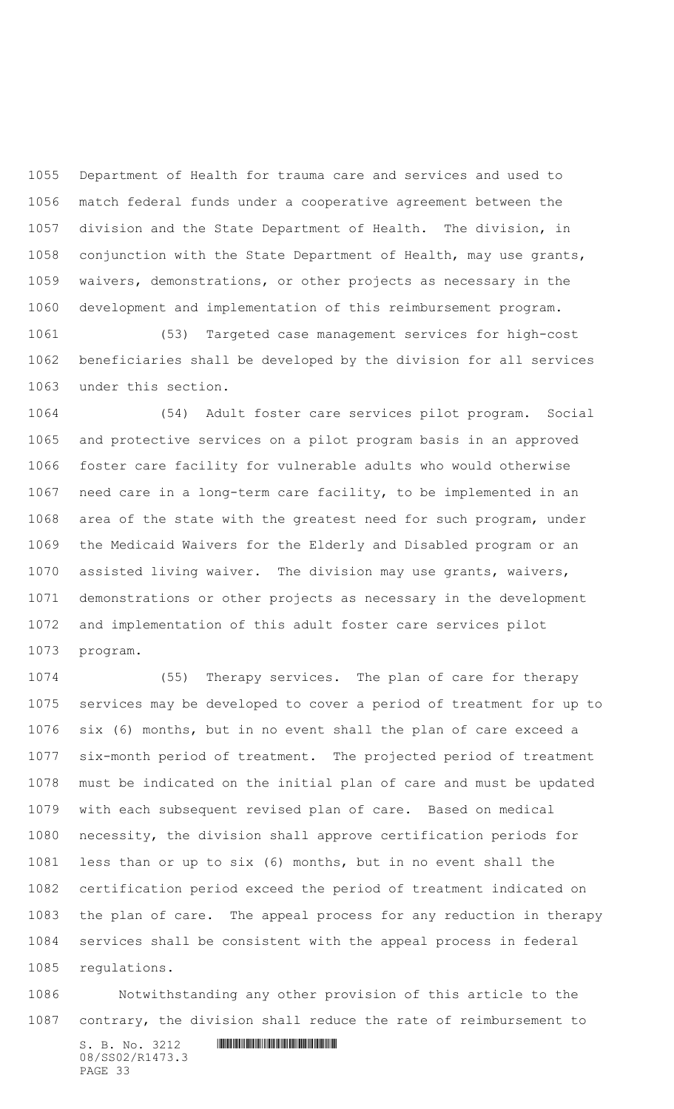Department of Health for trauma care and services and used to match federal funds under a cooperative agreement between the division and the State Department of Health. The division, in conjunction with the State Department of Health, may use grants, waivers, demonstrations, or other projects as necessary in the development and implementation of this reimbursement program.

 (53) Targeted case management services for high-cost beneficiaries shall be developed by the division for all services under this section.

 (54) Adult foster care services pilot program. Social and protective services on a pilot program basis in an approved foster care facility for vulnerable adults who would otherwise need care in a long-term care facility, to be implemented in an area of the state with the greatest need for such program, under the Medicaid Waivers for the Elderly and Disabled program or an assisted living waiver. The division may use grants, waivers, demonstrations or other projects as necessary in the development and implementation of this adult foster care services pilot program.

 (55) Therapy services. The plan of care for therapy services may be developed to cover a period of treatment for up to six (6) months, but in no event shall the plan of care exceed a six-month period of treatment. The projected period of treatment must be indicated on the initial plan of care and must be updated with each subsequent revised plan of care. Based on medical necessity, the division shall approve certification periods for less than or up to six (6) months, but in no event shall the certification period exceed the period of treatment indicated on the plan of care. The appeal process for any reduction in therapy services shall be consistent with the appeal process in federal regulations.

 Notwithstanding any other provision of this article to the contrary, the division shall reduce the rate of reimbursement to

 $S. B. No. 3212$  **INNIFICALLY AND INTERNATIONAL CONTRACT AND INTERNATIONAL CONTRACT AND INTERNATIONAL CONTRACT AND INTERNATIONAL CONTRACT AND INTERNATIONAL CONTRACT AND INTERNATIONAL CONTRACT OF A SECOND AND INTERNATIONAL CO** 08/SS02/R1473.3 PAGE 33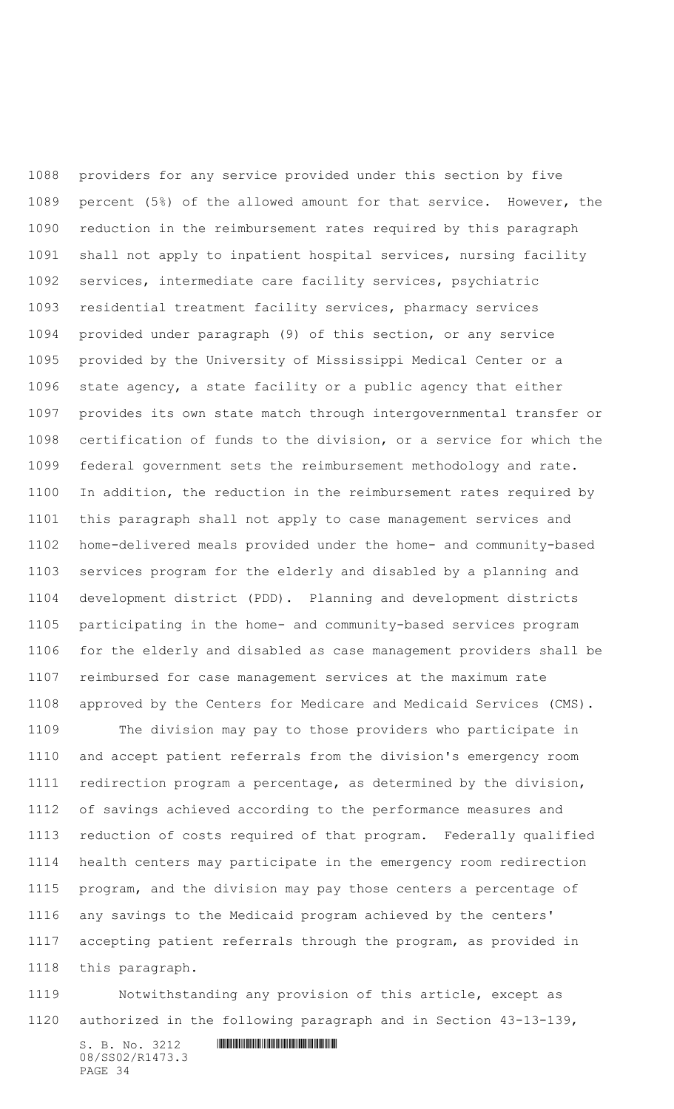providers for any service provided under this section by five percent (5%) of the allowed amount for that service. However, the reduction in the reimbursement rates required by this paragraph shall not apply to inpatient hospital services, nursing facility services, intermediate care facility services, psychiatric residential treatment facility services, pharmacy services provided under paragraph (9) of this section, or any service provided by the University of Mississippi Medical Center or a state agency, a state facility or a public agency that either provides its own state match through intergovernmental transfer or certification of funds to the division, or a service for which the federal government sets the reimbursement methodology and rate. In addition, the reduction in the reimbursement rates required by this paragraph shall not apply to case management services and home-delivered meals provided under the home- and community-based services program for the elderly and disabled by a planning and development district (PDD). Planning and development districts participating in the home- and community-based services program for the elderly and disabled as case management providers shall be reimbursed for case management services at the maximum rate approved by the Centers for Medicare and Medicaid Services (CMS).

 The division may pay to those providers who participate in and accept patient referrals from the division's emergency room redirection program a percentage, as determined by the division, of savings achieved according to the performance measures and reduction of costs required of that program. Federally qualified health centers may participate in the emergency room redirection program, and the division may pay those centers a percentage of any savings to the Medicaid program achieved by the centers' accepting patient referrals through the program, as provided in this paragraph.

 Notwithstanding any provision of this article, except as authorized in the following paragraph and in Section 43-13-139,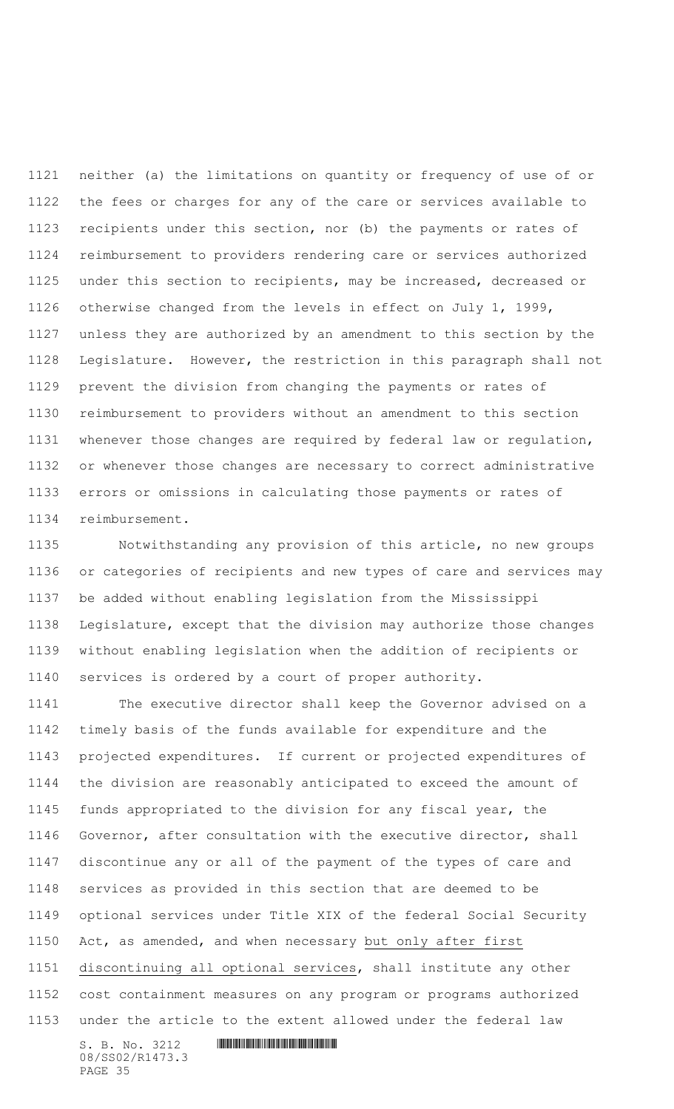neither (a) the limitations on quantity or frequency of use of or the fees or charges for any of the care or services available to recipients under this section, nor (b) the payments or rates of reimbursement to providers rendering care or services authorized under this section to recipients, may be increased, decreased or otherwise changed from the levels in effect on July 1, 1999, unless they are authorized by an amendment to this section by the Legislature. However, the restriction in this paragraph shall not prevent the division from changing the payments or rates of reimbursement to providers without an amendment to this section whenever those changes are required by federal law or regulation, or whenever those changes are necessary to correct administrative errors or omissions in calculating those payments or rates of reimbursement.

 Notwithstanding any provision of this article, no new groups or categories of recipients and new types of care and services may be added without enabling legislation from the Mississippi Legislature, except that the division may authorize those changes without enabling legislation when the addition of recipients or services is ordered by a court of proper authority.

 The executive director shall keep the Governor advised on a timely basis of the funds available for expenditure and the projected expenditures. If current or projected expenditures of the division are reasonably anticipated to exceed the amount of funds appropriated to the division for any fiscal year, the Governor, after consultation with the executive director, shall discontinue any or all of the payment of the types of care and services as provided in this section that are deemed to be optional services under Title XIX of the federal Social Security Act, as amended, and when necessary but only after first discontinuing all optional services, shall institute any other cost containment measures on any program or programs authorized under the article to the extent allowed under the federal law

 $S. B. No. 3212$  **IN ALGEBRAY FOR A SET AND A SET AND A** SET AND **RESPONDED A SET AND A** 08/SS02/R1473.3 PAGE 35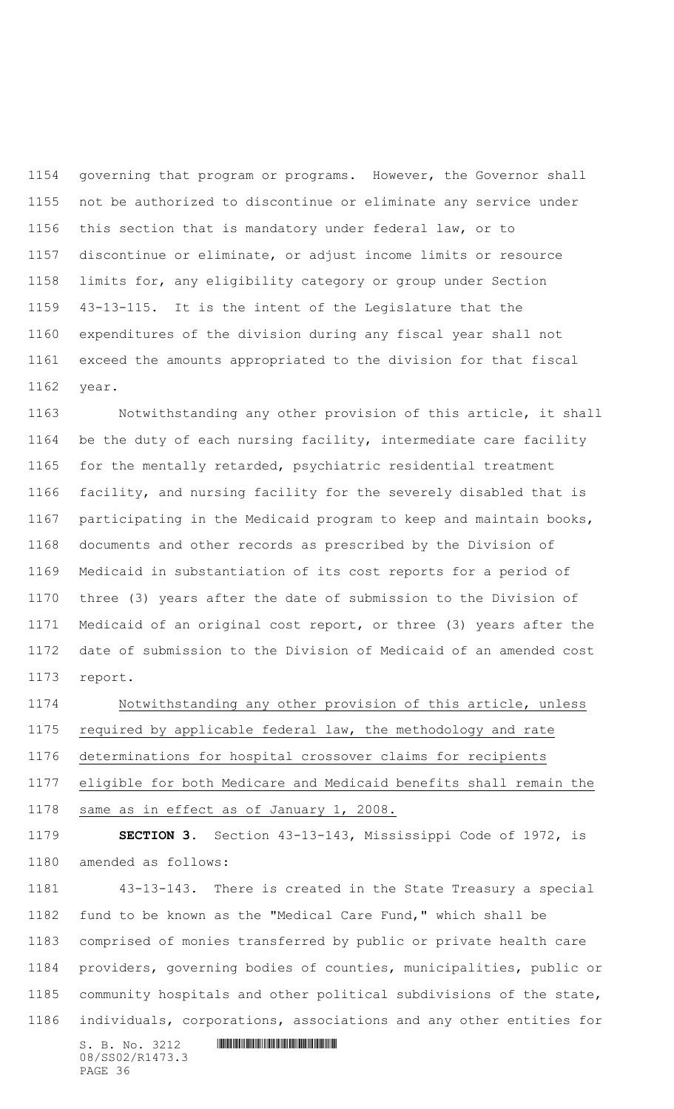governing that program or programs.However, the Governor shall not be authorized to discontinue or eliminate any service under this section that is mandatory under federal law, or to discontinue or eliminate, or adjust income limits or resource limits for, any eligibility category or group under Section 43-13-115.It is the intent of the Legislature that the expenditures of the division during any fiscal year shall not exceed the amounts appropriated to the division for that fiscal year.

 Notwithstanding any other provision of this article, it shall be the duty of each nursing facility, intermediate care facility for the mentally retarded, psychiatric residential treatment facility, and nursing facility for the severely disabled that is participating in the Medicaid program to keep and maintain books, documents and other records as prescribed by the Division of Medicaid in substantiation of its cost reports for a period of three (3) years after the date of submission to the Division of Medicaid of an original cost report, or three (3) years after the date of submission to the Division of Medicaid of an amended cost report.

 Notwithstanding any other provision of this article, unless required by applicable federal law, the methodology and rate determinations for hospital crossover claims for recipients eligible for both Medicare and Medicaid benefits shall remain the same as in effect as of January 1, 2008.

 **SECTION 3.** Section 43-13-143, Mississippi Code of 1972, is amended as follows:

 43-13-143. There is created in the State Treasury a special fund to be known as the "Medical Care Fund," which shall be comprised of monies transferred by public or private health care providers, governing bodies of counties, municipalities, public or community hospitals and other political subdivisions of the state, individuals, corporations, associations and any other entities for

S. B. No. 3212 \*SS02/R1473.3\* 08/SS02/R1473.3 PAGE 36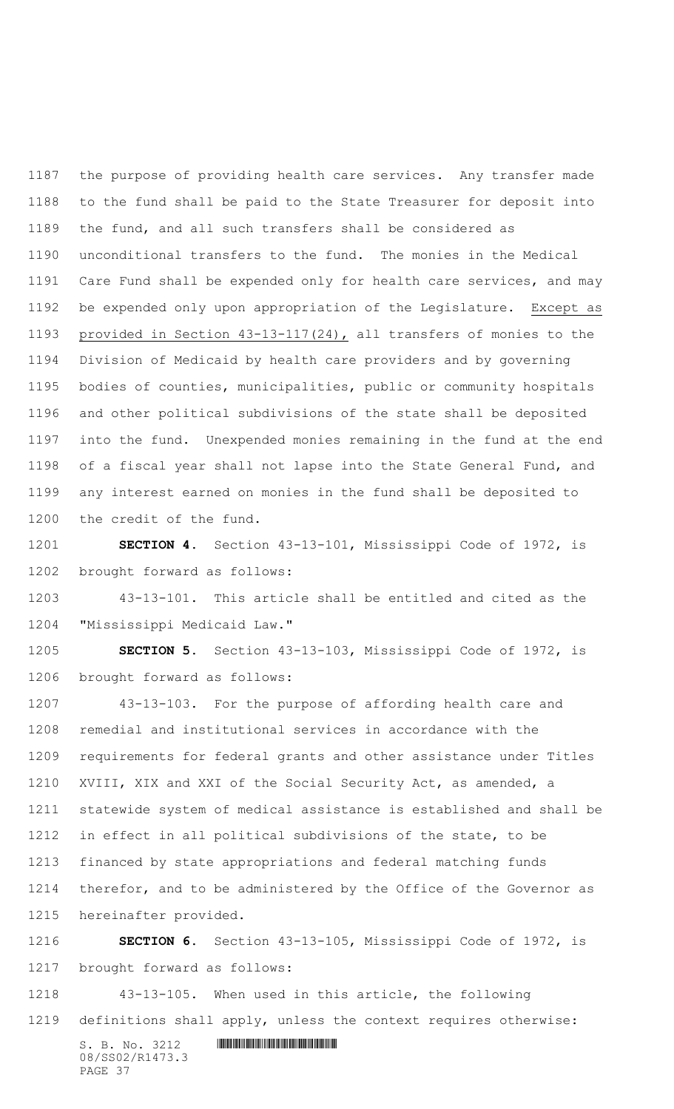the purpose of providing health care services. Any transfer made to the fund shall be paid to the State Treasurer for deposit into the fund, and all such transfers shall be considered as unconditional transfers to the fund. The monies in the Medical Care Fund shall be expended only for health care services, and may be expended only upon appropriation of the Legislature. Except as provided in Section 43-13-117(24), all transfers of monies to the Division of Medicaid by health care providers and by governing bodies of counties, municipalities, public or community hospitals and other political subdivisions of the state shall be deposited into the fund. Unexpended monies remaining in the fund at the end of a fiscal year shall not lapse into the State General Fund, and any interest earned on monies in the fund shall be deposited to the credit of the fund.

 **SECTION 4.** Section 43-13-101, Mississippi Code of 1972, is brought forward as follows:

 43-13-101. This article shall be entitled and cited as the "Mississippi Medicaid Law."

 **SECTION 5.** Section 43-13-103, Mississippi Code of 1972, is brought forward as follows:

 43-13-103. For the purpose of affording health care and remedial and institutional services in accordance with the requirements for federal grants and other assistance under Titles XVIII, XIX and XXI of the Social Security Act, as amended, a statewide system of medical assistance is established and shall be in effect in all political subdivisions of the state, to be financed by state appropriations and federal matching funds therefor, and to be administered by the Office of the Governor as hereinafter provided.

 **SECTION 6.** Section 43-13-105, Mississippi Code of 1972, is brought forward as follows:

 43-13-105. When used in this article, the following definitions shall apply, unless the context requires otherwise: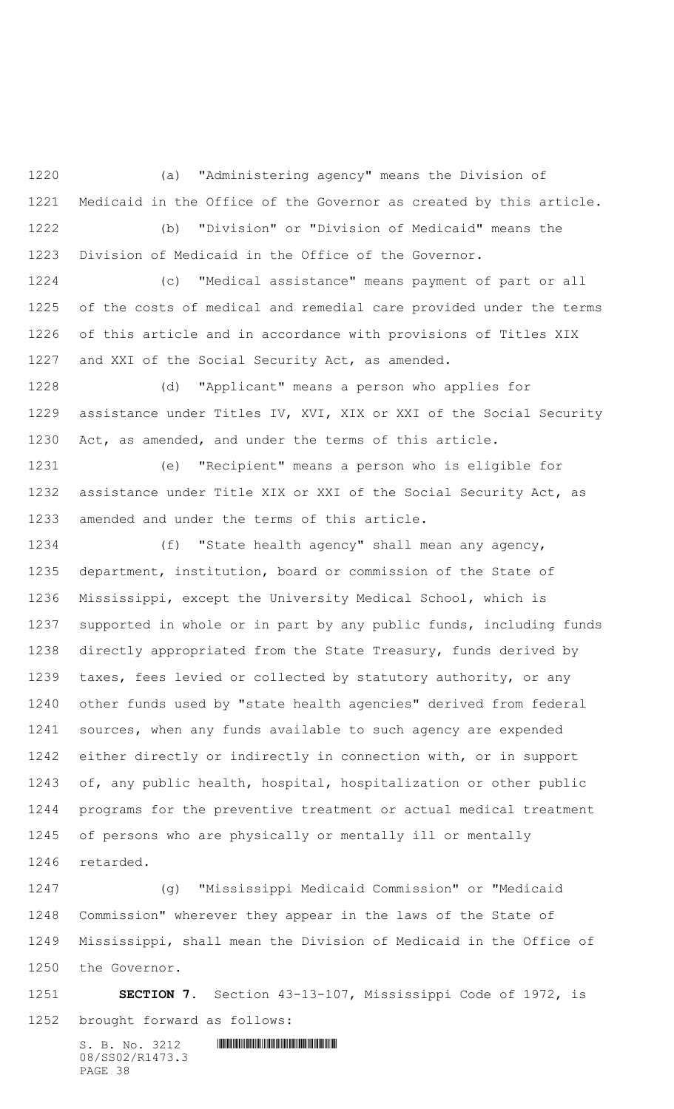(a) "Administering agency" means the Division of Medicaid in the Office of the Governor as created by this article. (b) "Division" or "Division of Medicaid" means the Division of Medicaid in the Office of the Governor.

 (c) "Medical assistance" means payment of part or all of the costs of medical and remedial care provided under the terms of this article and in accordance with provisions of Titles XIX and XXI of the Social Security Act, as amended.

 (d) "Applicant" means a person who applies for assistance under Titles IV, XVI, XIX or XXI of the Social Security Act, as amended, and under the terms of this article.

 (e) "Recipient" means a person who is eligible for assistance under Title XIX or XXI of the Social Security Act, as amended and under the terms of this article.

 (f) "State health agency" shall mean any agency, department, institution, board or commission of the State of Mississippi, except the University Medical School, which is supported in whole or in part by any public funds, including funds directly appropriated from the State Treasury, funds derived by taxes, fees levied or collected by statutory authority, or any other funds used by "state health agencies" derived from federal sources, when any funds available to such agency are expended either directly or indirectly in connection with, or in support of, any public health, hospital, hospitalization or other public programs for the preventive treatment or actual medical treatment of persons who are physically or mentally ill or mentally retarded.

 (g) "Mississippi Medicaid Commission" or "Medicaid Commission" wherever they appear in the laws of the State of Mississippi, shall mean the Division of Medicaid in the Office of the Governor.

 **SECTION 7.** Section 43-13-107, Mississippi Code of 1972, is brought forward as follows: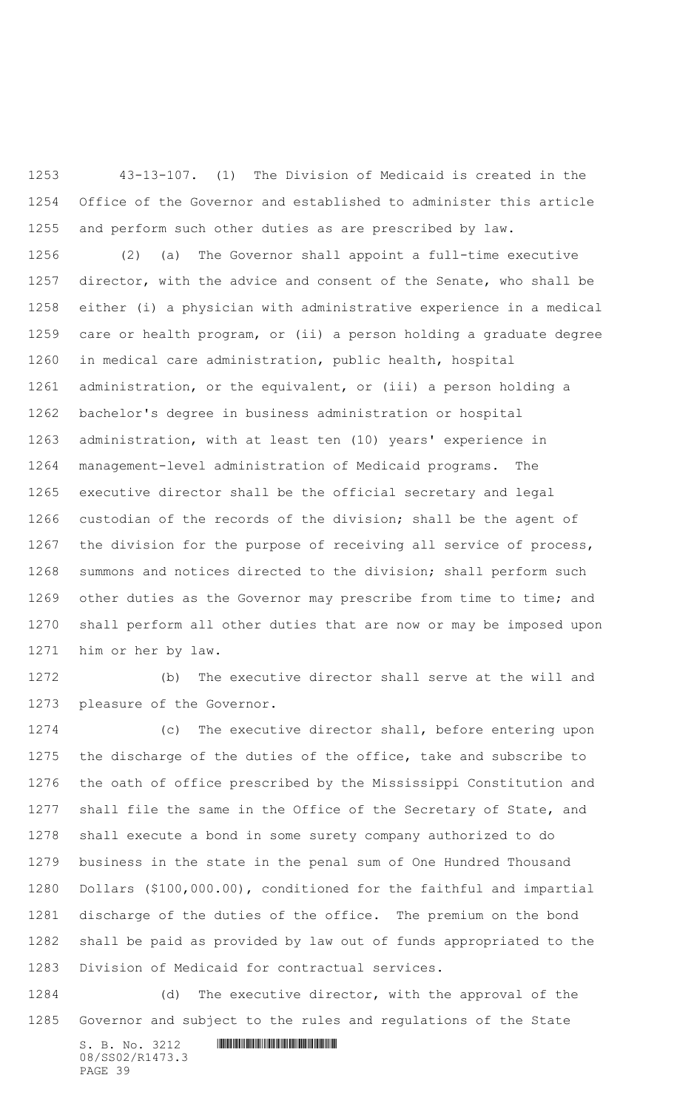43-13-107. (1) The Division of Medicaid is created in the Office of the Governor and established to administer this article and perform such other duties as are prescribed by law.

 (2) (a) The Governor shall appoint a full-time executive director, with the advice and consent of the Senate, who shall be either (i) a physician with administrative experience in a medical care or health program, or (ii) a person holding a graduate degree in medical care administration, public health, hospital administration, or the equivalent, or (iii) a person holding a bachelor's degree in business administration or hospital administration, with at least ten (10) years' experience in management-level administration of Medicaid programs. The executive director shall be the official secretary and legal custodian of the records of the division; shall be the agent of the division for the purpose of receiving all service of process, summons and notices directed to the division; shall perform such other duties as the Governor may prescribe from time to time; and shall perform all other duties that are now or may be imposed upon him or her by law.

 (b) The executive director shall serve at the will and pleasure of the Governor.

 (c) The executive director shall, before entering upon the discharge of the duties of the office, take and subscribe to the oath of office prescribed by the Mississippi Constitution and shall file the same in the Office of the Secretary of State, and shall execute a bond in some surety company authorized to do business in the state in the penal sum of One Hundred Thousand Dollars (\$100,000.00), conditioned for the faithful and impartial discharge of the duties of the office. The premium on the bond shall be paid as provided by law out of funds appropriated to the Division of Medicaid for contractual services.

 (d) The executive director, with the approval of the Governor and subject to the rules and regulations of the State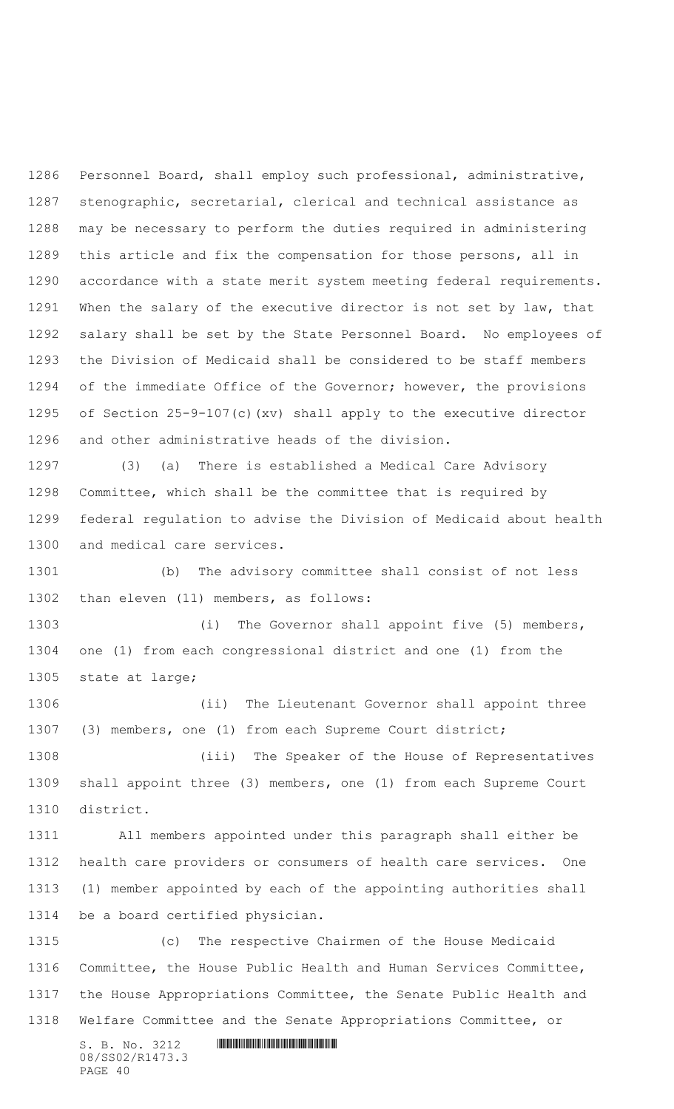Personnel Board, shall employ such professional, administrative, stenographic, secretarial, clerical and technical assistance as may be necessary to perform the duties required in administering this article and fix the compensation for those persons, all in accordance with a state merit system meeting federal requirements. When the salary of the executive director is not set by law, that salary shall be set by the State Personnel Board. No employees of the Division of Medicaid shall be considered to be staff members of the immediate Office of the Governor; however, the provisions of Section 25-9-107(c)(xv) shall apply to the executive director and other administrative heads of the division.

 (3) (a) There is established a Medical Care Advisory Committee, which shall be the committee that is required by federal regulation to advise the Division of Medicaid about health and medical care services.

 (b) The advisory committee shall consist of not less than eleven (11) members, as follows:

 (i) The Governor shall appoint five (5) members, one (1) from each congressional district and one (1) from the state at large;

 (ii) The Lieutenant Governor shall appoint three (3) members, one (1) from each Supreme Court district; (iii) The Speaker of the House of Representatives

 shall appoint three (3) members, one (1) from each Supreme Court district.

 All members appointed under this paragraph shall either be health care providers or consumers of health care services. One (1) member appointed by each of the appointing authorities shall be a board certified physician.

 (c) The respective Chairmen of the House Medicaid Committee, the House Public Health and Human Services Committee, the House Appropriations Committee, the Senate Public Health and Welfare Committee and the Senate Appropriations Committee, or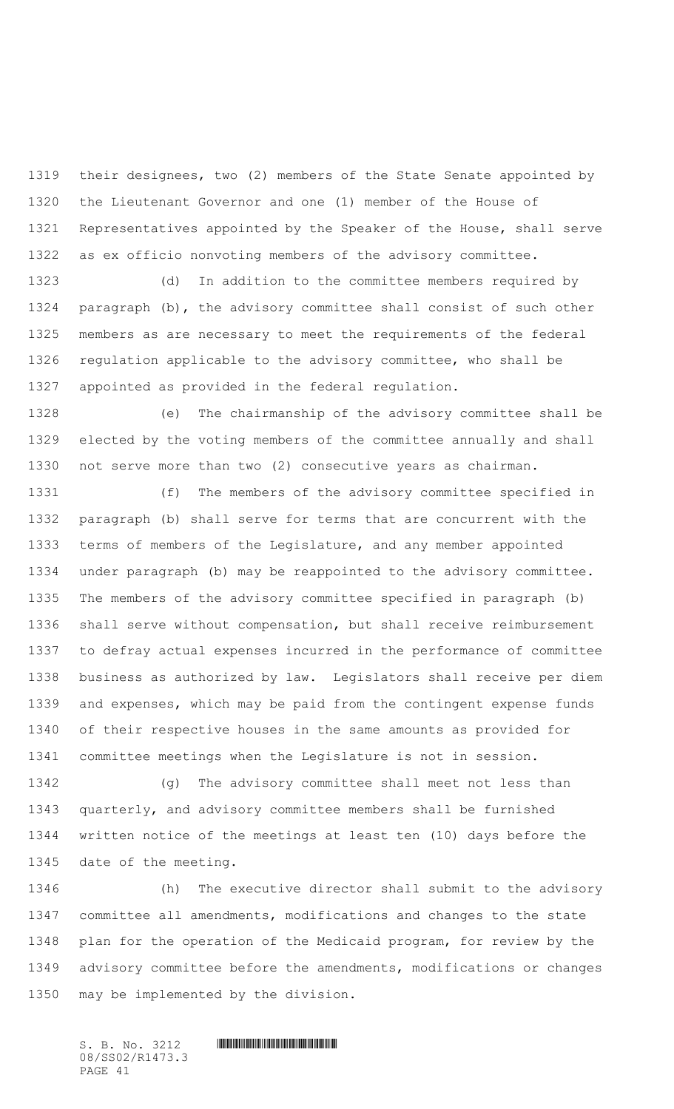their designees, two (2) members of the State Senate appointed by the Lieutenant Governor and one (1) member of the House of Representatives appointed by the Speaker of the House, shall serve as ex officio nonvoting members of the advisory committee.

 (d) In addition to the committee members required by paragraph (b), the advisory committee shall consist of such other members as are necessary to meet the requirements of the federal regulation applicable to the advisory committee, who shall be appointed as provided in the federal regulation.

 (e) The chairmanship of the advisory committee shall be elected by the voting members of the committee annually and shall not serve more than two (2) consecutive years as chairman.

 (f) The members of the advisory committee specified in paragraph (b) shall serve for terms that are concurrent with the terms of members of the Legislature, and any member appointed under paragraph (b) may be reappointed to the advisory committee. The members of the advisory committee specified in paragraph (b) shall serve without compensation, but shall receive reimbursement to defray actual expenses incurred in the performance of committee business as authorized by law. Legislators shall receive per diem and expenses, which may be paid from the contingent expense funds of their respective houses in the same amounts as provided for committee meetings when the Legislature is not in session.

 (g) The advisory committee shall meet not less than quarterly, and advisory committee members shall be furnished written notice of the meetings at least ten (10) days before the date of the meeting.

 (h) The executive director shall submit to the advisory committee all amendments, modifications and changes to the state plan for the operation of the Medicaid program, for review by the advisory committee before the amendments, modifications or changes may be implemented by the division.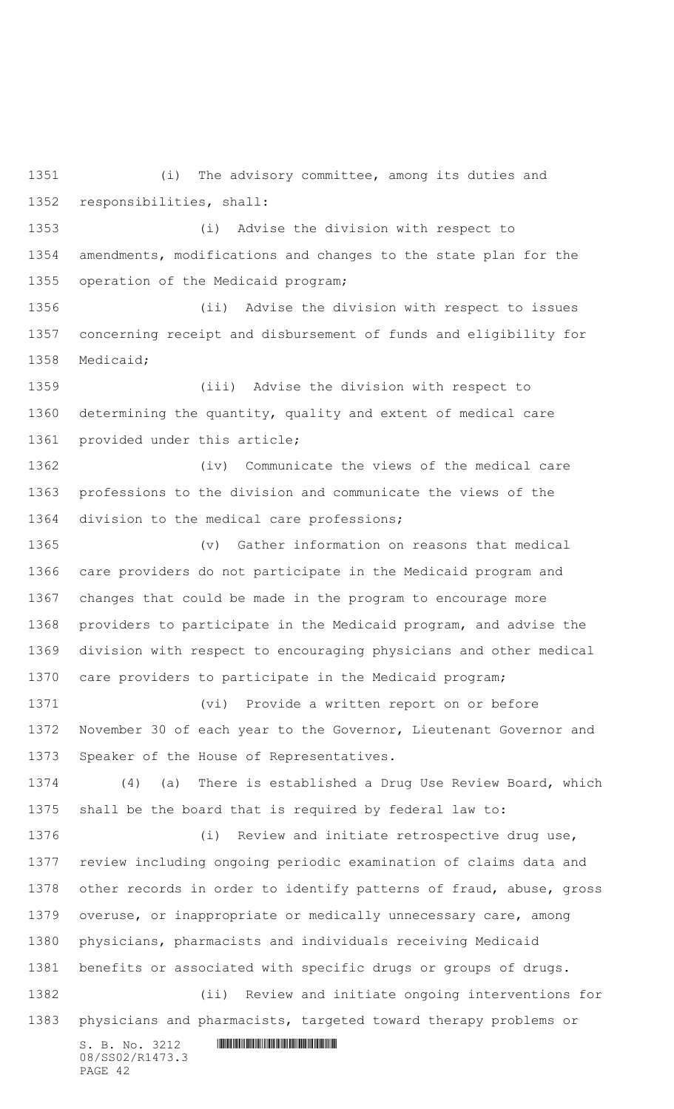(i) The advisory committee, among its duties and responsibilities, shall: (i) Advise the division with respect to amendments, modifications and changes to the state plan for the operation of the Medicaid program;

 (ii) Advise the division with respect to issues concerning receipt and disbursement of funds and eligibility for Medicaid;

 (iii) Advise the division with respect to determining the quantity, quality and extent of medical care provided under this article;

 (iv) Communicate the views of the medical care professions to the division and communicate the views of the division to the medical care professions;

 (v) Gather information on reasons that medical care providers do not participate in the Medicaid program and changes that could be made in the program to encourage more providers to participate in the Medicaid program, and advise the division with respect to encouraging physicians and other medical care providers to participate in the Medicaid program;

 (vi) Provide a written report on or before November 30 of each year to the Governor, Lieutenant Governor and Speaker of the House of Representatives.

 (4) (a) There is established a Drug Use Review Board, which shall be the board that is required by federal law to:

 (i) Review and initiate retrospective drug use, review including ongoing periodic examination of claims data and other records in order to identify patterns of fraud, abuse, gross overuse, or inappropriate or medically unnecessary care, among physicians, pharmacists and individuals receiving Medicaid benefits or associated with specific drugs or groups of drugs. (ii) Review and initiate ongoing interventions for physicians and pharmacists, targeted toward therapy problems or

S. B. No. 3212 \*SS02/R1473.3\* 08/SS02/R1473.3 PAGE 42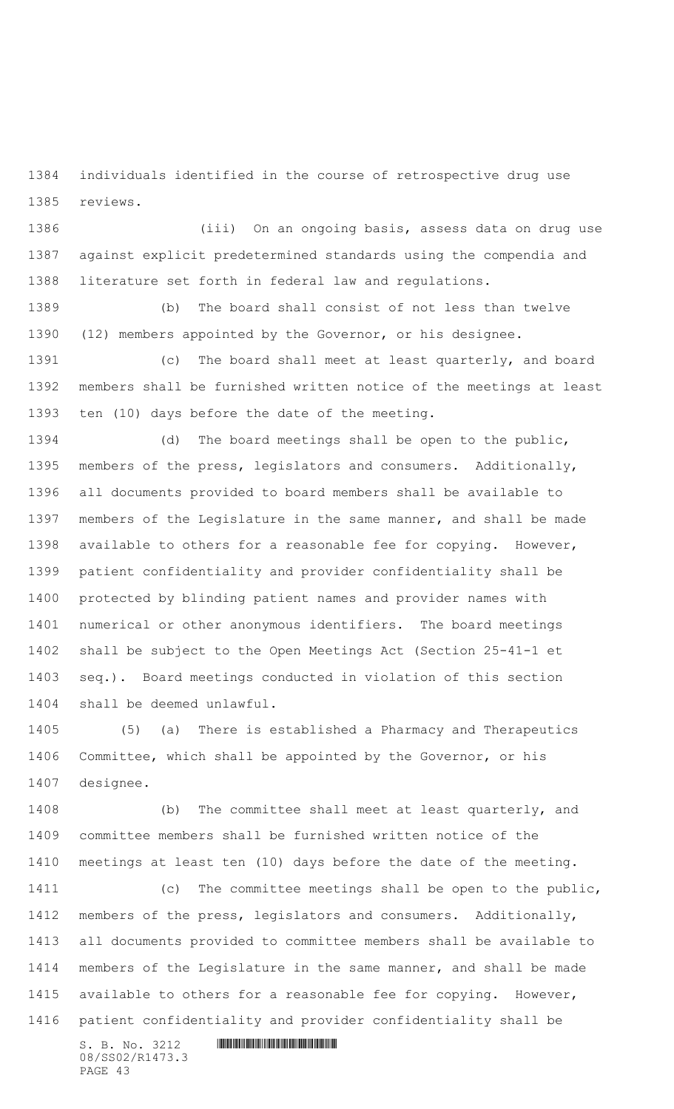individuals identified in the course of retrospective drug use reviews.

 (iii) On an ongoing basis, assess data on drug use against explicit predetermined standards using the compendia and literature set forth in federal law and regulations.

 (b) The board shall consist of not less than twelve (12) members appointed by the Governor, or his designee.

 (c) The board shall meet at least quarterly, and board members shall be furnished written notice of the meetings at least ten (10) days before the date of the meeting.

 (d) The board meetings shall be open to the public, members of the press, legislators and consumers. Additionally, all documents provided to board members shall be available to members of the Legislature in the same manner, and shall be made available to others for a reasonable fee for copying. However, patient confidentiality and provider confidentiality shall be protected by blinding patient names and provider names with numerical or other anonymous identifiers. The board meetings shall be subject to the Open Meetings Act (Section 25-41-1 et seq.). Board meetings conducted in violation of this section shall be deemed unlawful.

 (5) (a) There is established a Pharmacy and Therapeutics Committee, which shall be appointed by the Governor, or his designee.

 (b) The committee shall meet at least quarterly, and committee members shall be furnished written notice of the meetings at least ten (10) days before the date of the meeting.

 (c) The committee meetings shall be open to the public, members of the press, legislators and consumers. Additionally, all documents provided to committee members shall be available to members of the Legislature in the same manner, and shall be made available to others for a reasonable fee for copying. However, patient confidentiality and provider confidentiality shall be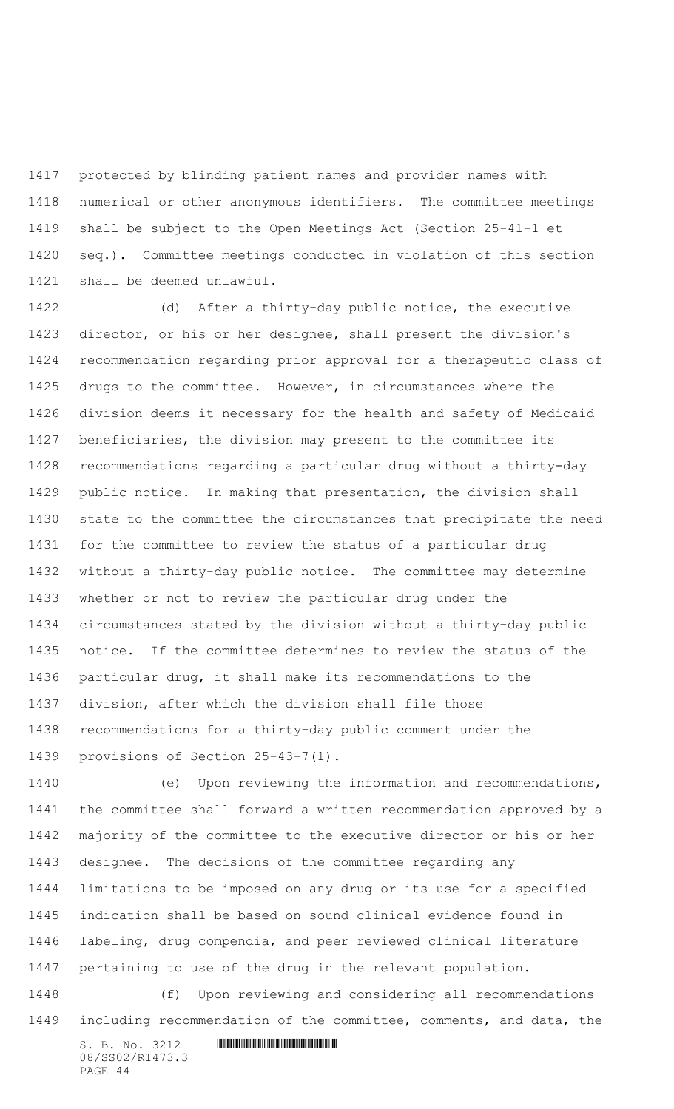protected by blinding patient names and provider names with numerical or other anonymous identifiers. The committee meetings shall be subject to the Open Meetings Act (Section 25-41-1 et seq.). Committee meetings conducted in violation of this section shall be deemed unlawful.

 (d) After a thirty-day public notice, the executive director, or his or her designee, shall present the division's recommendation regarding prior approval for a therapeutic class of drugs to the committee. However, in circumstances where the division deems it necessary for the health and safety of Medicaid beneficiaries, the division may present to the committee its recommendations regarding a particular drug without a thirty-day public notice. In making that presentation, the division shall state to the committee the circumstances that precipitate the need for the committee to review the status of a particular drug without a thirty-day public notice. The committee may determine whether or not to review the particular drug under the circumstances stated by the division without a thirty-day public notice. If the committee determines to review the status of the particular drug, it shall make its recommendations to the division, after which the division shall file those recommendations for a thirty-day public comment under the provisions of Section 25-43-7(1).

 (e) Upon reviewing the information and recommendations, the committee shall forward a written recommendation approved by a majority of the committee to the executive director or his or her designee. The decisions of the committee regarding any limitations to be imposed on any drug or its use for a specified indication shall be based on sound clinical evidence found in labeling, drug compendia, and peer reviewed clinical literature pertaining to use of the drug in the relevant population.

 (f) Upon reviewing and considering all recommendations including recommendation of the committee, comments, and data, the

08/SS02/R1473.3 PAGE 44

```
S. B. No. 3212 INNIFICALLY AND ALL AND ALL AND ADDRESS
```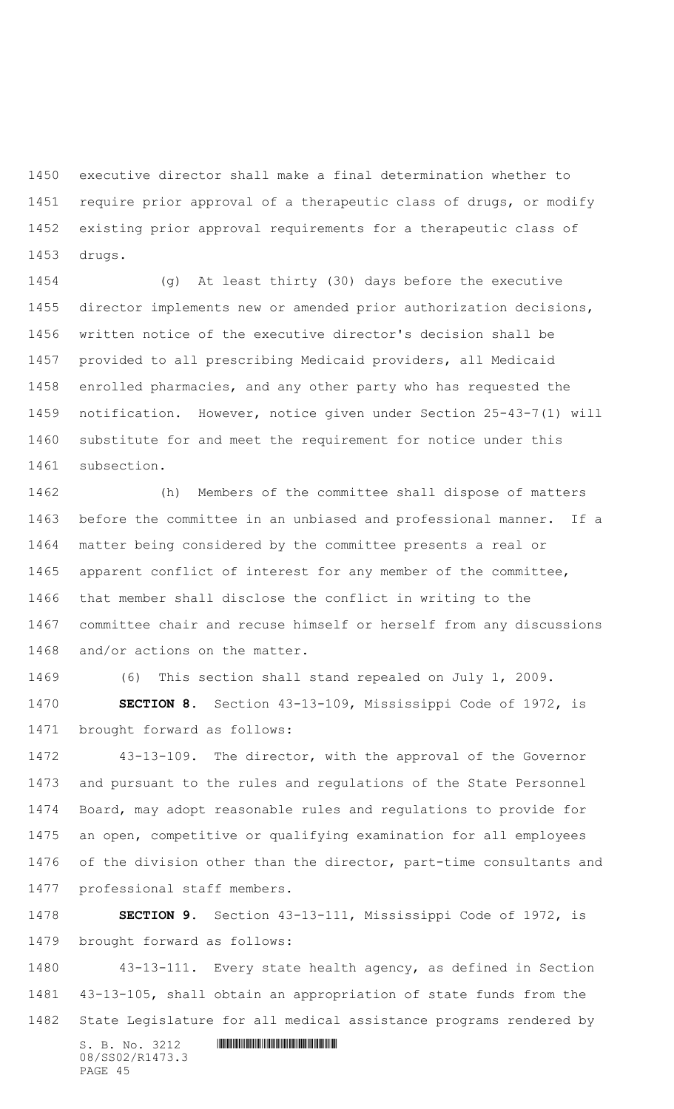executive director shall make a final determination whether to require prior approval of a therapeutic class of drugs, or modify existing prior approval requirements for a therapeutic class of drugs.

 (g) At least thirty (30) days before the executive director implements new or amended prior authorization decisions, written notice of the executive director's decision shall be provided to all prescribing Medicaid providers, all Medicaid enrolled pharmacies, and any other party who has requested the notification. However, notice given under Section 25-43-7(1) will substitute for and meet the requirement for notice under this subsection.

 (h) Members of the committee shall dispose of matters before the committee in an unbiased and professional manner. If a matter being considered by the committee presents a real or apparent conflict of interest for any member of the committee, that member shall disclose the conflict in writing to the committee chair and recuse himself or herself from any discussions and/or actions on the matter.

 (6) This section shall stand repealed on July 1, 2009. **SECTION 8.** Section 43-13-109, Mississippi Code of 1972, is brought forward as follows:

 43-13-109. The director, with the approval of the Governor and pursuant to the rules and regulations of the State Personnel Board, may adopt reasonable rules and regulations to provide for an open, competitive or qualifying examination for all employees of the division other than the director, part-time consultants and professional staff members.

 **SECTION 9.** Section 43-13-111, Mississippi Code of 1972, is brought forward as follows:

 43-13-111. Every state health agency, as defined in Section 43-13-105, shall obtain an appropriation of state funds from the State Legislature for all medical assistance programs rendered by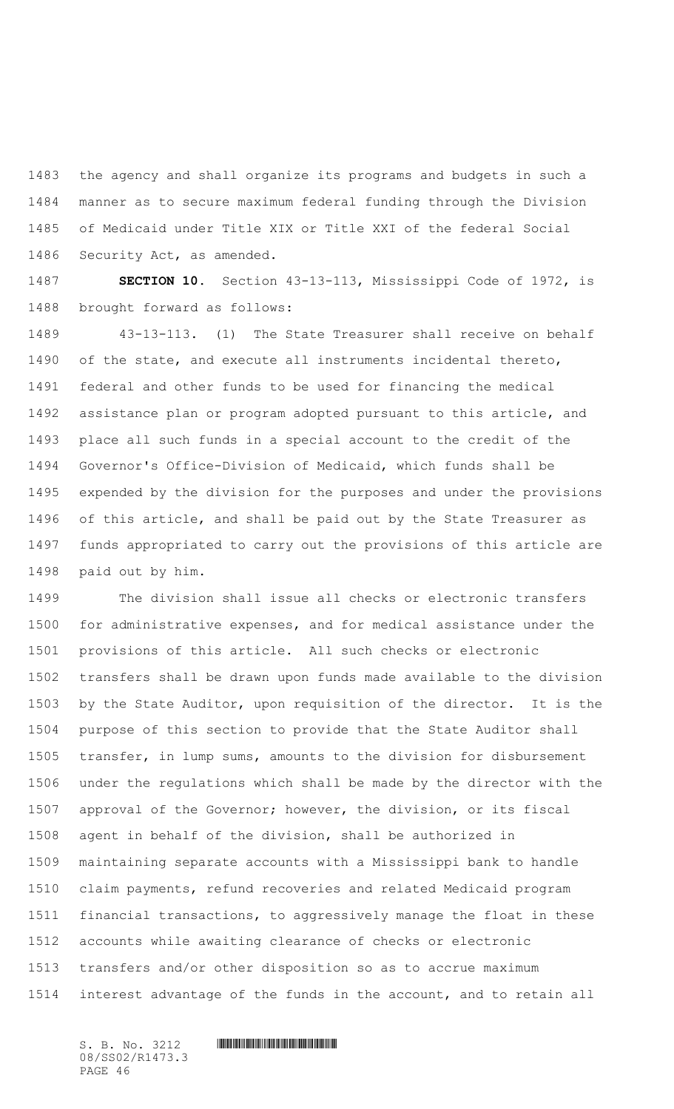the agency and shall organize its programs and budgets in such a manner as to secure maximum federal funding through the Division of Medicaid under Title XIX or Title XXI of the federal Social Security Act, as amended.

 **SECTION 10.** Section 43-13-113, Mississippi Code of 1972, is brought forward as follows:

 43-13-113. (1) The State Treasurer shall receive on behalf of the state, and execute all instruments incidental thereto, federal and other funds to be used for financing the medical assistance plan or program adopted pursuant to this article, and place all such funds in a special account to the credit of the Governor's Office-Division of Medicaid, which funds shall be expended by the division for the purposes and under the provisions of this article, and shall be paid out by the State Treasurer as funds appropriated to carry out the provisions of this article are paid out by him.

 The division shall issue all checks or electronic transfers for administrative expenses, and for medical assistance under the provisions of this article. All such checks or electronic transfers shall be drawn upon funds made available to the division by the State Auditor, upon requisition of the director. It is the purpose of this section to provide that the State Auditor shall transfer, in lump sums, amounts to the division for disbursement under the regulations which shall be made by the director with the approval of the Governor; however, the division, or its fiscal agent in behalf of the division, shall be authorized in maintaining separate accounts with a Mississippi bank to handle claim payments, refund recoveries and related Medicaid program financial transactions, to aggressively manage the float in these accounts while awaiting clearance of checks or electronic transfers and/or other disposition so as to accrue maximum interest advantage of the funds in the account, and to retain all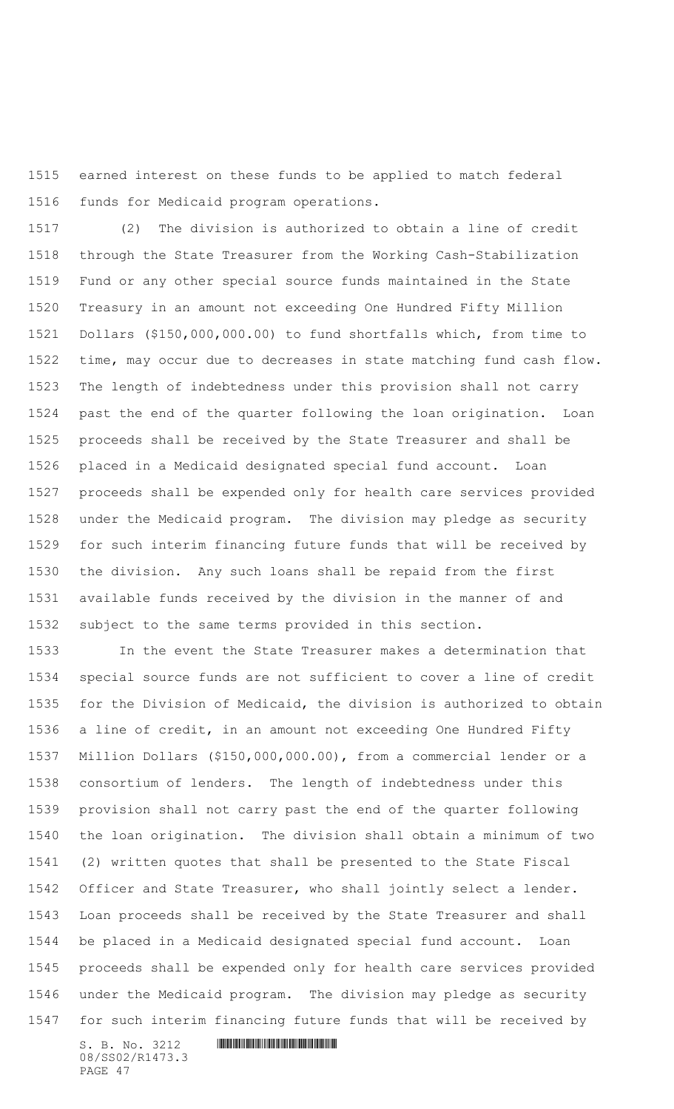earned interest on these funds to be applied to match federal funds for Medicaid program operations.

 (2) The division is authorized to obtain a line of credit through the State Treasurer from the Working Cash-Stabilization Fund or any other special source funds maintained in the State Treasury in an amount not exceeding One Hundred Fifty Million Dollars (\$150,000,000.00) to fund shortfalls which, from time to time, may occur due to decreases in state matching fund cash flow. The length of indebtedness under this provision shall not carry past the end of the quarter following the loan origination. Loan proceeds shall be received by the State Treasurer and shall be placed in a Medicaid designated special fund account. Loan proceeds shall be expended only for health care services provided under the Medicaid program. The division may pledge as security for such interim financing future funds that will be received by the division. Any such loans shall be repaid from the first available funds received by the division in the manner of and subject to the same terms provided in this section.

 In the event the State Treasurer makes a determination that special source funds are not sufficient to cover a line of credit for the Division of Medicaid, the division is authorized to obtain a line of credit, in an amount not exceeding One Hundred Fifty Million Dollars (\$150,000,000.00), from a commercial lender or a consortium of lenders. The length of indebtedness under this provision shall not carry past the end of the quarter following the loan origination. The division shall obtain a minimum of two (2) written quotes that shall be presented to the State Fiscal Officer and State Treasurer, who shall jointly select a lender. Loan proceeds shall be received by the State Treasurer and shall be placed in a Medicaid designated special fund account. Loan proceeds shall be expended only for health care services provided under the Medicaid program. The division may pledge as security for such interim financing future funds that will be received by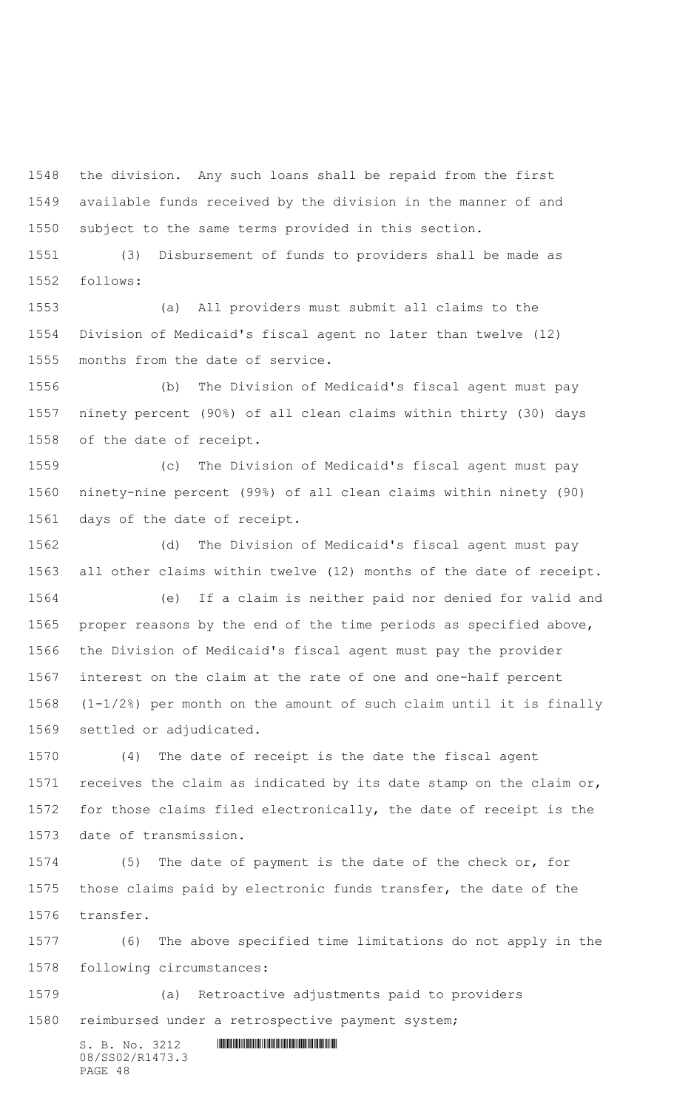the division. Any such loans shall be repaid from the first available funds received by the division in the manner of and subject to the same terms provided in this section.

 (3) Disbursement of funds to providers shall be made as follows:

 (a) All providers must submit all claims to the Division of Medicaid's fiscal agent no later than twelve (12) months from the date of service.

 (b) The Division of Medicaid's fiscal agent must pay ninety percent (90%) of all clean claims within thirty (30) days of the date of receipt.

 (c) The Division of Medicaid's fiscal agent must pay ninety-nine percent (99%) of all clean claims within ninety (90) days of the date of receipt.

 (d) The Division of Medicaid's fiscal agent must pay all other claims within twelve (12) months of the date of receipt. (e) If a claim is neither paid nor denied for valid and

 proper reasons by the end of the time periods as specified above, the Division of Medicaid's fiscal agent must pay the provider interest on the claim at the rate of one and one-half percent (1-1/2%) per month on the amount of such claim until it is finally settled or adjudicated.

 (4) The date of receipt is the date the fiscal agent receives the claim as indicated by its date stamp on the claim or, for those claims filed electronically, the date of receipt is the date of transmission.

 (5) The date of payment is the date of the check or, for those claims paid by electronic funds transfer, the date of the transfer.

 (6) The above specified time limitations do not apply in the following circumstances:

 (a) Retroactive adjustments paid to providers reimbursed under a retrospective payment system;

> $S. B. No. 3212$  **INNIFICALLY AND INTERNATIONAL CONTRACT AND INTERNATIONAL CONTRACT AND INTERNATIONAL CONTRACT AND INTERNATIONAL CONTRACT AND INTERNATIONAL CONTRACT AND INTERNATIONAL CONTRACT OF A SECOND AND INTERNATIONAL CO** 08/SS02/R1473.3 PAGE 48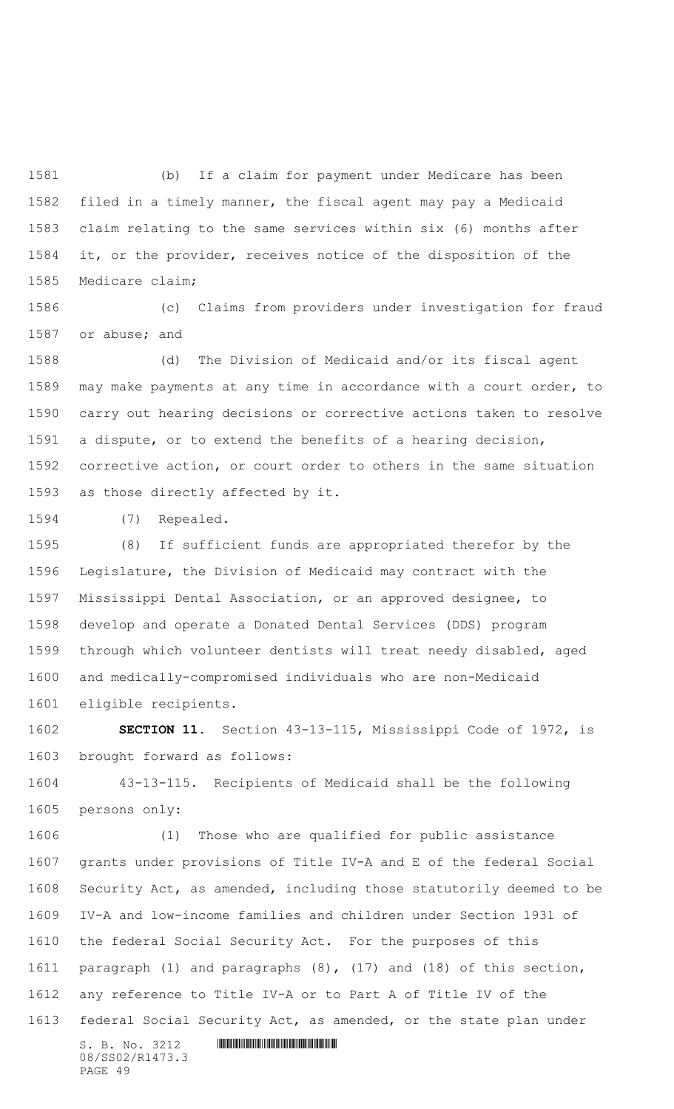(b) If a claim for payment under Medicare has been filed in a timely manner, the fiscal agent may pay a Medicaid claim relating to the same services within six (6) months after it, or the provider, receives notice of the disposition of the Medicare claim;

 (c) Claims from providers under investigation for fraud or abuse; and

 (d) The Division of Medicaid and/or its fiscal agent may make payments at any time in accordance with a court order, to carry out hearing decisions or corrective actions taken to resolve a dispute, or to extend the benefits of a hearing decision, corrective action, or court order to others in the same situation as those directly affected by it.

(7) Repealed.

 (8) If sufficient funds are appropriated therefor by the Legislature, the Division of Medicaid may contract with the Mississippi Dental Association, or an approved designee, to develop and operate a Donated Dental Services (DDS) program through which volunteer dentists will treat needy disabled, aged and medically-compromised individuals who are non-Medicaid eligible recipients.

 **SECTION 11.** Section 43-13-115, Mississippi Code of 1972, is brought forward as follows:

 43-13-115. Recipients of Medicaid shall be the following persons only:

 (1) Those who are qualified for public assistance grants under provisions of Title IV-A and E of the federal Social Security Act, as amended, including those statutorily deemed to be IV-A and low-income families and children under Section 1931 of the federal Social Security Act. For the purposes of this paragraph (1) and paragraphs (8), (17) and (18) of this section, any reference to Title IV-A or to Part A of Title IV of the federal Social Security Act, as amended, or the state plan under

 $S. B. No. 3212$  **IN ALGEBRAY FOR A SET AND A SET AND A** SET AND **RESPONDED A SET AND A** 08/SS02/R1473.3 PAGE 49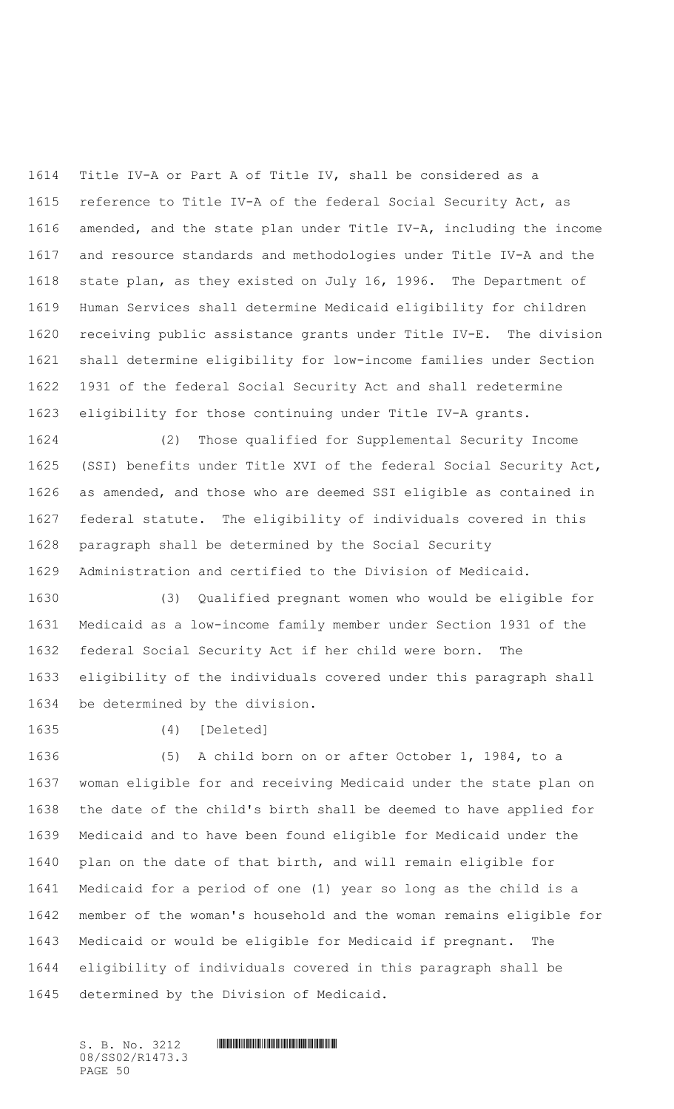Title IV-A or Part A of Title IV, shall be considered as a reference to Title IV-A of the federal Social Security Act, as amended, and the state plan under Title IV-A, including the income and resource standards and methodologies under Title IV-A and the state plan, as they existed on July 16, 1996. The Department of Human Services shall determine Medicaid eligibility for children receiving public assistance grants under Title IV-E. The division shall determine eligibility for low-income families under Section 1931 of the federal Social Security Act and shall redetermine eligibility for those continuing under Title IV-A grants.

 (2) Those qualified for Supplemental Security Income (SSI) benefits under Title XVI of the federal Social Security Act, as amended, and those who are deemed SSI eligible as contained in federal statute. The eligibility of individuals covered in this paragraph shall be determined by the Social Security Administration and certified to the Division of Medicaid.

 (3) Qualified pregnant women who would be eligible for Medicaid as a low-income family member under Section 1931 of the federal Social Security Act if her child were born. The eligibility of the individuals covered under this paragraph shall be determined by the division.

(4) [Deleted]

 (5) A child born on or after October 1, 1984, to a woman eligible for and receiving Medicaid under the state plan on the date of the child's birth shall be deemed to have applied for Medicaid and to have been found eligible for Medicaid under the plan on the date of that birth, and will remain eligible for Medicaid for a period of one (1) year so long as the child is a member of the woman's household and the woman remains eligible for Medicaid or would be eligible for Medicaid if pregnant. The eligibility of individuals covered in this paragraph shall be determined by the Division of Medicaid.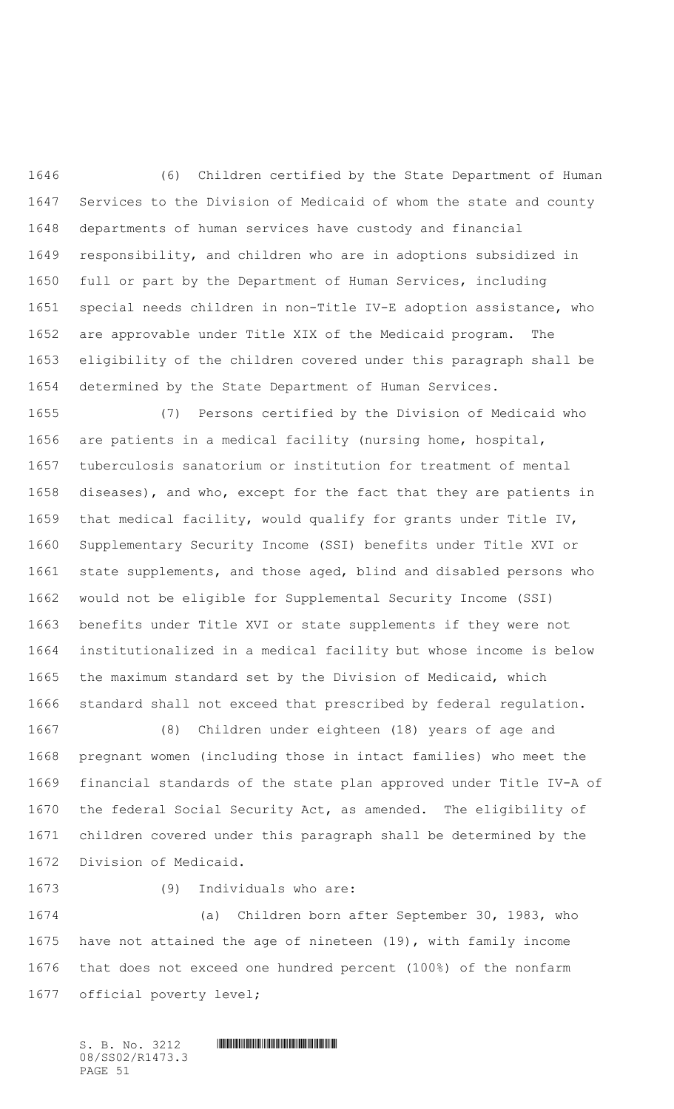(6) Children certified by the State Department of Human Services to the Division of Medicaid of whom the state and county departments of human services have custody and financial responsibility, and children who are in adoptions subsidized in full or part by the Department of Human Services, including special needs children in non-Title IV-E adoption assistance, who are approvable under Title XIX of the Medicaid program. The eligibility of the children covered under this paragraph shall be determined by the State Department of Human Services.

 (7) Persons certified by the Division of Medicaid who are patients in a medical facility (nursing home, hospital, tuberculosis sanatorium or institution for treatment of mental diseases), and who, except for the fact that they are patients in that medical facility, would qualify for grants under Title IV, Supplementary Security Income (SSI) benefits under Title XVI or state supplements, and those aged, blind and disabled persons who would not be eligible for Supplemental Security Income (SSI) benefits under Title XVI or state supplements if they were not institutionalized in a medical facility but whose income is below the maximum standard set by the Division of Medicaid, which standard shall not exceed that prescribed by federal regulation.

 (8) Children under eighteen (18) years of age and pregnant women (including those in intact families) who meet the financial standards of the state plan approved under Title IV-A of the federal Social Security Act, as amended. The eligibility of children covered under this paragraph shall be determined by the Division of Medicaid.

(9) Individuals who are:

 (a) Children born after September 30, 1983, who have not attained the age of nineteen (19), with family income that does not exceed one hundred percent (100%) of the nonfarm official poverty level;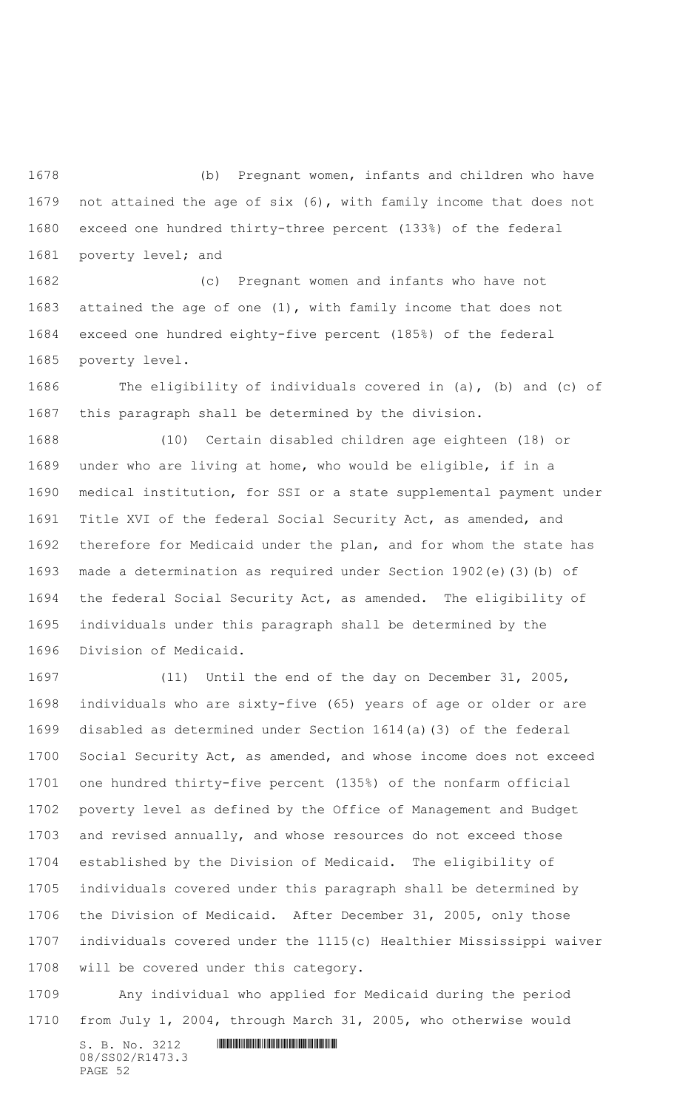(b) Pregnant women, infants and children who have not attained the age of six (6), with family income that does not exceed one hundred thirty-three percent (133%) of the federal poverty level; and

 (c) Pregnant women and infants who have not attained the age of one (1), with family income that does not exceed one hundred eighty-five percent (185%) of the federal poverty level.

 The eligibility of individuals covered in (a), (b) and (c) of this paragraph shall be determined by the division.

 (10) Certain disabled children age eighteen (18) or under who are living at home, who would be eligible, if in a medical institution, for SSI or a state supplemental payment under Title XVI of the federal Social Security Act, as amended, and therefore for Medicaid under the plan, and for whom the state has made a determination as required under Section 1902(e)(3)(b) of the federal Social Security Act, as amended. The eligibility of individuals under this paragraph shall be determined by the Division of Medicaid.

 (11) Until the end of the day on December 31, 2005, individuals who are sixty-five (65) years of age or older or are disabled as determined under Section 1614(a)(3) of the federal Social Security Act, as amended, and whose income does not exceed one hundred thirty-five percent (135%) of the nonfarm official poverty level as defined by the Office of Management and Budget and revised annually, and whose resources do not exceed those established by the Division of Medicaid. The eligibility of individuals covered under this paragraph shall be determined by the Division of Medicaid. After December 31, 2005, only those individuals covered under the 1115(c) Healthier Mississippi waiver will be covered under this category.

 Any individual who applied for Medicaid during the period from July 1, 2004, through March 31, 2005, who otherwise would

 $S. B. No. 3212$  **INNIFICALLY AND INTERNATIONAL CONTRACT AND INTERNATIONAL CONTRACT AND INTERNATIONAL CONTRACT AND INTERNATIONAL CONTRACT AND INTERNATIONAL CONTRACT AND INTERNATIONAL CONTRACT OF A SECOND AND INTERNATIONAL CO** 08/SS02/R1473.3 PAGE 52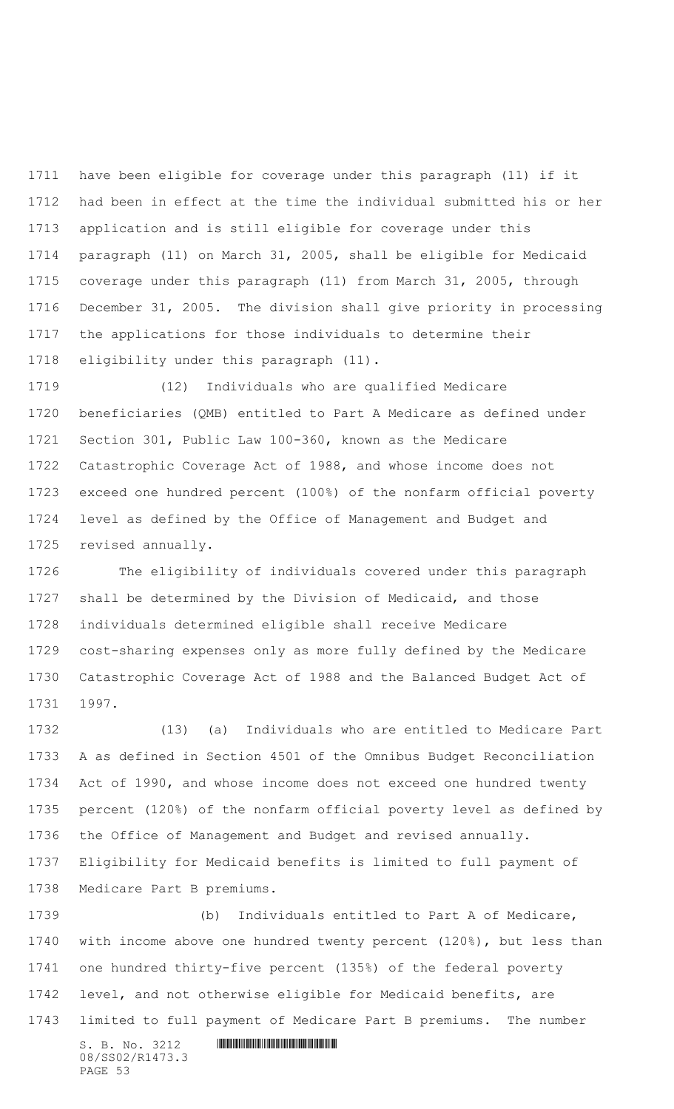have been eligible for coverage under this paragraph (11) if it had been in effect at the time the individual submitted his or her application and is still eligible for coverage under this paragraph (11) on March 31, 2005, shall be eligible for Medicaid coverage under this paragraph (11) from March 31, 2005, through December 31, 2005. The division shall give priority in processing the applications for those individuals to determine their eligibility under this paragraph (11).

 (12) Individuals who are qualified Medicare beneficiaries (QMB) entitled to Part A Medicare as defined under Section 301, Public Law 100-360, known as the Medicare Catastrophic Coverage Act of 1988, and whose income does not exceed one hundred percent (100%) of the nonfarm official poverty level as defined by the Office of Management and Budget and revised annually.

 The eligibility of individuals covered under this paragraph shall be determined by the Division of Medicaid, and those individuals determined eligible shall receive Medicare cost-sharing expenses only as more fully defined by the Medicare Catastrophic Coverage Act of 1988 and the Balanced Budget Act of 1997.

 (13) (a) Individuals who are entitled to Medicare Part A as defined in Section 4501 of the Omnibus Budget Reconciliation Act of 1990, and whose income does not exceed one hundred twenty percent (120%) of the nonfarm official poverty level as defined by the Office of Management and Budget and revised annually. Eligibility for Medicaid benefits is limited to full payment of Medicare Part B premiums.

 (b) Individuals entitled to Part A of Medicare, with income above one hundred twenty percent (120%), but less than one hundred thirty-five percent (135%) of the federal poverty level, and not otherwise eligible for Medicaid benefits, are limited to full payment of Medicare Part B premiums. The number

S. B. No. 3212 \*SS02/R1473.3\* 08/SS02/R1473.3 PAGE 53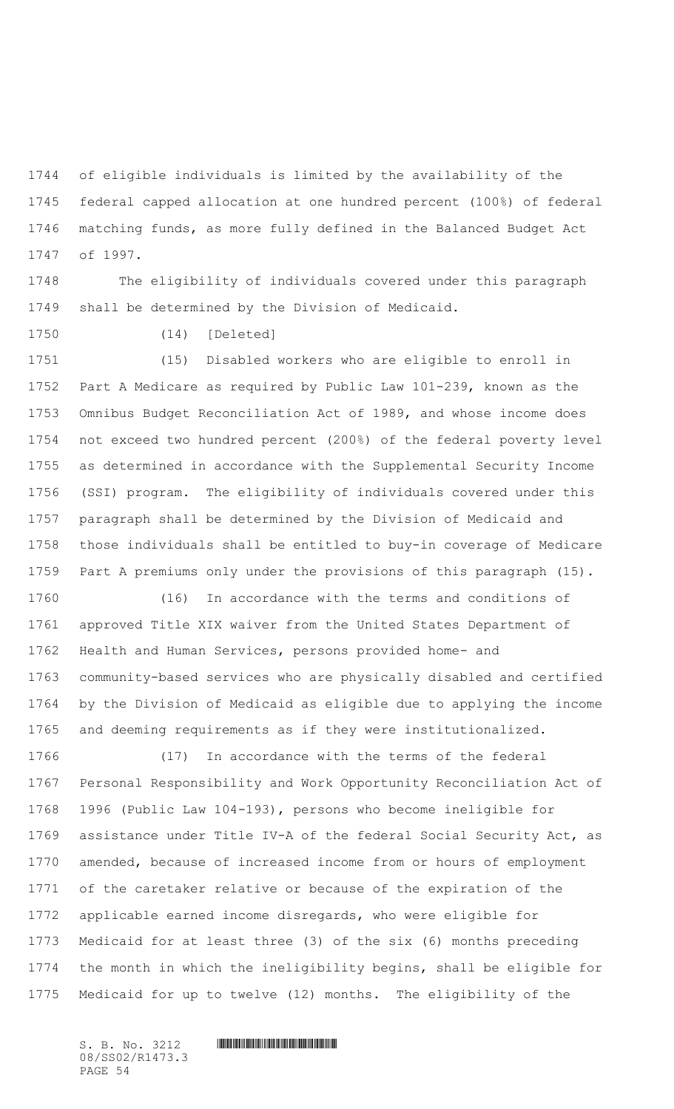of eligible individuals is limited by the availability of the federal capped allocation at one hundred percent (100%) of federal matching funds, as more fully defined in the Balanced Budget Act of 1997.

 The eligibility of individuals covered under this paragraph shall be determined by the Division of Medicaid.

(14) [Deleted]

 (15) Disabled workers who are eligible to enroll in Part A Medicare as required by Public Law 101-239, known as the Omnibus Budget Reconciliation Act of 1989, and whose income does not exceed two hundred percent (200%) of the federal poverty level as determined in accordance with the Supplemental Security Income (SSI) program. The eligibility of individuals covered under this paragraph shall be determined by the Division of Medicaid and those individuals shall be entitled to buy-in coverage of Medicare Part A premiums only under the provisions of this paragraph (15).

 (16) In accordance with the terms and conditions of approved Title XIX waiver from the United States Department of Health and Human Services, persons provided home- and community-based services who are physically disabled and certified by the Division of Medicaid as eligible due to applying the income and deeming requirements as if they were institutionalized.

 (17) In accordance with the terms of the federal Personal Responsibility and Work Opportunity Reconciliation Act of 1996 (Public Law 104-193), persons who become ineligible for assistance under Title IV-A of the federal Social Security Act, as amended, because of increased income from or hours of employment of the caretaker relative or because of the expiration of the applicable earned income disregards, who were eligible for Medicaid for at least three (3) of the six (6) months preceding the month in which the ineligibility begins, shall be eligible for Medicaid for up to twelve (12) months. The eligibility of the

08/SS02/R1473.3 PAGE 54

 $S. B. No. 3212$  **INNIFICALLY AND ALL AND ALL AND ADDRESS**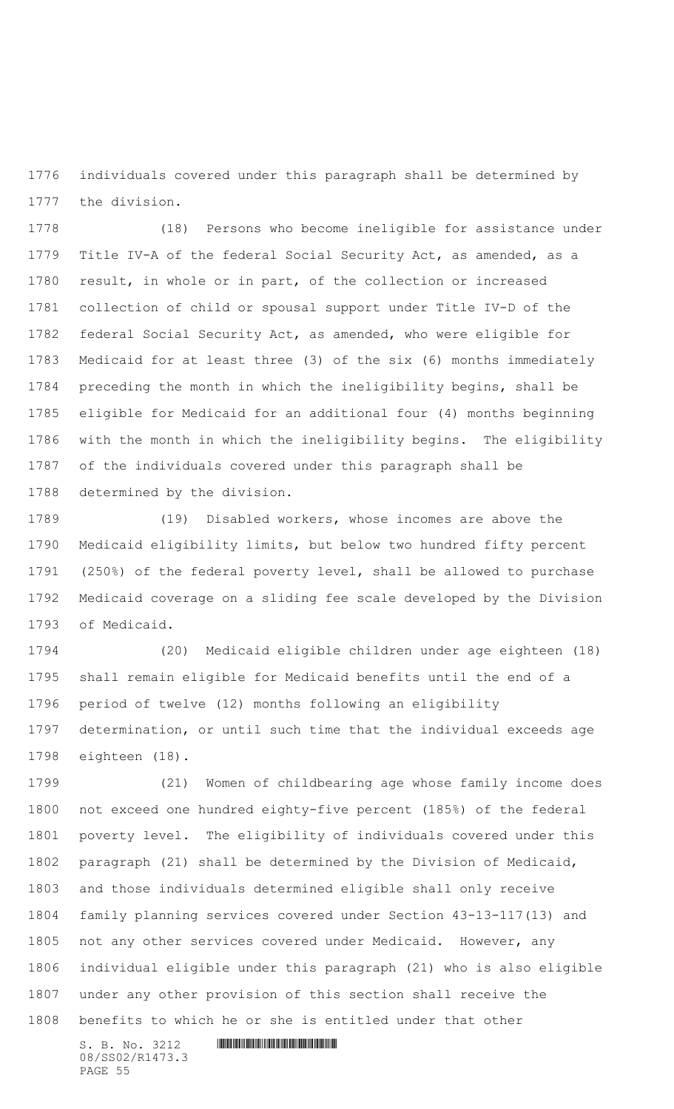individuals covered under this paragraph shall be determined by the division.

 (18) Persons who become ineligible for assistance under Title IV-A of the federal Social Security Act, as amended, as a result, in whole or in part, of the collection or increased collection of child or spousal support under Title IV-D of the federal Social Security Act, as amended, who were eligible for Medicaid for at least three (3) of the six (6) months immediately preceding the month in which the ineligibility begins, shall be eligible for Medicaid for an additional four (4) months beginning with the month in which the ineligibility begins. The eligibility of the individuals covered under this paragraph shall be determined by the division.

 (19) Disabled workers, whose incomes are above the Medicaid eligibility limits, but below two hundred fifty percent (250%) of the federal poverty level, shall be allowed to purchase Medicaid coverage on a sliding fee scale developed by the Division of Medicaid.

 (20) Medicaid eligible children under age eighteen (18) shall remain eligible for Medicaid benefits until the end of a period of twelve (12) months following an eligibility determination, or until such time that the individual exceeds age eighteen (18).

 (21) Women of childbearing age whose family income does not exceed one hundred eighty-five percent (185%) of the federal poverty level. The eligibility of individuals covered under this paragraph (21) shall be determined by the Division of Medicaid, and those individuals determined eligible shall only receive family planning services covered under Section 43-13-117(13) and not any other services covered under Medicaid. However, any individual eligible under this paragraph (21) who is also eligible under any other provision of this section shall receive the benefits to which he or she is entitled under that other

 $S. B. No. 3212$  **INNIFICALLY AND INTERNATIONAL CONTRACT AND INTERNATIONAL CONTRACT AND INTERNATIONAL CONTRACT AND INTERNATIONAL CONTRACT AND INTERNATIONAL CONTRACT AND INTERNATIONAL CONTRACT OF A SECOND AND INTERNATIONAL CO** 08/SS02/R1473.3 PAGE 55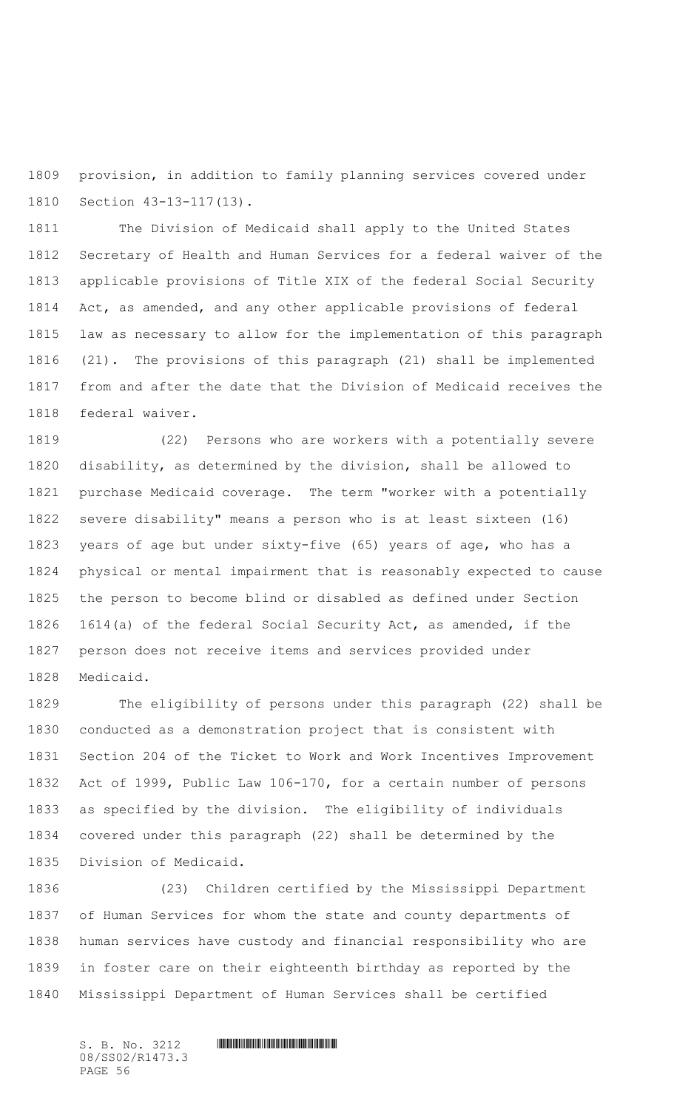provision, in addition to family planning services covered under Section 43-13-117(13).

 The Division of Medicaid shall apply to the United States Secretary of Health and Human Services for a federal waiver of the applicable provisions of Title XIX of the federal Social Security Act, as amended, and any other applicable provisions of federal law as necessary to allow for the implementation of this paragraph (21). The provisions of this paragraph (21) shall be implemented from and after the date that the Division of Medicaid receives the federal waiver.

 (22) Persons who are workers with a potentially severe disability, as determined by the division, shall be allowed to purchase Medicaid coverage. The term "worker with a potentially severe disability" means a person who is at least sixteen (16) years of age but under sixty-five (65) years of age, who has a physical or mental impairment that is reasonably expected to cause the person to become blind or disabled as defined under Section 1614(a) of the federal Social Security Act, as amended, if the person does not receive items and services provided under Medicaid.

 The eligibility of persons under this paragraph (22) shall be conducted as a demonstration project that is consistent with Section 204 of the Ticket to Work and Work Incentives Improvement Act of 1999, Public Law 106-170, for a certain number of persons as specified by the division. The eligibility of individuals covered under this paragraph (22) shall be determined by the Division of Medicaid.

 (23) Children certified by the Mississippi Department of Human Services for whom the state and county departments of human services have custody and financial responsibility who are in foster care on their eighteenth birthday as reported by the Mississippi Department of Human Services shall be certified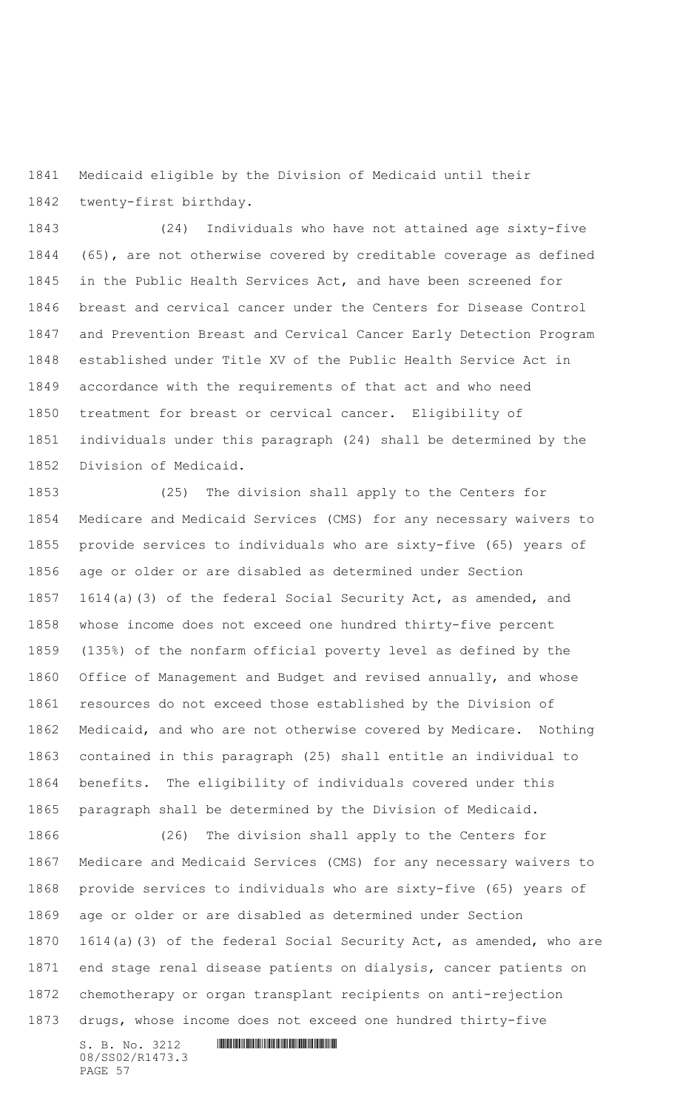Medicaid eligible by the Division of Medicaid until their twenty-first birthday.

 (24) Individuals who have not attained age sixty-five (65), are not otherwise covered by creditable coverage as defined in the Public Health Services Act, and have been screened for breast and cervical cancer under the Centers for Disease Control and Prevention Breast and Cervical Cancer Early Detection Program established under Title XV of the Public Health Service Act in accordance with the requirements of that act and who need treatment for breast or cervical cancer. Eligibility of individuals under this paragraph (24) shall be determined by the Division of Medicaid.

 (25) The division shall apply to the Centers for Medicare and Medicaid Services (CMS) for any necessary waivers to provide services to individuals who are sixty-five (65) years of age or older or are disabled as determined under Section 1614(a)(3) of the federal Social Security Act, as amended, and whose income does not exceed one hundred thirty-five percent (135%) of the nonfarm official poverty level as defined by the Office of Management and Budget and revised annually, and whose resources do not exceed those established by the Division of Medicaid, and who are not otherwise covered by Medicare. Nothing contained in this paragraph (25) shall entitle an individual to benefits. The eligibility of individuals covered under this paragraph shall be determined by the Division of Medicaid.

 (26) The division shall apply to the Centers for Medicare and Medicaid Services (CMS) for any necessary waivers to provide services to individuals who are sixty-five (65) years of age or older or are disabled as determined under Section 1614(a)(3) of the federal Social Security Act, as amended, who are end stage renal disease patients on dialysis, cancer patients on chemotherapy or organ transplant recipients on anti-rejection drugs, whose income does not exceed one hundred thirty-five

S. B. No. 3212 \*SS02/R1473.3\* 08/SS02/R1473.3 PAGE 57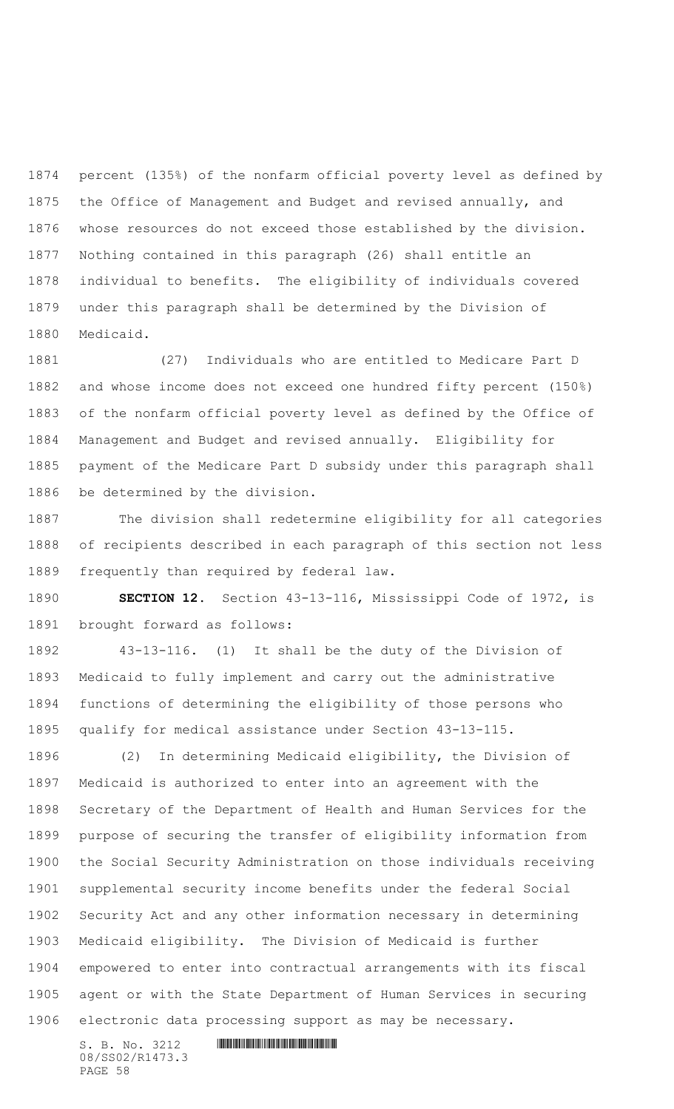percent (135%) of the nonfarm official poverty level as defined by the Office of Management and Budget and revised annually, and whose resources do not exceed those established by the division. Nothing contained in this paragraph (26) shall entitle an individual to benefits. The eligibility of individuals covered under this paragraph shall be determined by the Division of Medicaid.

 (27) Individuals who are entitled to Medicare Part D and whose income does not exceed one hundred fifty percent (150%) of the nonfarm official poverty level as defined by the Office of Management and Budget and revised annually. Eligibility for payment of the Medicare Part D subsidy under this paragraph shall be determined by the division.

 The division shall redetermine eligibility for all categories of recipients described in each paragraph of this section not less frequently than required by federal law.

 **SECTION 12.** Section 43-13-116, Mississippi Code of 1972, is brought forward as follows:

 43-13-116. (1) It shall be the duty of the Division of Medicaid to fully implement and carry out the administrative functions of determining the eligibility of those persons who qualify for medical assistance under Section 43-13-115.

 (2) In determining Medicaid eligibility, the Division of Medicaid is authorized to enter into an agreement with the Secretary of the Department of Health and Human Services for the purpose of securing the transfer of eligibility information from the Social Security Administration on those individuals receiving supplemental security income benefits under the federal Social Security Act and any other information necessary in determining Medicaid eligibility. The Division of Medicaid is further empowered to enter into contractual arrangements with its fiscal agent or with the State Department of Human Services in securing electronic data processing support as may be necessary.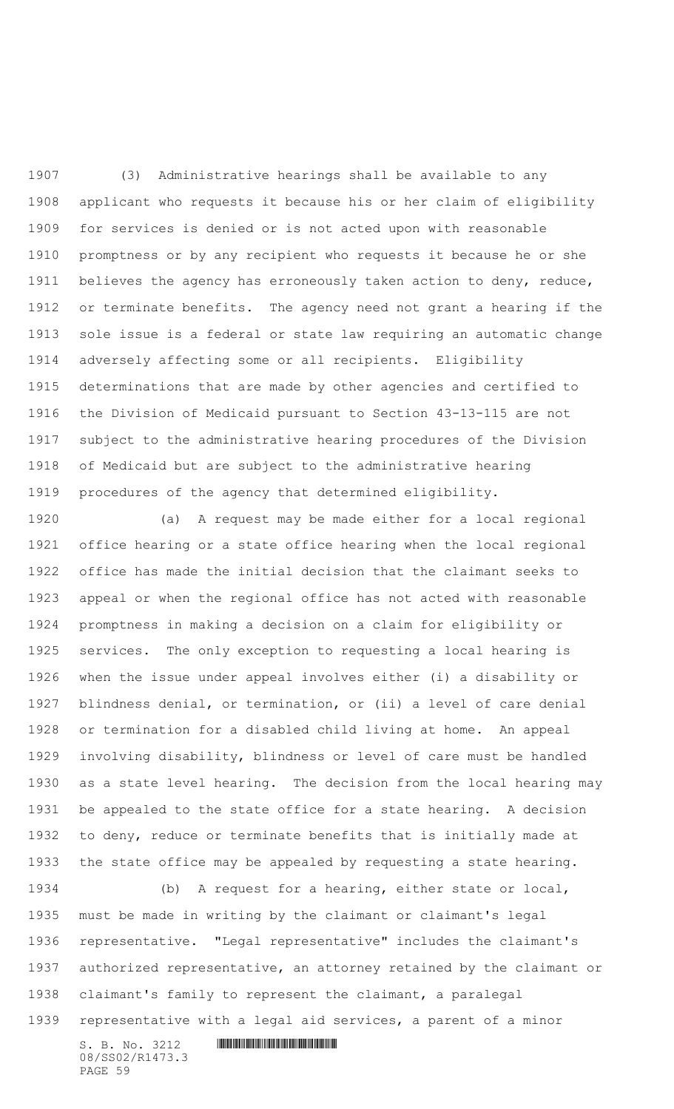(3) Administrative hearings shall be available to any applicant who requests it because his or her claim of eligibility for services is denied or is not acted upon with reasonable promptness or by any recipient who requests it because he or she believes the agency has erroneously taken action to deny, reduce, or terminate benefits. The agency need not grant a hearing if the sole issue is a federal or state law requiring an automatic change adversely affecting some or all recipients. Eligibility determinations that are made by other agencies and certified to the Division of Medicaid pursuant to Section 43-13-115 are not subject to the administrative hearing procedures of the Division of Medicaid but are subject to the administrative hearing procedures of the agency that determined eligibility.

 (a) A request may be made either for a local regional office hearing or a state office hearing when the local regional office has made the initial decision that the claimant seeks to appeal or when the regional office has not acted with reasonable promptness in making a decision on a claim for eligibility or services. The only exception to requesting a local hearing is when the issue under appeal involves either (i) a disability or blindness denial, or termination, or (ii) a level of care denial or termination for a disabled child living at home. An appeal involving disability, blindness or level of care must be handled as a state level hearing. The decision from the local hearing may be appealed to the state office for a state hearing. A decision to deny, reduce or terminate benefits that is initially made at the state office may be appealed by requesting a state hearing.

 (b) A request for a hearing, either state or local, must be made in writing by the claimant or claimant's legal representative. "Legal representative" includes the claimant's authorized representative, an attorney retained by the claimant or claimant's family to represent the claimant, a paralegal representative with a legal aid services, a parent of a minor

S. B. No. 3212 \*SS02/R1473.3\* 08/SS02/R1473.3 PAGE 59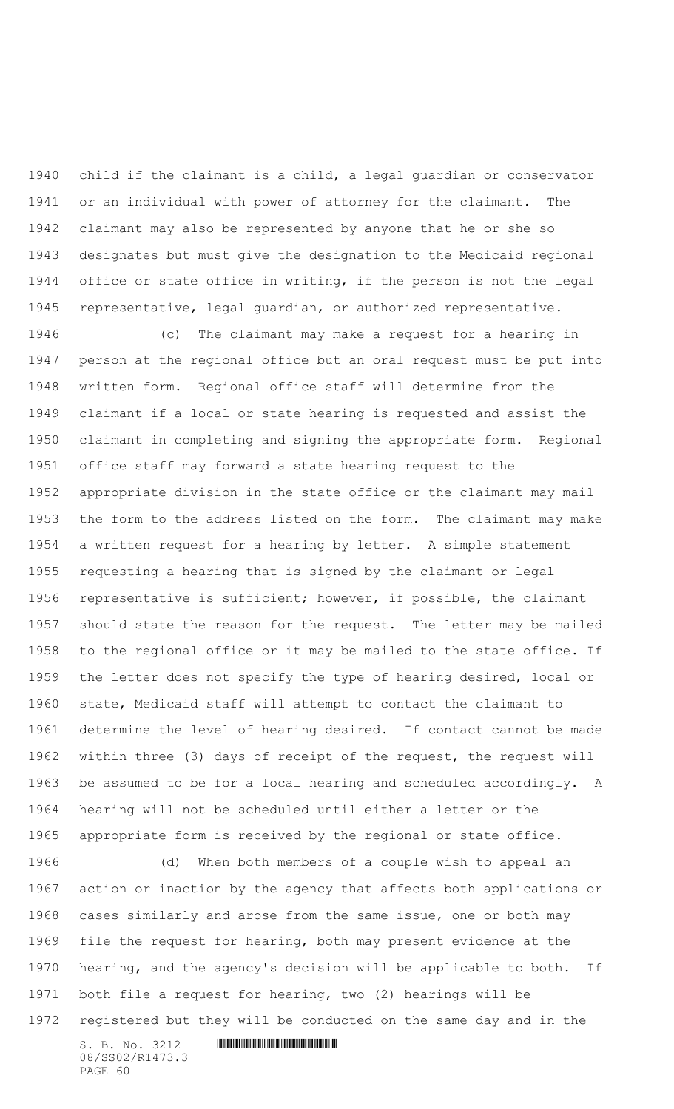child if the claimant is a child, a legal guardian or conservator or an individual with power of attorney for the claimant. The claimant may also be represented by anyone that he or she so designates but must give the designation to the Medicaid regional office or state office in writing, if the person is not the legal representative, legal guardian, or authorized representative.

 (c) The claimant may make a request for a hearing in person at the regional office but an oral request must be put into written form. Regional office staff will determine from the claimant if a local or state hearing is requested and assist the claimant in completing and signing the appropriate form. Regional office staff may forward a state hearing request to the appropriate division in the state office or the claimant may mail the form to the address listed on the form. The claimant may make a written request for a hearing by letter. A simple statement requesting a hearing that is signed by the claimant or legal representative is sufficient; however, if possible, the claimant should state the reason for the request. The letter may be mailed to the regional office or it may be mailed to the state office. If the letter does not specify the type of hearing desired, local or state, Medicaid staff will attempt to contact the claimant to determine the level of hearing desired. If contact cannot be made within three (3) days of receipt of the request, the request will be assumed to be for a local hearing and scheduled accordingly. A hearing will not be scheduled until either a letter or the appropriate form is received by the regional or state office.

 (d) When both members of a couple wish to appeal an action or inaction by the agency that affects both applications or cases similarly and arose from the same issue, one or both may file the request for hearing, both may present evidence at the hearing, and the agency's decision will be applicable to both. If both file a request for hearing, two (2) hearings will be registered but they will be conducted on the same day and in the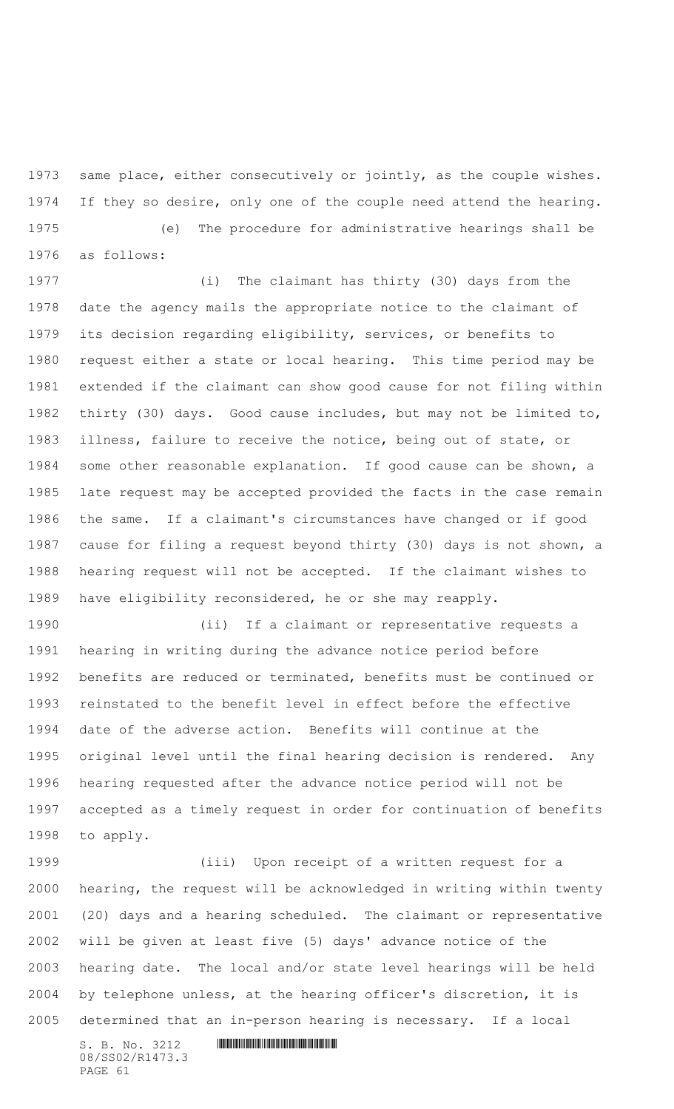same place, either consecutively or jointly, as the couple wishes. If they so desire, only one of the couple need attend the hearing.

 (e) The procedure for administrative hearings shall be as follows:

 (i) The claimant has thirty (30) days from the date the agency mails the appropriate notice to the claimant of its decision regarding eligibility, services, or benefits to request either a state or local hearing. This time period may be extended if the claimant can show good cause for not filing within thirty (30) days. Good cause includes, but may not be limited to, illness, failure to receive the notice, being out of state, or some other reasonable explanation. If good cause can be shown, a late request may be accepted provided the facts in the case remain the same. If a claimant's circumstances have changed or if good cause for filing a request beyond thirty (30) days is not shown, a hearing request will not be accepted. If the claimant wishes to have eligibility reconsidered, he or she may reapply.

 (ii) If a claimant or representative requests a hearing in writing during the advance notice period before benefits are reduced or terminated, benefits must be continued or reinstated to the benefit level in effect before the effective date of the adverse action. Benefits will continue at the original level until the final hearing decision is rendered. Any hearing requested after the advance notice period will not be accepted as a timely request in order for continuation of benefits to apply.

 (iii) Upon receipt of a written request for a hearing, the request will be acknowledged in writing within twenty (20) days and a hearing scheduled. The claimant or representative will be given at least five (5) days' advance notice of the hearing date. The local and/or state level hearings will be held by telephone unless, at the hearing officer's discretion, it is determined that an in-person hearing is necessary. If a local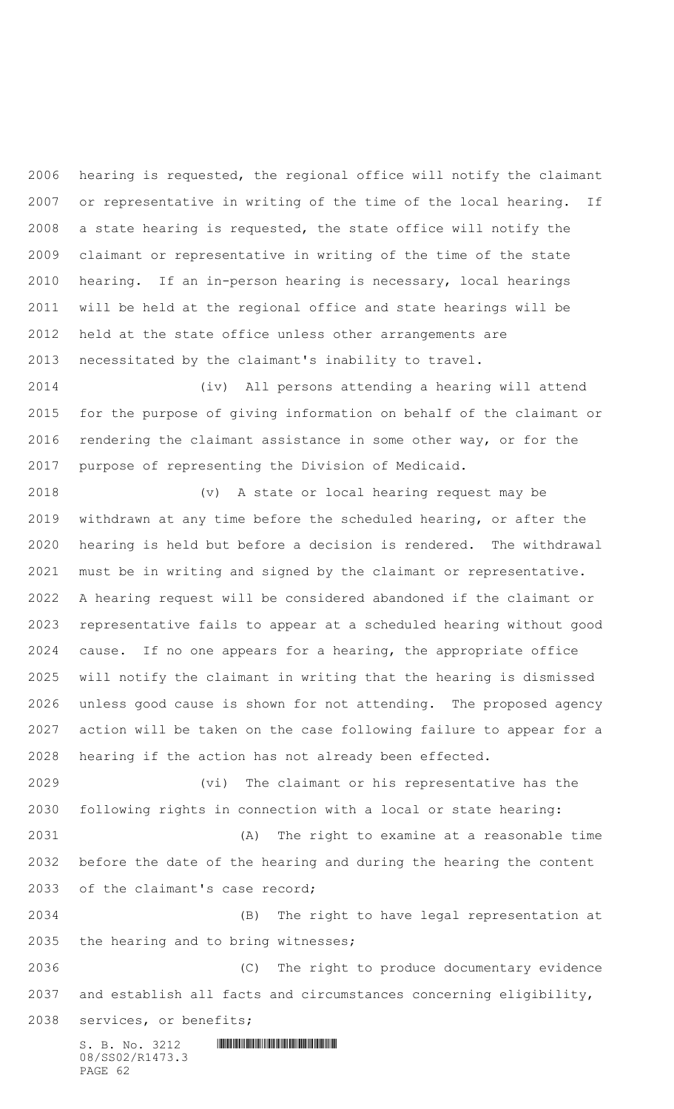hearing is requested, the regional office will notify the claimant or representative in writing of the time of the local hearing. If a state hearing is requested, the state office will notify the claimant or representative in writing of the time of the state hearing. If an in-person hearing is necessary, local hearings will be held at the regional office and state hearings will be held at the state office unless other arrangements are necessitated by the claimant's inability to travel.

 (iv) All persons attending a hearing will attend for the purpose of giving information on behalf of the claimant or 2016 rendering the claimant assistance in some other way, or for the purpose of representing the Division of Medicaid.

 (v) A state or local hearing request may be withdrawn at any time before the scheduled hearing, or after the hearing is held but before a decision is rendered. The withdrawal must be in writing and signed by the claimant or representative. A hearing request will be considered abandoned if the claimant or representative fails to appear at a scheduled hearing without good cause. If no one appears for a hearing, the appropriate office will notify the claimant in writing that the hearing is dismissed unless good cause is shown for not attending. The proposed agency action will be taken on the case following failure to appear for a hearing if the action has not already been effected.

 (vi) The claimant or his representative has the following rights in connection with a local or state hearing:

 (A) The right to examine at a reasonable time before the date of the hearing and during the hearing the content of the claimant's case record;

 (B) The right to have legal representation at the hearing and to bring witnesses;

 (C) The right to produce documentary evidence and establish all facts and circumstances concerning eligibility,

services, or benefits;

 $S. B. No. 3212$  **INNIFICALLY** SUITE **SECTION** 08/SS02/R1473.3 PAGE 62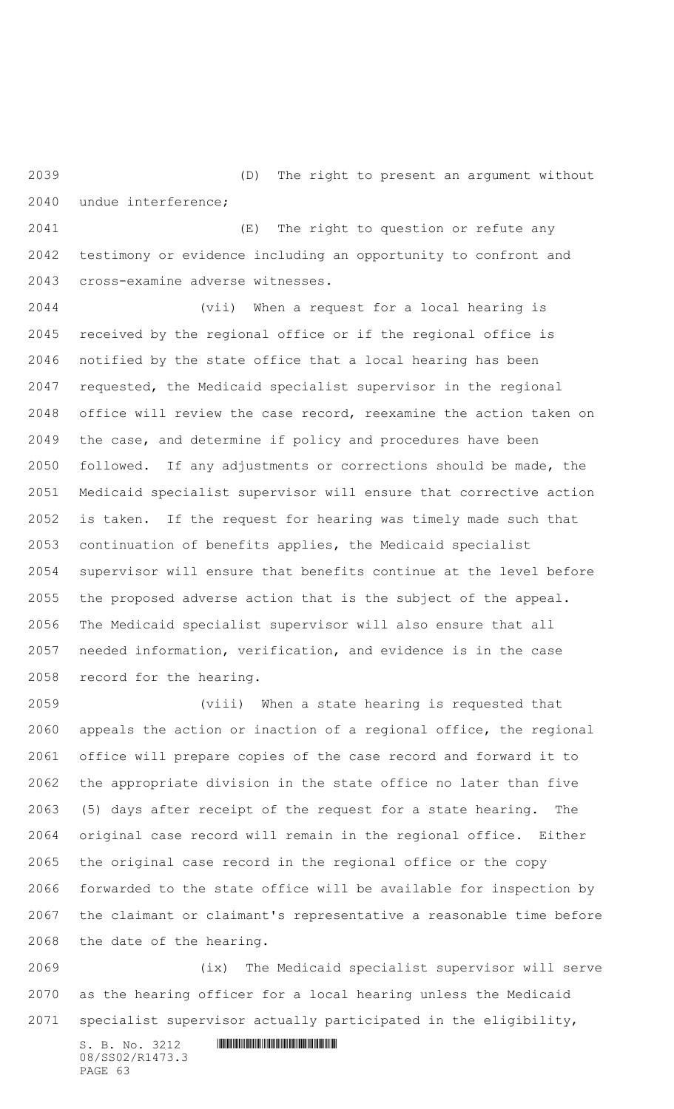(D) The right to present an argument without undue interference;

 (E) The right to question or refute any testimony or evidence including an opportunity to confront and cross-examine adverse witnesses.

 (vii) When a request for a local hearing is received by the regional office or if the regional office is notified by the state office that a local hearing has been requested, the Medicaid specialist supervisor in the regional office will review the case record, reexamine the action taken on the case, and determine if policy and procedures have been followed. If any adjustments or corrections should be made, the Medicaid specialist supervisor will ensure that corrective action is taken. If the request for hearing was timely made such that continuation of benefits applies, the Medicaid specialist supervisor will ensure that benefits continue at the level before the proposed adverse action that is the subject of the appeal. The Medicaid specialist supervisor will also ensure that all needed information, verification, and evidence is in the case record for the hearing.

 (viii) When a state hearing is requested that appeals the action or inaction of a regional office, the regional office will prepare copies of the case record and forward it to the appropriate division in the state office no later than five (5) days after receipt of the request for a state hearing. The original case record will remain in the regional office. Either the original case record in the regional office or the copy forwarded to the state office will be available for inspection by the claimant or claimant's representative a reasonable time before the date of the hearing.

 (ix) The Medicaid specialist supervisor will serve as the hearing officer for a local hearing unless the Medicaid specialist supervisor actually participated in the eligibility,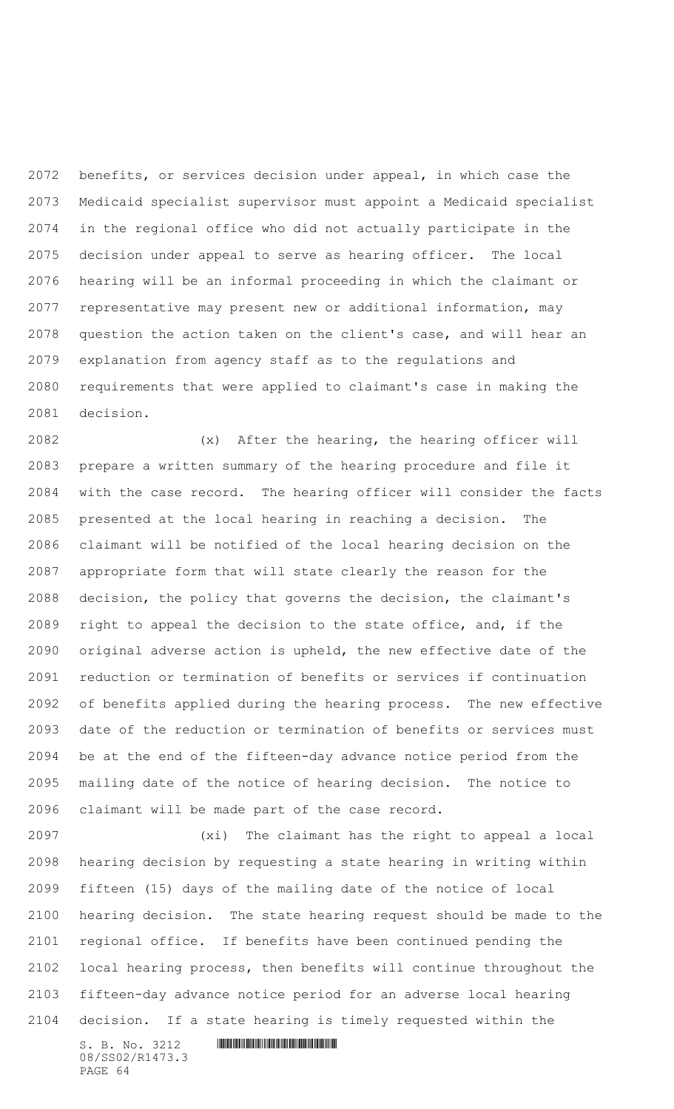benefits, or services decision under appeal, in which case the Medicaid specialist supervisor must appoint a Medicaid specialist in the regional office who did not actually participate in the decision under appeal to serve as hearing officer. The local hearing will be an informal proceeding in which the claimant or representative may present new or additional information, may question the action taken on the client's case, and will hear an explanation from agency staff as to the regulations and requirements that were applied to claimant's case in making the decision.

 (x) After the hearing, the hearing officer will prepare a written summary of the hearing procedure and file it with the case record. The hearing officer will consider the facts presented at the local hearing in reaching a decision. The claimant will be notified of the local hearing decision on the appropriate form that will state clearly the reason for the decision, the policy that governs the decision, the claimant's right to appeal the decision to the state office, and, if the original adverse action is upheld, the new effective date of the reduction or termination of benefits or services if continuation of benefits applied during the hearing process. The new effective date of the reduction or termination of benefits or services must be at the end of the fifteen-day advance notice period from the mailing date of the notice of hearing decision. The notice to claimant will be made part of the case record.

 (xi) The claimant has the right to appeal a local hearing decision by requesting a state hearing in writing within fifteen (15) days of the mailing date of the notice of local hearing decision. The state hearing request should be made to the regional office. If benefits have been continued pending the local hearing process, then benefits will continue throughout the fifteen-day advance notice period for an adverse local hearing decision. If a state hearing is timely requested within the

S. B. No. 3212 \*SS02/R1473.3\* 08/SS02/R1473.3 PAGE 64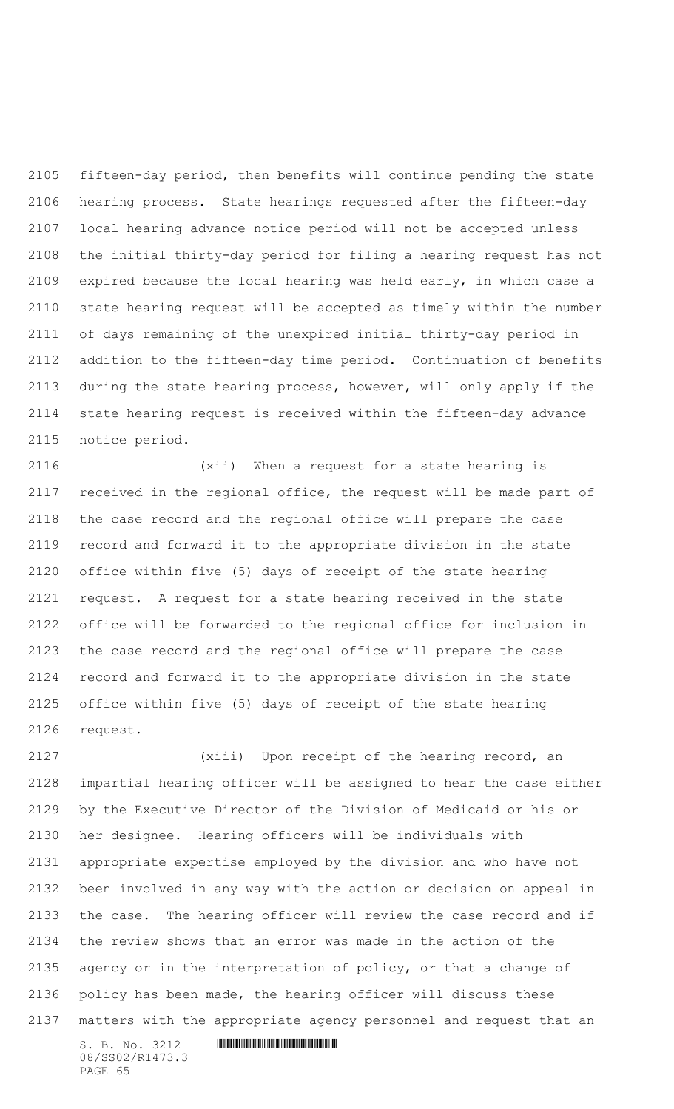fifteen-day period, then benefits will continue pending the state hearing process. State hearings requested after the fifteen-day local hearing advance notice period will not be accepted unless the initial thirty-day period for filing a hearing request has not expired because the local hearing was held early, in which case a state hearing request will be accepted as timely within the number of days remaining of the unexpired initial thirty-day period in addition to the fifteen-day time period. Continuation of benefits during the state hearing process, however, will only apply if the state hearing request is received within the fifteen-day advance notice period.

 (xii) When a request for a state hearing is received in the regional office, the request will be made part of the case record and the regional office will prepare the case record and forward it to the appropriate division in the state office within five (5) days of receipt of the state hearing request. A request for a state hearing received in the state office will be forwarded to the regional office for inclusion in the case record and the regional office will prepare the case record and forward it to the appropriate division in the state office within five (5) days of receipt of the state hearing request.

 (xiii) Upon receipt of the hearing record, an impartial hearing officer will be assigned to hear the case either by the Executive Director of the Division of Medicaid or his or her designee. Hearing officers will be individuals with appropriate expertise employed by the division and who have not been involved in any way with the action or decision on appeal in the case. The hearing officer will review the case record and if the review shows that an error was made in the action of the agency or in the interpretation of policy, or that a change of policy has been made, the hearing officer will discuss these matters with the appropriate agency personnel and request that an

 $S. B. No. 3212$  **IN ALGEBRAY FOR A SET AND A SET AND A** SET AND **RESPONDED A SET AND A** 08/SS02/R1473.3 PAGE 65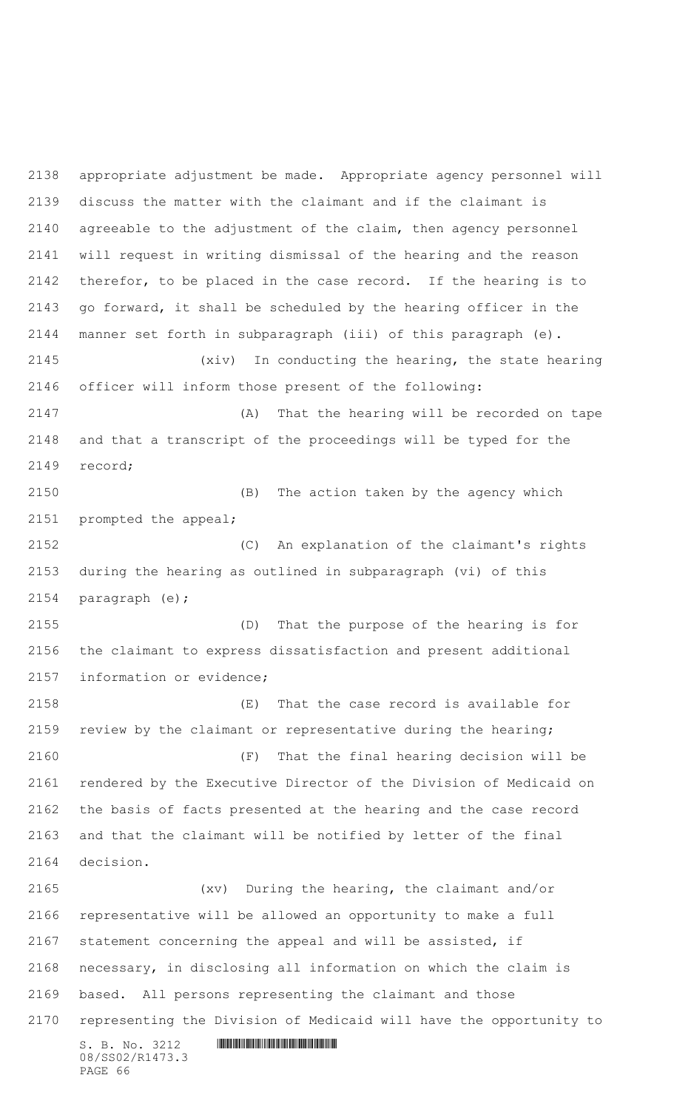$S. B. No. 3212$  **INNIFICALLY AND ALL AND ALL AND ADDRESS** 08/SS02/R1473.3 PAGE 66 appropriate adjustment be made. Appropriate agency personnel will discuss the matter with the claimant and if the claimant is agreeable to the adjustment of the claim, then agency personnel will request in writing dismissal of the hearing and the reason therefor, to be placed in the case record. If the hearing is to go forward, it shall be scheduled by the hearing officer in the manner set forth in subparagraph (iii) of this paragraph (e). (xiv) In conducting the hearing, the state hearing officer will inform those present of the following: (A) That the hearing will be recorded on tape and that a transcript of the proceedings will be typed for the record; (B) The action taken by the agency which prompted the appeal; (C) An explanation of the claimant's rights during the hearing as outlined in subparagraph (vi) of this paragraph (e); (D) That the purpose of the hearing is for the claimant to express dissatisfaction and present additional information or evidence; (E) That the case record is available for review by the claimant or representative during the hearing; (F) That the final hearing decision will be rendered by the Executive Director of the Division of Medicaid on the basis of facts presented at the hearing and the case record and that the claimant will be notified by letter of the final decision. (xv) During the hearing, the claimant and/or representative will be allowed an opportunity to make a full statement concerning the appeal and will be assisted, if necessary, in disclosing all information on which the claim is based. All persons representing the claimant and those representing the Division of Medicaid will have the opportunity to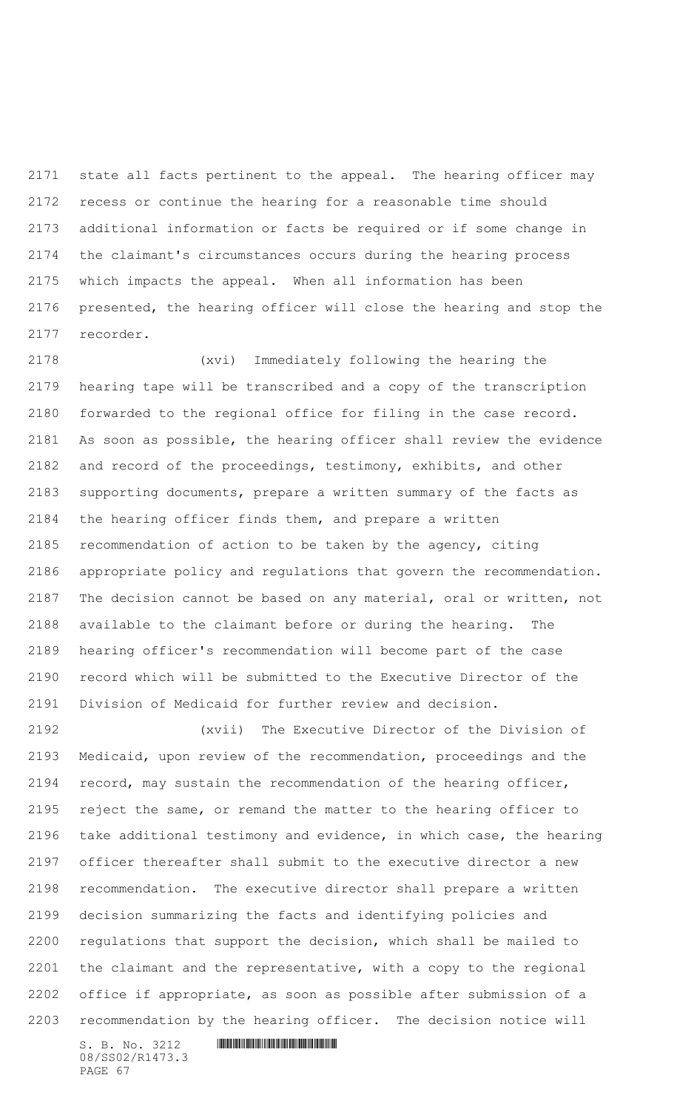state all facts pertinent to the appeal. The hearing officer may recess or continue the hearing for a reasonable time should additional information or facts be required or if some change in the claimant's circumstances occurs during the hearing process which impacts the appeal. When all information has been presented, the hearing officer will close the hearing and stop the recorder.

 (xvi) Immediately following the hearing the hearing tape will be transcribed and a copy of the transcription forwarded to the regional office for filing in the case record. As soon as possible, the hearing officer shall review the evidence and record of the proceedings, testimony, exhibits, and other supporting documents, prepare a written summary of the facts as the hearing officer finds them, and prepare a written recommendation of action to be taken by the agency, citing appropriate policy and regulations that govern the recommendation. The decision cannot be based on any material, oral or written, not available to the claimant before or during the hearing. The hearing officer's recommendation will become part of the case record which will be submitted to the Executive Director of the Division of Medicaid for further review and decision.

 (xvii) The Executive Director of the Division of Medicaid, upon review of the recommendation, proceedings and the record, may sustain the recommendation of the hearing officer, reject the same, or remand the matter to the hearing officer to take additional testimony and evidence, in which case, the hearing officer thereafter shall submit to the executive director a new recommendation. The executive director shall prepare a written decision summarizing the facts and identifying policies and regulations that support the decision, which shall be mailed to the claimant and the representative, with a copy to the regional office if appropriate, as soon as possible after submission of a recommendation by the hearing officer. The decision notice will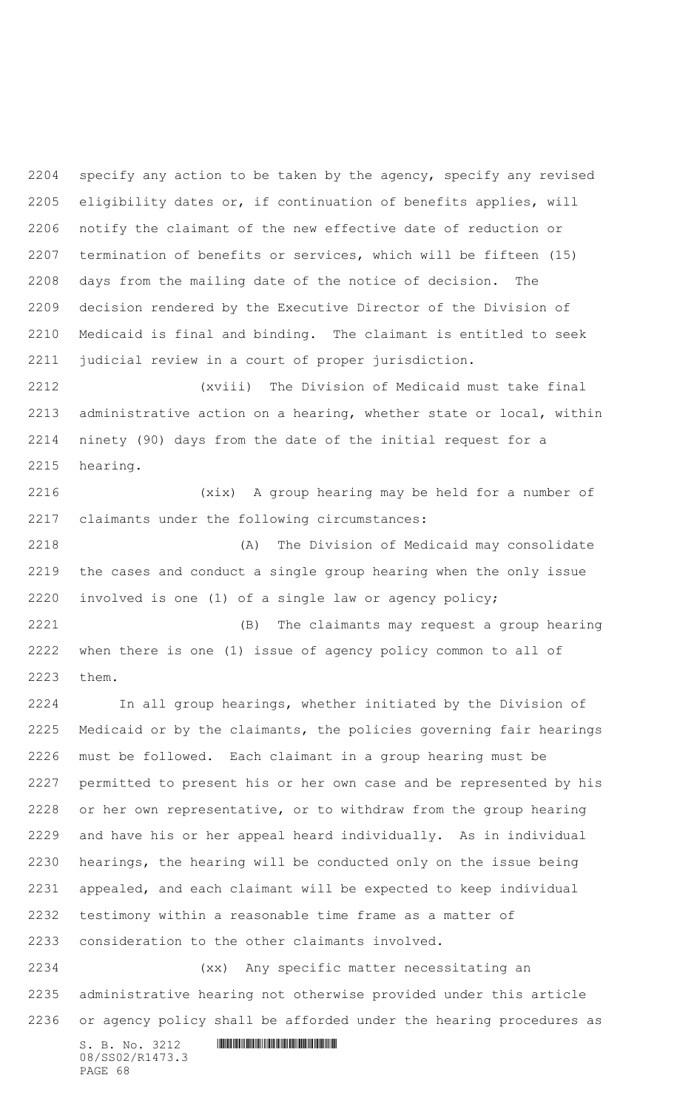specify any action to be taken by the agency, specify any revised eligibility dates or, if continuation of benefits applies, will notify the claimant of the new effective date of reduction or termination of benefits or services, which will be fifteen (15) days from the mailing date of the notice of decision. The decision rendered by the Executive Director of the Division of Medicaid is final and binding. The claimant is entitled to seek judicial review in a court of proper jurisdiction.

 (xviii) The Division of Medicaid must take final administrative action on a hearing, whether state or local, within ninety (90) days from the date of the initial request for a hearing.

 (xix) A group hearing may be held for a number of claimants under the following circumstances:

 (A) The Division of Medicaid may consolidate the cases and conduct a single group hearing when the only issue involved is one (1) of a single law or agency policy;

 (B) The claimants may request a group hearing when there is one (1) issue of agency policy common to all of them.

 In all group hearings, whether initiated by the Division of Medicaid or by the claimants, the policies governing fair hearings must be followed. Each claimant in a group hearing must be permitted to present his or her own case and be represented by his or her own representative, or to withdraw from the group hearing and have his or her appeal heard individually. As in individual hearings, the hearing will be conducted only on the issue being appealed, and each claimant will be expected to keep individual testimony within a reasonable time frame as a matter of consideration to the other claimants involved.

 (xx) Any specific matter necessitating an administrative hearing not otherwise provided under this article or agency policy shall be afforded under the hearing procedures as

 $S. B. No. 3212$  **IN ALGEBRAY FOR A SET AND A SET AND A** SET AND **RESPONDED A SET AND A** 08/SS02/R1473.3 PAGE 68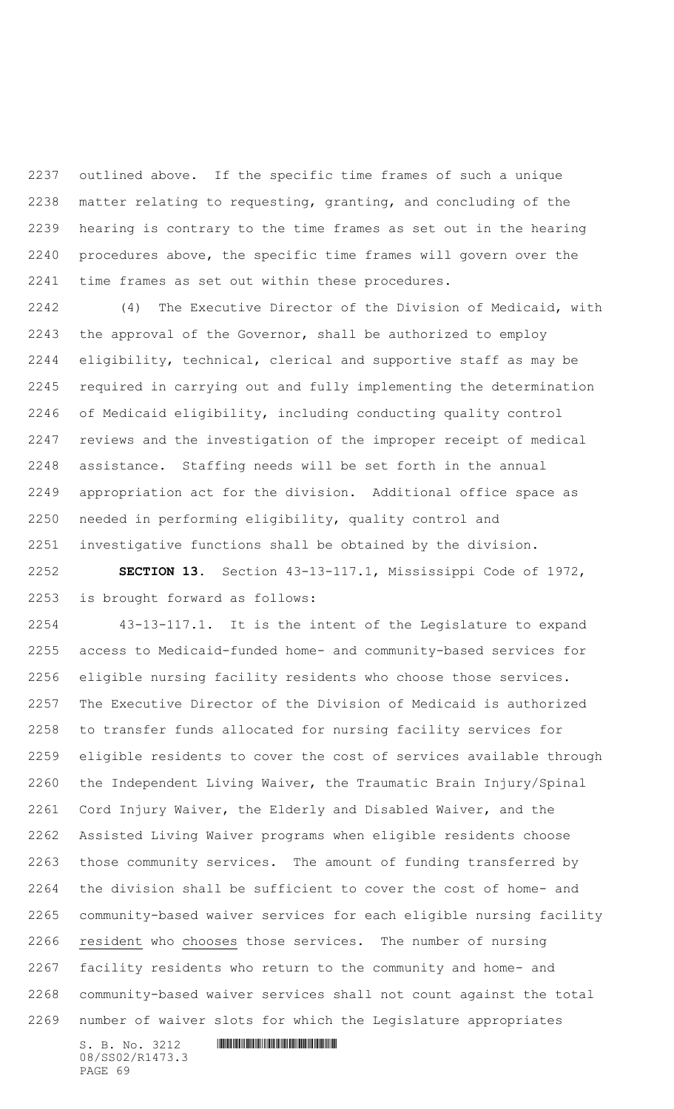outlined above. If the specific time frames of such a unique matter relating to requesting, granting, and concluding of the hearing is contrary to the time frames as set out in the hearing procedures above, the specific time frames will govern over the time frames as set out within these procedures.

 (4) The Executive Director of the Division of Medicaid, with the approval of the Governor, shall be authorized to employ eligibility, technical, clerical and supportive staff as may be required in carrying out and fully implementing the determination of Medicaid eligibility, including conducting quality control reviews and the investigation of the improper receipt of medical assistance. Staffing needs will be set forth in the annual appropriation act for the division. Additional office space as needed in performing eligibility, quality control and investigative functions shall be obtained by the division.

 **SECTION 13.** Section 43-13-117.1, Mississippi Code of 1972, is brought forward as follows:

 43-13-117.1. It is the intent of the Legislature to expand access to Medicaid-funded home- and community-based services for eligible nursing facility residents who choose those services. The Executive Director of the Division of Medicaid is authorized to transfer funds allocated for nursing facility services for eligible residents to cover the cost of services available through the Independent Living Waiver, the Traumatic Brain Injury/Spinal Cord Injury Waiver, the Elderly and Disabled Waiver, and the Assisted Living Waiver programs when eligible residents choose those community services. The amount of funding transferred by the division shall be sufficient to cover the cost of home- and community-based waiver services for each eligible nursing facility resident who chooses those services. The number of nursing facility residents who return to the community and home- and community-based waiver services shall not count against the total number of waiver slots for which the Legislature appropriates

S. B. No. 3212 \*SS02/R1473.3\* 08/SS02/R1473.3 PAGE 69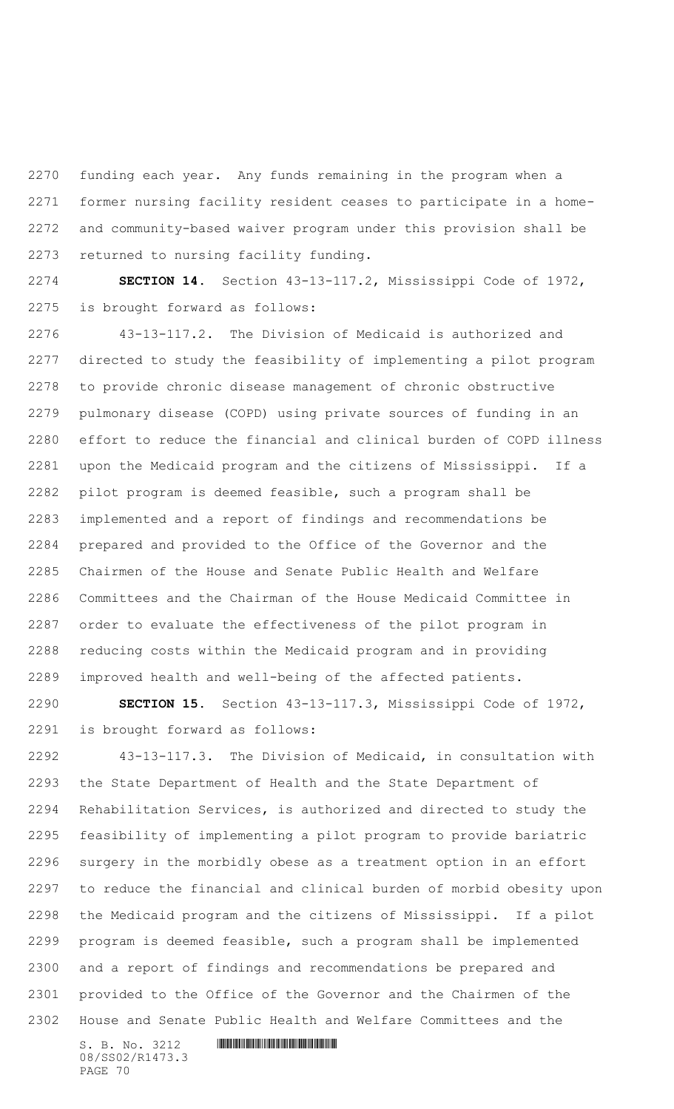funding each year. Any funds remaining in the program when a former nursing facility resident ceases to participate in a home- and community-based waiver program under this provision shall be returned to nursing facility funding.

 **SECTION 14.** Section 43-13-117.2, Mississippi Code of 1972, is brought forward as follows:

 43-13-117.2. The Division of Medicaid is authorized and directed to study the feasibility of implementing a pilot program to provide chronic disease management of chronic obstructive pulmonary disease (COPD) using private sources of funding in an effort to reduce the financial and clinical burden of COPD illness upon the Medicaid program and the citizens of Mississippi. If a pilot program is deemed feasible, such a program shall be implemented and a report of findings and recommendations be prepared and provided to the Office of the Governor and the Chairmen of the House and Senate Public Health and Welfare Committees and the Chairman of the House Medicaid Committee in order to evaluate the effectiveness of the pilot program in reducing costs within the Medicaid program and in providing improved health and well-being of the affected patients.

 **SECTION 15.** Section 43-13-117.3, Mississippi Code of 1972, is brought forward as follows:

 43-13-117.3. The Division of Medicaid, in consultation with the State Department of Health and the State Department of Rehabilitation Services, is authorized and directed to study the feasibility of implementing a pilot program to provide bariatric surgery in the morbidly obese as a treatment option in an effort to reduce the financial and clinical burden of morbid obesity upon the Medicaid program and the citizens of Mississippi. If a pilot program is deemed feasible, such a program shall be implemented and a report of findings and recommendations be prepared and provided to the Office of the Governor and the Chairmen of the House and Senate Public Health and Welfare Committees and the

S. B. No. 3212 \*SS02/R1473.3\* 08/SS02/R1473.3 PAGE 70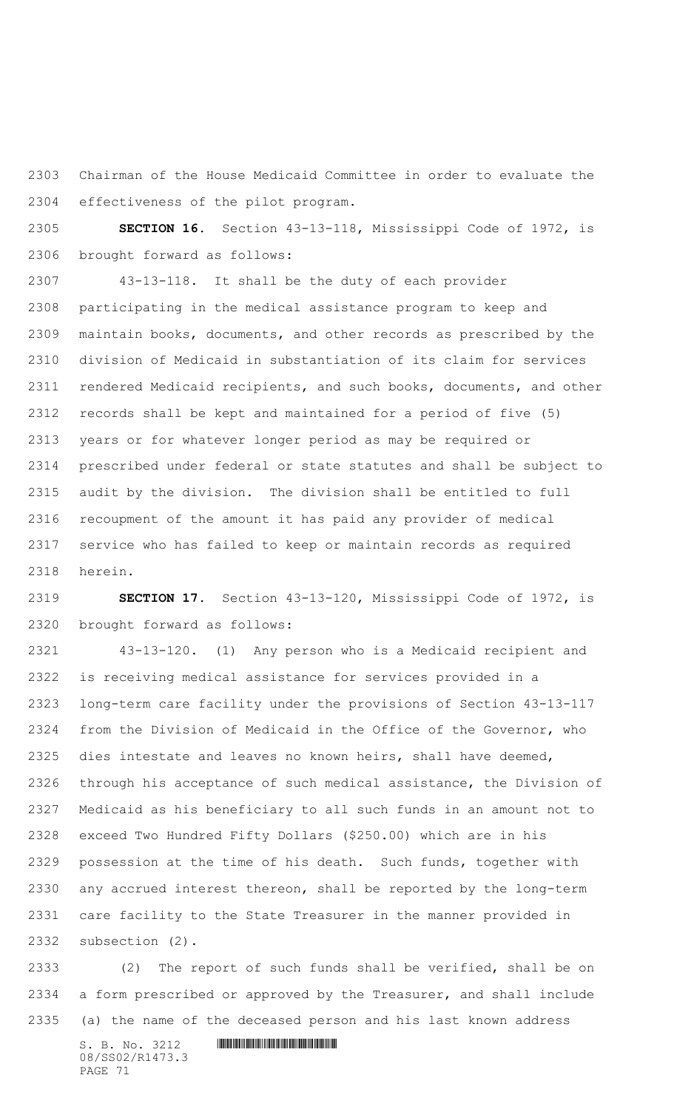Chairman of the House Medicaid Committee in order to evaluate the effectiveness of the pilot program.

 **SECTION 16.** Section 43-13-118, Mississippi Code of 1972, is brought forward as follows:

 43-13-118. It shall be the duty of each provider participating in the medical assistance program to keep and maintain books, documents, and other records as prescribed by the division of Medicaid in substantiation of its claim for services rendered Medicaid recipients, and such books, documents, and other records shall be kept and maintained for a period of five (5) years or for whatever longer period as may be required or prescribed under federal or state statutes and shall be subject to audit by the division. The division shall be entitled to full recoupment of the amount it has paid any provider of medical service who has failed to keep or maintain records as required herein.

 **SECTION 17.** Section 43-13-120, Mississippi Code of 1972, is brought forward as follows:

 43-13-120. (1) Any person who is a Medicaid recipient and is receiving medical assistance for services provided in a long-term care facility under the provisions of Section 43-13-117 from the Division of Medicaid in the Office of the Governor, who dies intestate and leaves no known heirs, shall have deemed, through his acceptance of such medical assistance, the Division of Medicaid as his beneficiary to all such funds in an amount not to exceed Two Hundred Fifty Dollars (\$250.00) which are in his possession at the time of his death. Such funds, together with any accrued interest thereon, shall be reported by the long-term care facility to the State Treasurer in the manner provided in subsection (2).

 (2) The report of such funds shall be verified, shall be on a form prescribed or approved by the Treasurer, and shall include (a) the name of the deceased person and his last known address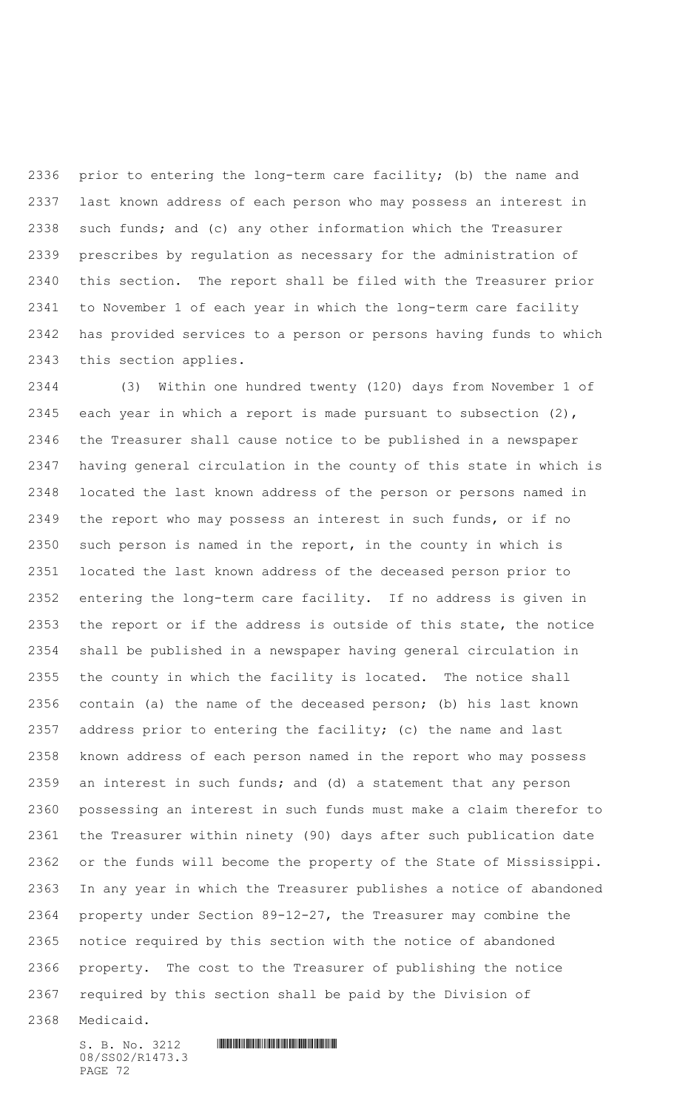prior to entering the long-term care facility; (b) the name and last known address of each person who may possess an interest in such funds; and (c) any other information which the Treasurer prescribes by regulation as necessary for the administration of this section. The report shall be filed with the Treasurer prior to November 1 of each year in which the long-term care facility has provided services to a person or persons having funds to which this section applies.

 (3) Within one hundred twenty (120) days from November 1 of each year in which a report is made pursuant to subsection (2), the Treasurer shall cause notice to be published in a newspaper having general circulation in the county of this state in which is located the last known address of the person or persons named in the report who may possess an interest in such funds, or if no such person is named in the report, in the county in which is located the last known address of the deceased person prior to entering the long-term care facility. If no address is given in the report or if the address is outside of this state, the notice shall be published in a newspaper having general circulation in the county in which the facility is located. The notice shall contain (a) the name of the deceased person; (b) his last known address prior to entering the facility; (c) the name and last known address of each person named in the report who may possess an interest in such funds; and (d) a statement that any person possessing an interest in such funds must make a claim therefor to the Treasurer within ninety (90) days after such publication date or the funds will become the property of the State of Mississippi. In any year in which the Treasurer publishes a notice of abandoned property under Section 89-12-27, the Treasurer may combine the notice required by this section with the notice of abandoned property. The cost to the Treasurer of publishing the notice required by this section shall be paid by the Division of

Medicaid.

08/SS02/R1473.3 PAGE 72

 $S. B. No. 3212$  **INNIFICALLY AND INTERNATIONAL CONTRACT AND INTERNATIONAL CONTRACT AND INTERNATIONAL CONTRACT AND INTERNATIONAL CONTRACT AND INTERNATIONAL CONTRACT AND INTERNATIONAL CONTRACT OF A SECOND AND INTERNATIONAL CO**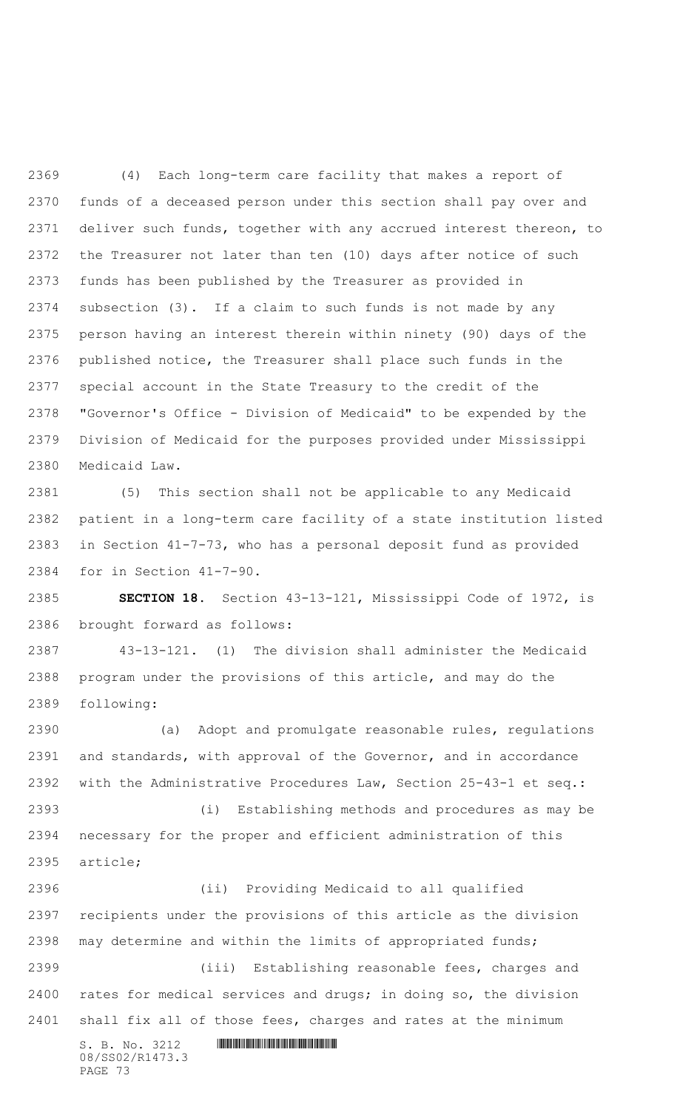(4) Each long-term care facility that makes a report of funds of a deceased person under this section shall pay over and deliver such funds, together with any accrued interest thereon, to the Treasurer not later than ten (10) days after notice of such funds has been published by the Treasurer as provided in subsection (3). If a claim to such funds is not made by any person having an interest therein within ninety (90) days of the published notice, the Treasurer shall place such funds in the special account in the State Treasury to the credit of the "Governor's Office - Division of Medicaid" to be expended by the Division of Medicaid for the purposes provided under Mississippi Medicaid Law.

 (5) This section shall not be applicable to any Medicaid patient in a long-term care facility of a state institution listed in Section 41-7-73, who has a personal deposit fund as provided for in Section 41-7-90.

 **SECTION 18.** Section 43-13-121, Mississippi Code of 1972, is brought forward as follows:

 43-13-121. (1) The division shall administer the Medicaid program under the provisions of this article, and may do the following:

 (a) Adopt and promulgate reasonable rules, regulations and standards, with approval of the Governor, and in accordance with the Administrative Procedures Law, Section 25-43-1 et seq.:

 (i) Establishing methods and procedures as may be necessary for the proper and efficient administration of this article;

S. B. No. 3212 \*SS02/R1473.3\* 08/SS02/R1473.3 PAGE 73 (ii) Providing Medicaid to all qualified recipients under the provisions of this article as the division may determine and within the limits of appropriated funds; (iii) Establishing reasonable fees, charges and rates for medical services and drugs; in doing so, the division shall fix all of those fees, charges and rates at the minimum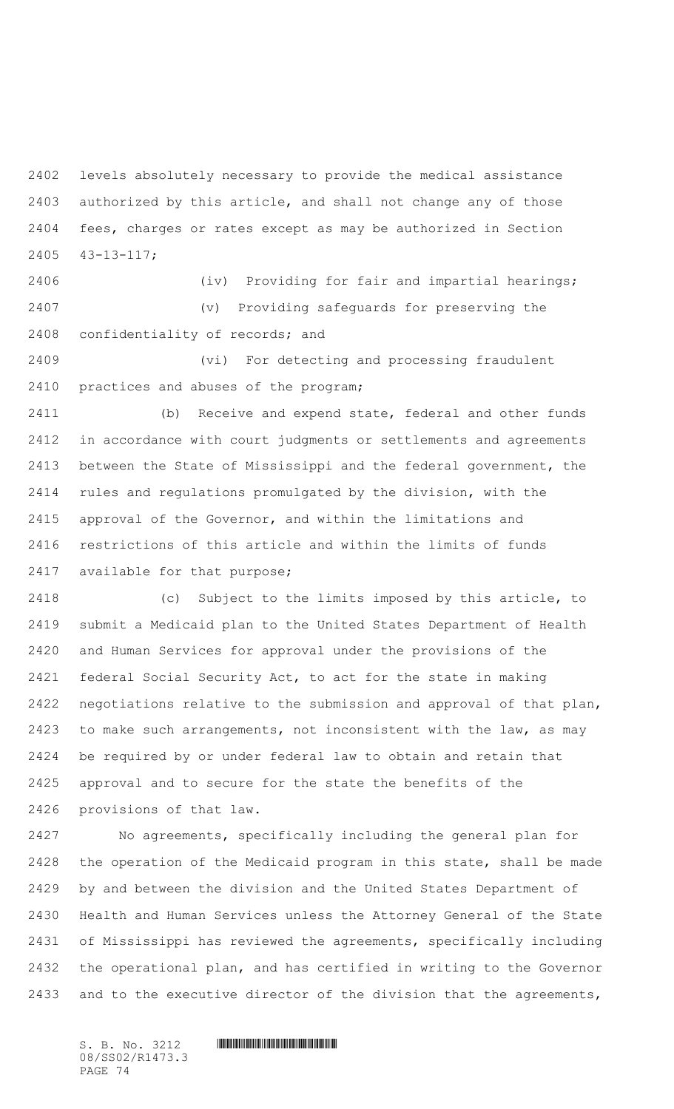levels absolutely necessary to provide the medical assistance authorized by this article, and shall not change any of those fees, charges or rates except as may be authorized in Section 43-13-117;

 (iv) Providing for fair and impartial hearings; (v) Providing safeguards for preserving the confidentiality of records; and

 (vi) For detecting and processing fraudulent practices and abuses of the program;

 (b) Receive and expend state, federal and other funds in accordance with court judgments or settlements and agreements between the State of Mississippi and the federal government, the rules and regulations promulgated by the division, with the approval of the Governor, and within the limitations and restrictions of this article and within the limits of funds available for that purpose;

 (c) Subject to the limits imposed by this article, to submit a Medicaid plan to the United States Department of Health and Human Services for approval under the provisions of the federal Social Security Act, to act for the state in making negotiations relative to the submission and approval of that plan, to make such arrangements, not inconsistent with the law, as may be required by or under federal law to obtain and retain that approval and to secure for the state the benefits of the provisions of that law.

 No agreements, specifically including the general plan for the operation of the Medicaid program in this state, shall be made by and between the division and the United States Department of Health and Human Services unless the Attorney General of the State of Mississippi has reviewed the agreements, specifically including the operational plan, and has certified in writing to the Governor and to the executive director of the division that the agreements,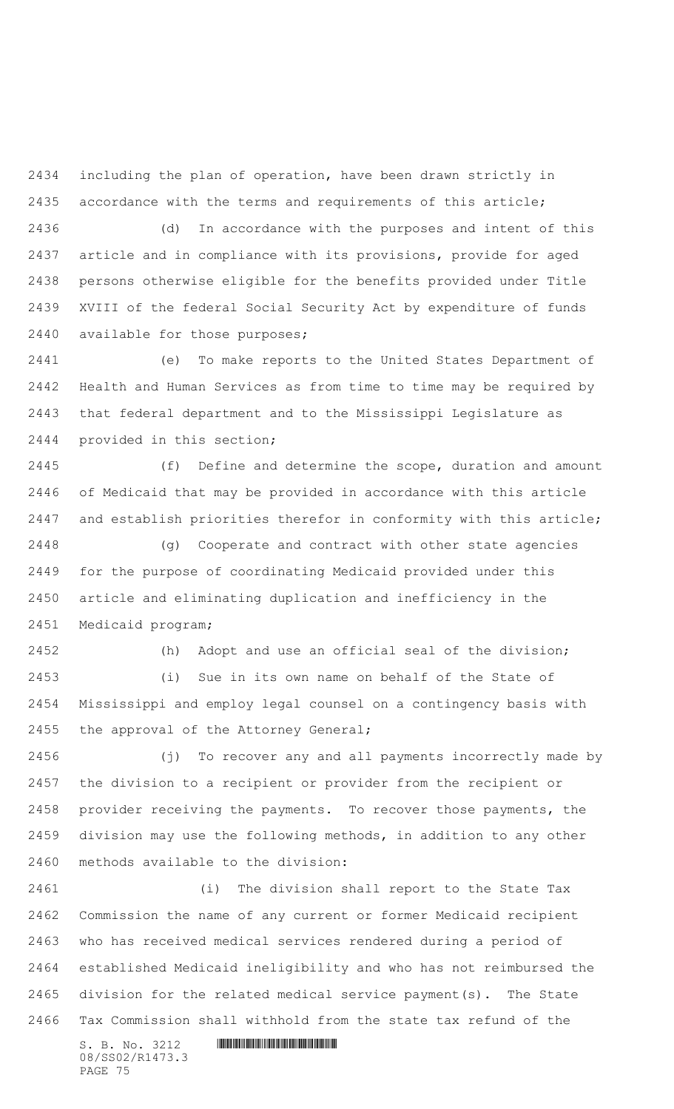including the plan of operation, have been drawn strictly in accordance with the terms and requirements of this article;

 (d) In accordance with the purposes and intent of this article and in compliance with its provisions, provide for aged persons otherwise eligible for the benefits provided under Title XVIII of the federal Social Security Act by expenditure of funds available for those purposes;

 (e) To make reports to the United States Department of Health and Human Services as from time to time may be required by that federal department and to the Mississippi Legislature as provided in this section;

 (f) Define and determine the scope, duration and amount of Medicaid that may be provided in accordance with this article and establish priorities therefor in conformity with this article;

 (g) Cooperate and contract with other state agencies for the purpose of coordinating Medicaid provided under this article and eliminating duplication and inefficiency in the Medicaid program;

 (h) Adopt and use an official seal of the division; (i) Sue in its own name on behalf of the State of Mississippi and employ legal counsel on a contingency basis with the approval of the Attorney General;

 (j) To recover any and all payments incorrectly made by the division to a recipient or provider from the recipient or provider receiving the payments. To recover those payments, the division may use the following methods, in addition to any other methods available to the division:

 (i) The division shall report to the State Tax Commission the name of any current or former Medicaid recipient who has received medical services rendered during a period of established Medicaid ineligibility and who has not reimbursed the division for the related medical service payment(s). The State Tax Commission shall withhold from the state tax refund of the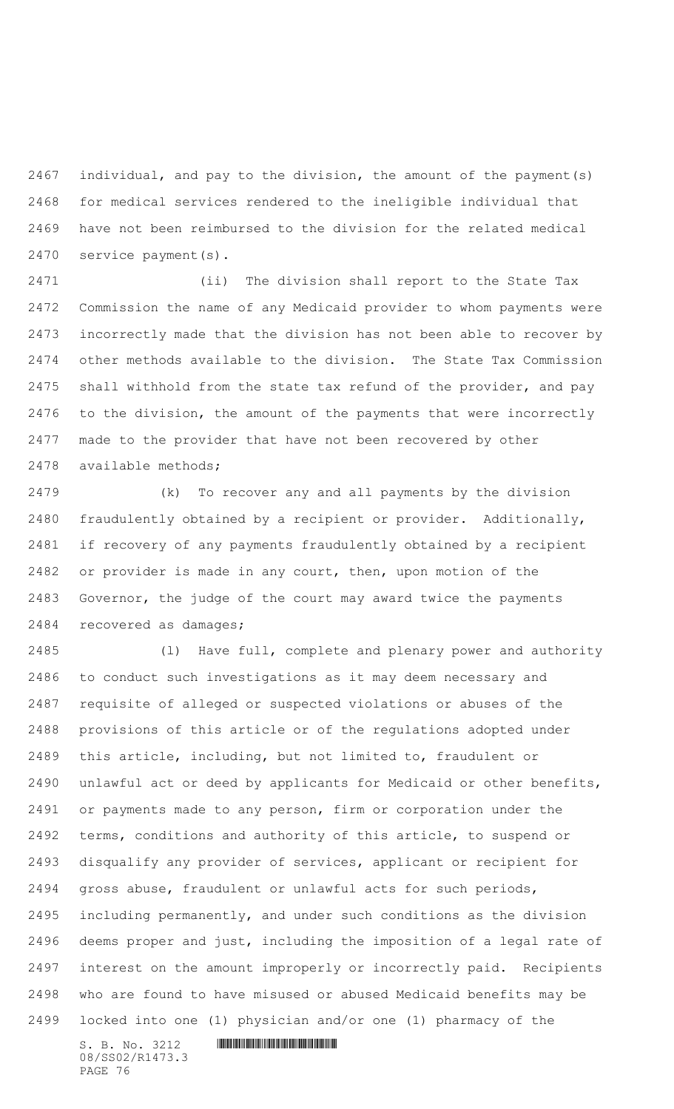individual, and pay to the division, the amount of the payment(s) for medical services rendered to the ineligible individual that have not been reimbursed to the division for the related medical service payment(s).

 (ii) The division shall report to the State Tax Commission the name of any Medicaid provider to whom payments were incorrectly made that the division has not been able to recover by other methods available to the division. The State Tax Commission shall withhold from the state tax refund of the provider, and pay to the division, the amount of the payments that were incorrectly made to the provider that have not been recovered by other available methods;

 (k) To recover any and all payments by the division fraudulently obtained by a recipient or provider. Additionally, if recovery of any payments fraudulently obtained by a recipient or provider is made in any court, then, upon motion of the Governor, the judge of the court may award twice the payments recovered as damages;

 (l) Have full, complete and plenary power and authority to conduct such investigations as it may deem necessary and requisite of alleged or suspected violations or abuses of the provisions of this article or of the regulations adopted under this article, including, but not limited to, fraudulent or unlawful act or deed by applicants for Medicaid or other benefits, or payments made to any person, firm or corporation under the terms, conditions and authority of this article, to suspend or disqualify any provider of services, applicant or recipient for gross abuse, fraudulent or unlawful acts for such periods, including permanently, and under such conditions as the division deems proper and just, including the imposition of a legal rate of interest on the amount improperly or incorrectly paid. Recipients who are found to have misused or abused Medicaid benefits may be locked into one (1) physician and/or one (1) pharmacy of the

08/SS02/R1473.3 PAGE 76

```
S. B. No. 3212 INNIFICALLY AND ALL AND ALL AND ADDRESS
```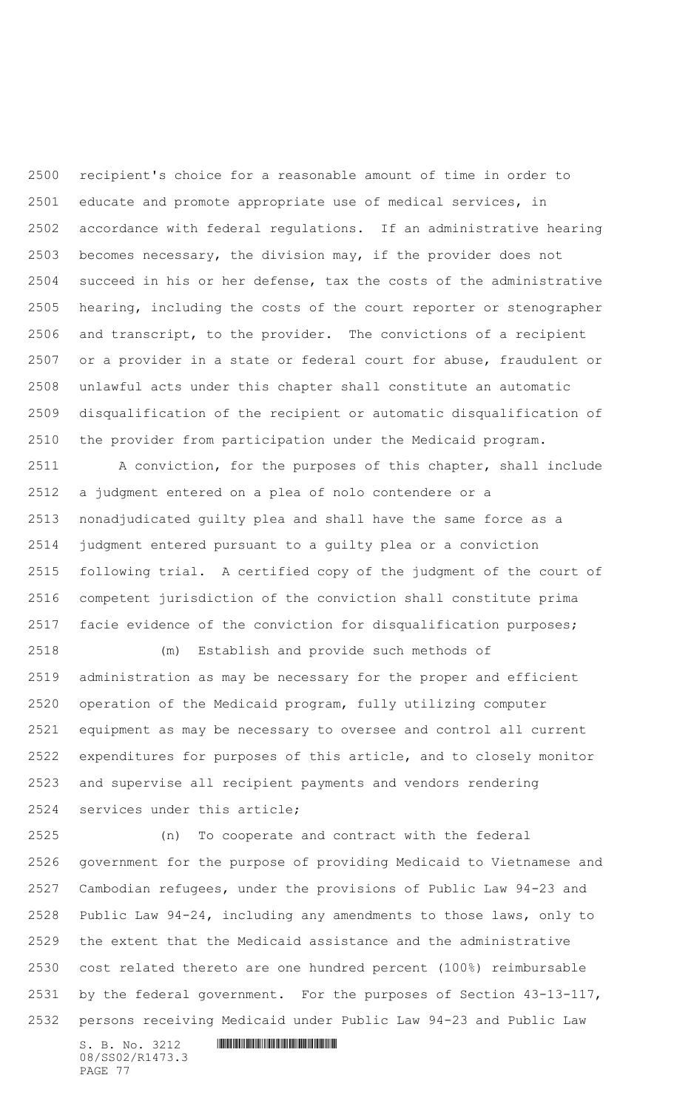recipient's choice for a reasonable amount of time in order to educate and promote appropriate use of medical services, in accordance with federal regulations. If an administrative hearing becomes necessary, the division may, if the provider does not succeed in his or her defense, tax the costs of the administrative hearing, including the costs of the court reporter or stenographer and transcript, to the provider. The convictions of a recipient or a provider in a state or federal court for abuse, fraudulent or unlawful acts under this chapter shall constitute an automatic disqualification of the recipient or automatic disqualification of the provider from participation under the Medicaid program.

 A conviction, for the purposes of this chapter, shall include a judgment entered on a plea of nolo contendere or a nonadjudicated guilty plea and shall have the same force as a judgment entered pursuant to a guilty plea or a conviction following trial. A certified copy of the judgment of the court of competent jurisdiction of the conviction shall constitute prima facie evidence of the conviction for disqualification purposes;

 (m) Establish and provide such methods of administration as may be necessary for the proper and efficient operation of the Medicaid program, fully utilizing computer equipment as may be necessary to oversee and control all current expenditures for purposes of this article, and to closely monitor and supervise all recipient payments and vendors rendering services under this article;

 (n) To cooperate and contract with the federal government for the purpose of providing Medicaid to Vietnamese and Cambodian refugees, under the provisions of Public Law 94-23 and Public Law 94-24, including any amendments to those laws, only to the extent that the Medicaid assistance and the administrative cost related thereto are one hundred percent (100%) reimbursable by the federal government. For the purposes of Section 43-13-117, persons receiving Medicaid under Public Law 94-23 and Public Law

08/SS02/R1473.3 PAGE 77

 $S. B. No. 3212$  **INNIFICALLY AND ALL AND ALL AND ADDRESS**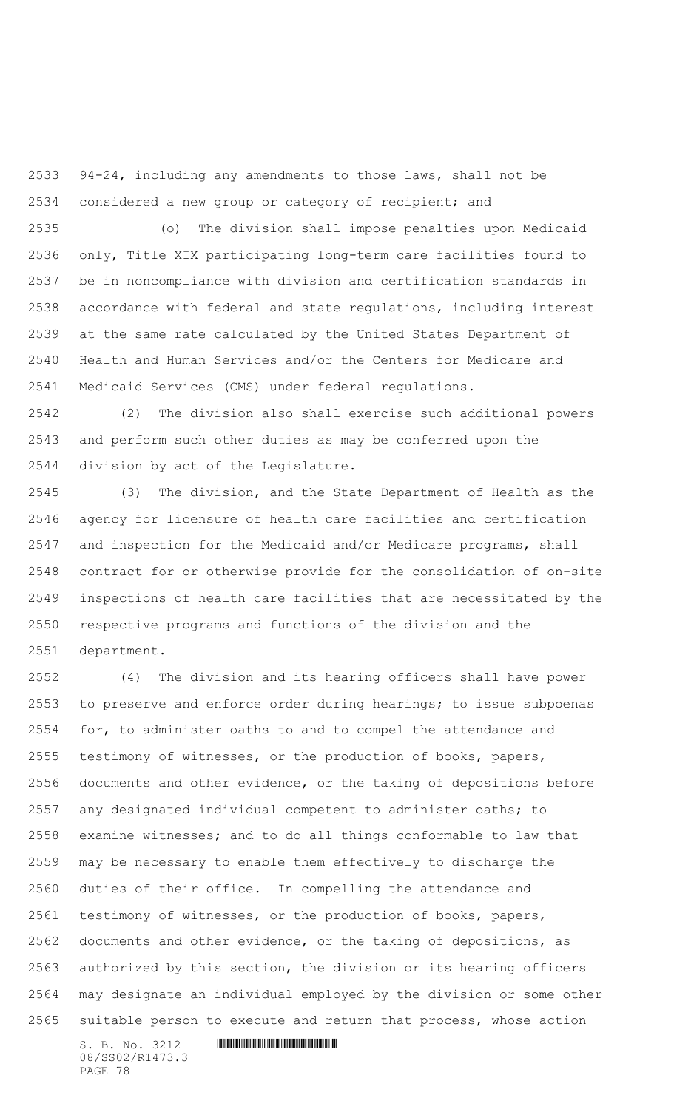94-24, including any amendments to those laws, shall not be considered a new group or category of recipient; and

 (o) The division shall impose penalties upon Medicaid only, Title XIX participating long-term care facilities found to be in noncompliance with division and certification standards in accordance with federal and state regulations, including interest at the same rate calculated by the United States Department of Health and Human Services and/or the Centers for Medicare and Medicaid Services (CMS) under federal regulations.

 (2) The division also shall exercise such additional powers and perform such other duties as may be conferred upon the division by act of the Legislature.

 (3) The division, and the State Department of Health as the agency for licensure of health care facilities and certification and inspection for the Medicaid and/or Medicare programs, shall contract for or otherwise provide for the consolidation of on-site inspections of health care facilities that are necessitated by the respective programs and functions of the division and the department.

 (4) The division and its hearing officers shall have power to preserve and enforce order during hearings; to issue subpoenas for, to administer oaths to and to compel the attendance and testimony of witnesses, or the production of books, papers, documents and other evidence, or the taking of depositions before any designated individual competent to administer oaths; to examine witnesses; and to do all things conformable to law that may be necessary to enable them effectively to discharge the duties of their office. In compelling the attendance and testimony of witnesses, or the production of books, papers, documents and other evidence, or the taking of depositions, as authorized by this section, the division or its hearing officers may designate an individual employed by the division or some other suitable person to execute and return that process, whose action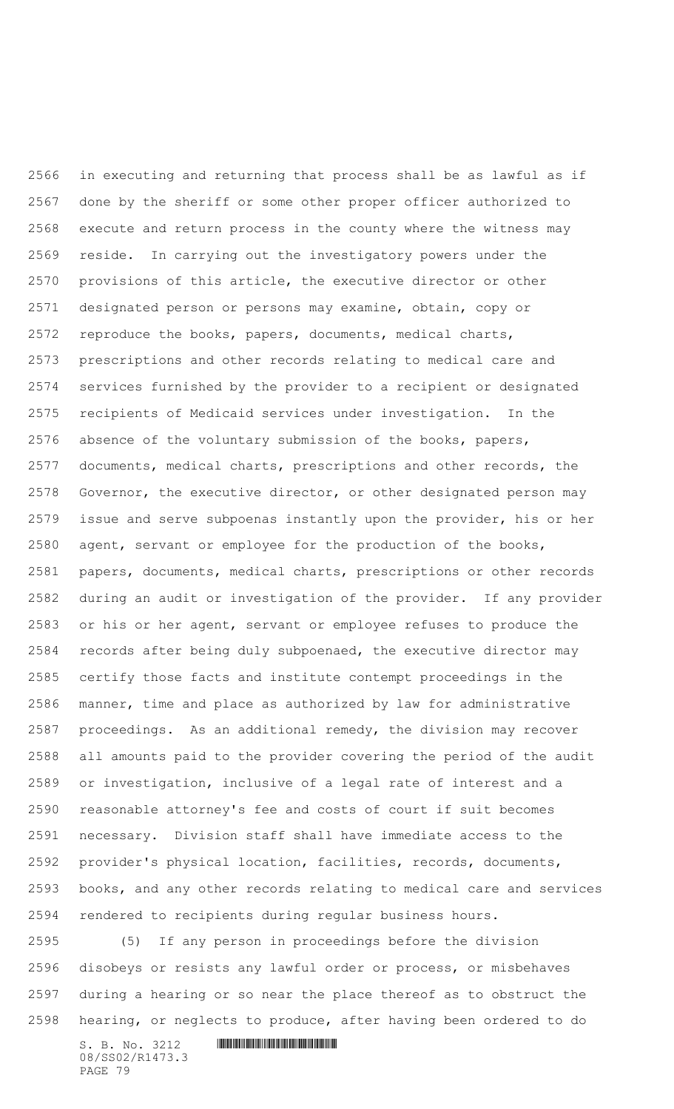in executing and returning that process shall be as lawful as if done by the sheriff or some other proper officer authorized to execute and return process in the county where the witness may reside. In carrying out the investigatory powers under the provisions of this article, the executive director or other designated person or persons may examine, obtain, copy or reproduce the books, papers, documents, medical charts, prescriptions and other records relating to medical care and services furnished by the provider to a recipient or designated recipients of Medicaid services under investigation. In the absence of the voluntary submission of the books, papers, documents, medical charts, prescriptions and other records, the 2578 Governor, the executive director, or other designated person may issue and serve subpoenas instantly upon the provider, his or her agent, servant or employee for the production of the books, papers, documents, medical charts, prescriptions or other records during an audit or investigation of the provider. If any provider or his or her agent, servant or employee refuses to produce the records after being duly subpoenaed, the executive director may certify those facts and institute contempt proceedings in the manner, time and place as authorized by law for administrative proceedings. As an additional remedy, the division may recover all amounts paid to the provider covering the period of the audit or investigation, inclusive of a legal rate of interest and a reasonable attorney's fee and costs of court if suit becomes necessary. Division staff shall have immediate access to the provider's physical location, facilities, records, documents, books, and any other records relating to medical care and services rendered to recipients during regular business hours.

 (5) If any person in proceedings before the division disobeys or resists any lawful order or process, or misbehaves during a hearing or so near the place thereof as to obstruct the hearing, or neglects to produce, after having been ordered to do

 $S. B. No. 3212$  **IN AND AND AND AND AND AND AND AND S** 08/SS02/R1473.3 PAGE 79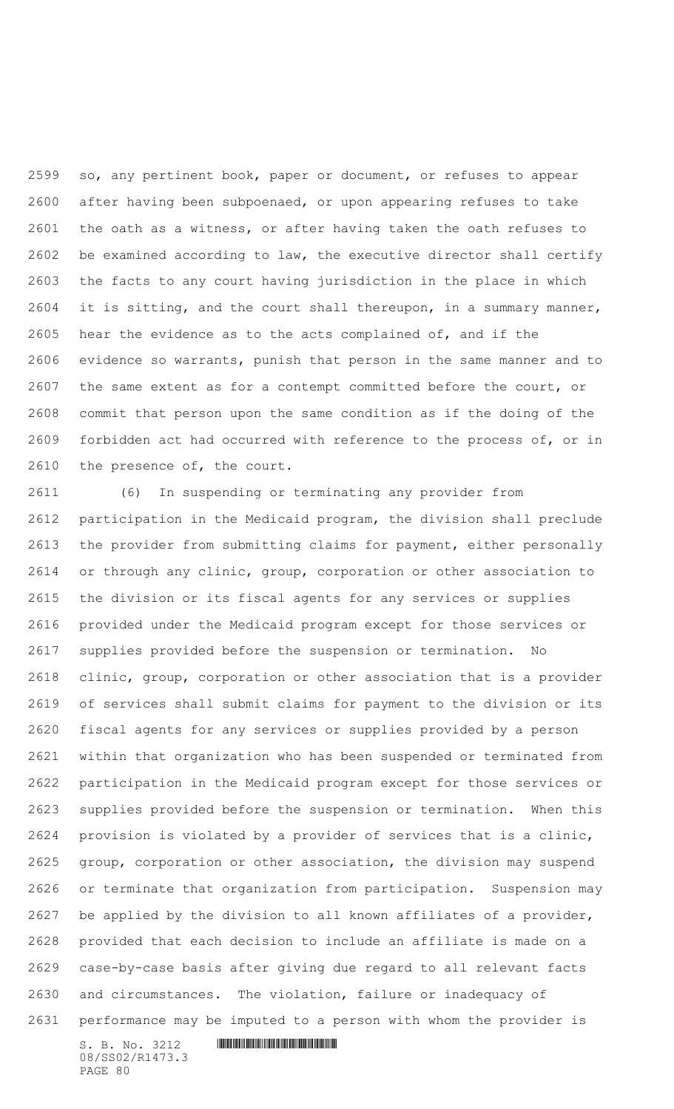so, any pertinent book, paper or document, or refuses to appear after having been subpoenaed, or upon appearing refuses to take the oath as a witness, or after having taken the oath refuses to be examined according to law, the executive director shall certify the facts to any court having jurisdiction in the place in which it is sitting, and the court shall thereupon, in a summary manner, hear the evidence as to the acts complained of, and if the evidence so warrants, punish that person in the same manner and to the same extent as for a contempt committed before the court, or commit that person upon the same condition as if the doing of the forbidden act had occurred with reference to the process of, or in the presence of, the court.

 (6) In suspending or terminating any provider from participation in the Medicaid program, the division shall preclude the provider from submitting claims for payment, either personally or through any clinic, group, corporation or other association to the division or its fiscal agents for any services or supplies provided under the Medicaid program except for those services or supplies provided before the suspension or termination. No clinic, group, corporation or other association that is a provider of services shall submit claims for payment to the division or its fiscal agents for any services or supplies provided by a person within that organization who has been suspended or terminated from participation in the Medicaid program except for those services or supplies provided before the suspension or termination. When this provision is violated by a provider of services that is a clinic, group, corporation or other association, the division may suspend or terminate that organization from participation. Suspension may be applied by the division to all known affiliates of a provider, provided that each decision to include an affiliate is made on a case-by-case basis after giving due regard to all relevant facts and circumstances. The violation, failure or inadequacy of performance may be imputed to a person with whom the provider is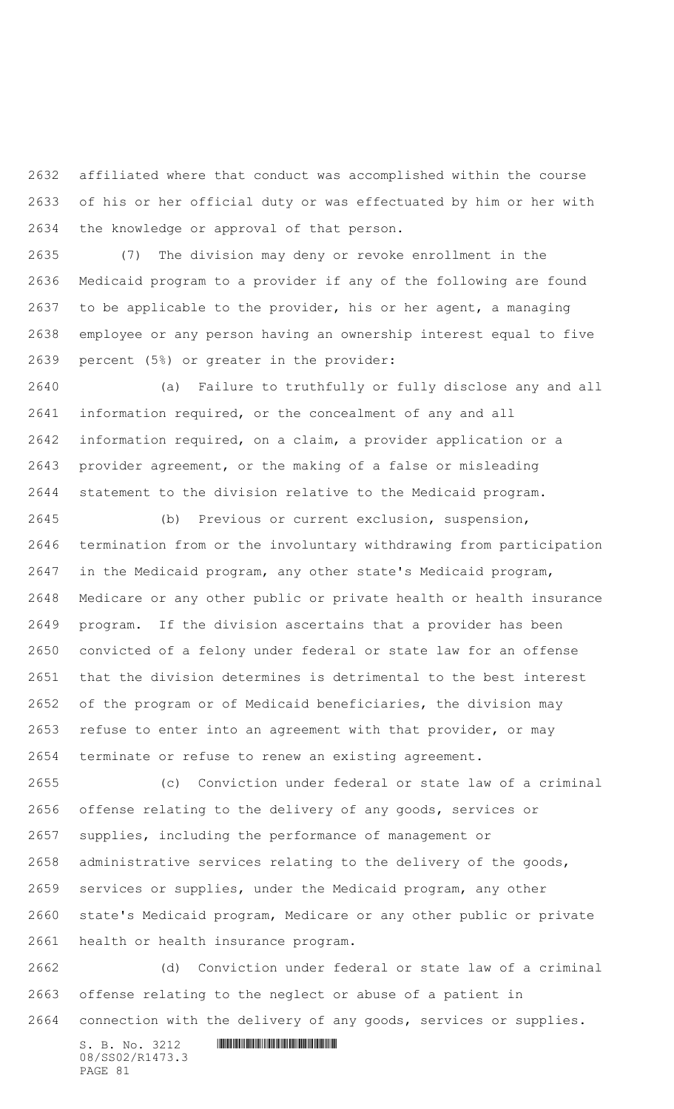affiliated where that conduct was accomplished within the course of his or her official duty or was effectuated by him or her with the knowledge or approval of that person.

 (7) The division may deny or revoke enrollment in the Medicaid program to a provider if any of the following are found to be applicable to the provider, his or her agent, a managing employee or any person having an ownership interest equal to five percent (5%) or greater in the provider:

 (a) Failure to truthfully or fully disclose any and all information required, or the concealment of any and all information required, on a claim, a provider application or a provider agreement, or the making of a false or misleading statement to the division relative to the Medicaid program.

 (b) Previous or current exclusion, suspension, termination from or the involuntary withdrawing from participation in the Medicaid program, any other state's Medicaid program, Medicare or any other public or private health or health insurance program. If the division ascertains that a provider has been convicted of a felony under federal or state law for an offense that the division determines is detrimental to the best interest of the program or of Medicaid beneficiaries, the division may refuse to enter into an agreement with that provider, or may terminate or refuse to renew an existing agreement.

 (c) Conviction under federal or state law of a criminal offense relating to the delivery of any goods, services or supplies, including the performance of management or administrative services relating to the delivery of the goods, services or supplies, under the Medicaid program, any other state's Medicaid program, Medicare or any other public or private health or health insurance program.

 (d) Conviction under federal or state law of a criminal offense relating to the neglect or abuse of a patient in connection with the delivery of any goods, services or supplies.

 $S. B. No. 3212$  **IN ALGEBRAY FOR A SET AND A SET AND A** SET AND **RESPONDED A SET AND A** 08/SS02/R1473.3 PAGE 81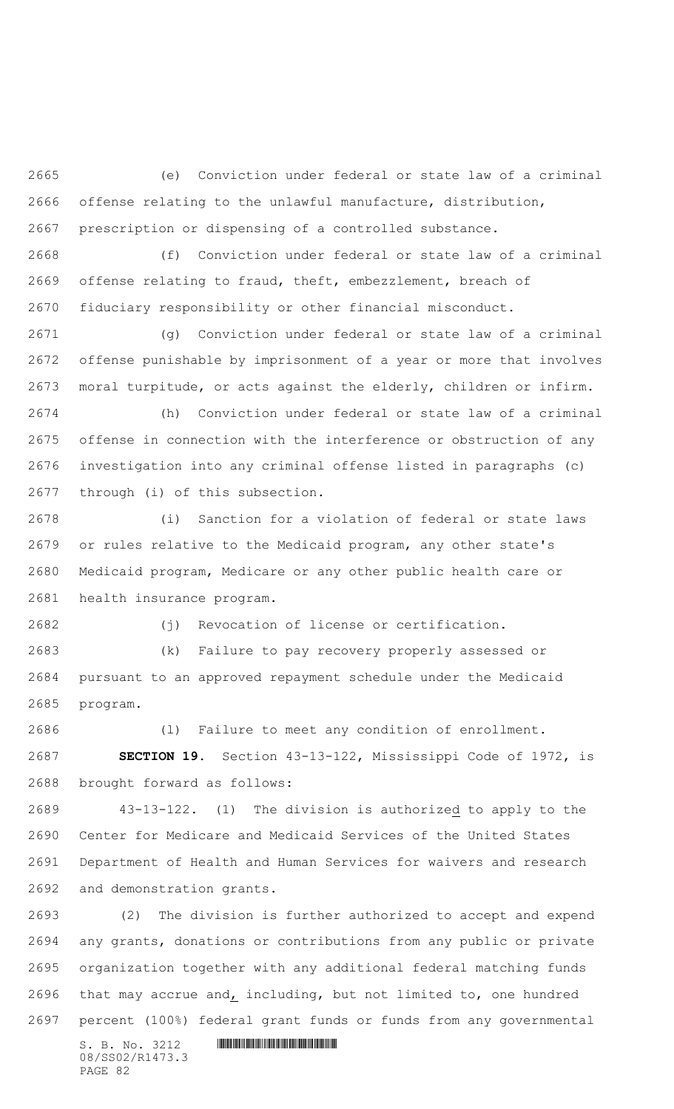(e) Conviction under federal or state law of a criminal offense relating to the unlawful manufacture, distribution, prescription or dispensing of a controlled substance.

 (f) Conviction under federal or state law of a criminal offense relating to fraud, theft, embezzlement, breach of fiduciary responsibility or other financial misconduct.

 (g) Conviction under federal or state law of a criminal offense punishable by imprisonment of a year or more that involves moral turpitude, or acts against the elderly, children or infirm.

 (h) Conviction under federal or state law of a criminal offense in connection with the interference or obstruction of any investigation into any criminal offense listed in paragraphs (c) through (i) of this subsection.

 (i) Sanction for a violation of federal or state laws or rules relative to the Medicaid program, any other state's Medicaid program, Medicare or any other public health care or health insurance program.

(j) Revocation of license or certification.

 (k) Failure to pay recovery properly assessed or pursuant to an approved repayment schedule under the Medicaid program.

 (l) Failure to meet any condition of enrollment. **SECTION 19.** Section 43-13-122, Mississippi Code of 1972, is brought forward as follows:

 43-13-122.(1) The division is authorized to apply to the Center for Medicare and Medicaid Services of the United States Department of Health and Human Services for waivers and research and demonstration grants.

 (2) The division is further authorized to accept and expend any grants, donations or contributions from any public or private organization together with any additional federal matching funds 2696 that may accrue and, including, but not limited to, one hundred percent (100%) federal grant funds or funds from any governmental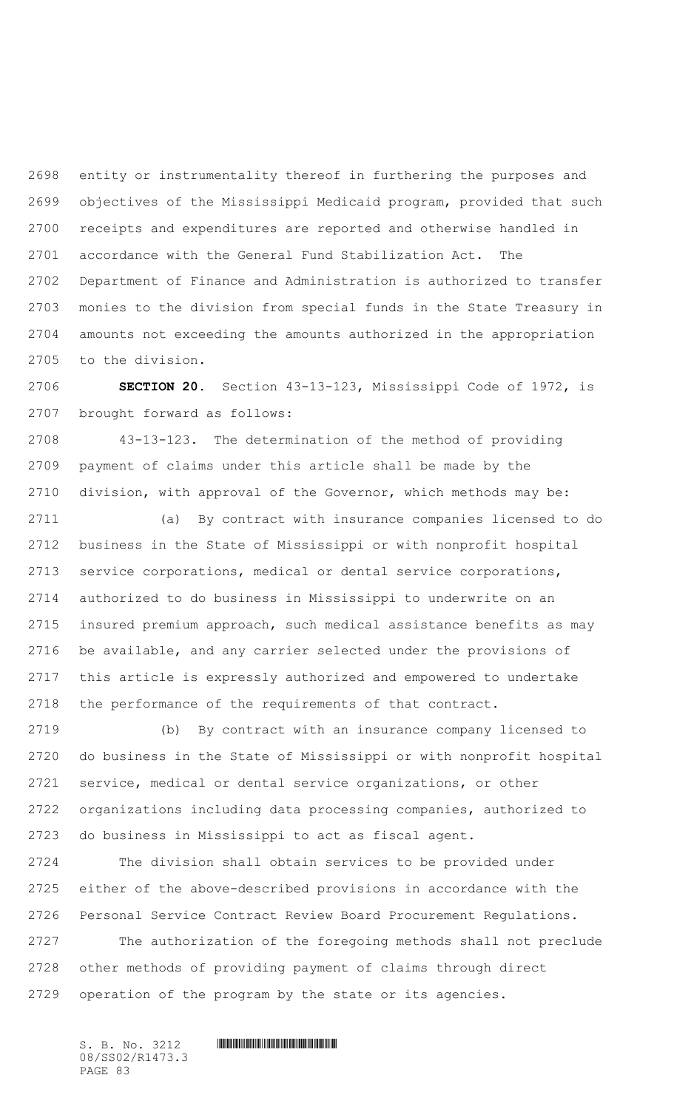entity or instrumentality thereof in furthering the purposes and objectives of the Mississippi Medicaid program, provided that such receipts and expenditures are reported and otherwise handled in accordance with the General Fund Stabilization Act. The Department of Finance and Administration is authorized to transfer monies to the division from special funds in the State Treasury in amounts not exceeding the amounts authorized in the appropriation to the division.

 **SECTION 20.** Section 43-13-123, Mississippi Code of 1972, is brought forward as follows:

 43-13-123. The determination of the method of providing payment of claims under this article shall be made by the division, with approval of the Governor, which methods may be:

 (a) By contract with insurance companies licensed to do business in the State of Mississippi or with nonprofit hospital service corporations, medical or dental service corporations, authorized to do business in Mississippi to underwrite on an insured premium approach, such medical assistance benefits as may be available, and any carrier selected under the provisions of this article is expressly authorized and empowered to undertake the performance of the requirements of that contract.

 (b) By contract with an insurance company licensed to do business in the State of Mississippi or with nonprofit hospital service, medical or dental service organizations, or other organizations including data processing companies, authorized to do business in Mississippi to act as fiscal agent.

 The division shall obtain services to be provided under either of the above-described provisions in accordance with the Personal Service Contract Review Board Procurement Regulations.

 The authorization of the foregoing methods shall not preclude other methods of providing payment of claims through direct operation of the program by the state or its agencies.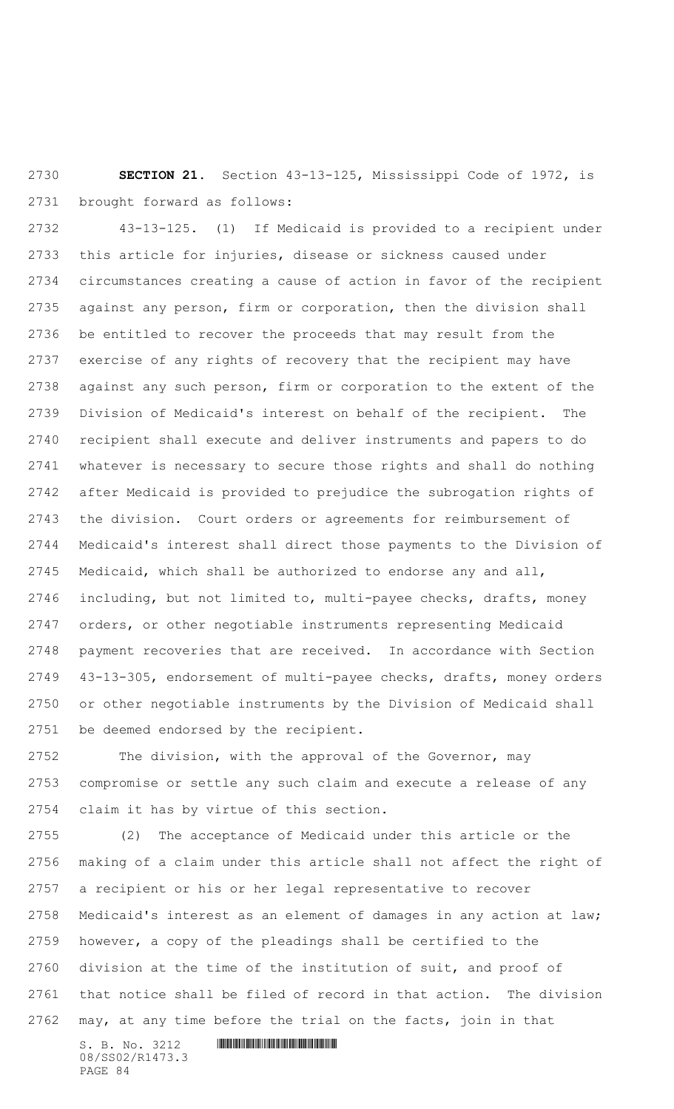**SECTION 21.** Section 43-13-125, Mississippi Code of 1972, is brought forward as follows:

 43-13-125. (1) If Medicaid is provided to a recipient under this article for injuries, disease or sickness caused under circumstances creating a cause of action in favor of the recipient against any person, firm or corporation, then the division shall be entitled to recover the proceeds that may result from the exercise of any rights of recovery that the recipient may have against any such person, firm or corporation to the extent of the Division of Medicaid's interest on behalf of the recipient. The recipient shall execute and deliver instruments and papers to do whatever is necessary to secure those rights and shall do nothing after Medicaid is provided to prejudice the subrogation rights of the division. Court orders or agreements for reimbursement of Medicaid's interest shall direct those payments to the Division of Medicaid, which shall be authorized to endorse any and all, including, but not limited to, multi-payee checks, drafts, money orders, or other negotiable instruments representing Medicaid payment recoveries that are received. In accordance with Section 43-13-305, endorsement of multi-payee checks, drafts, money orders or other negotiable instruments by the Division of Medicaid shall be deemed endorsed by the recipient.

 The division, with the approval of the Governor, may compromise or settle any such claim and execute a release of any claim it has by virtue of this section.

 (2) The acceptance of Medicaid under this article or the making of a claim under this article shall not affect the right of a recipient or his or her legal representative to recover Medicaid's interest as an element of damages in any action at law; however, a copy of the pleadings shall be certified to the division at the time of the institution of suit, and proof of that notice shall be filed of record in that action. The division may, at any time before the trial on the facts, join in that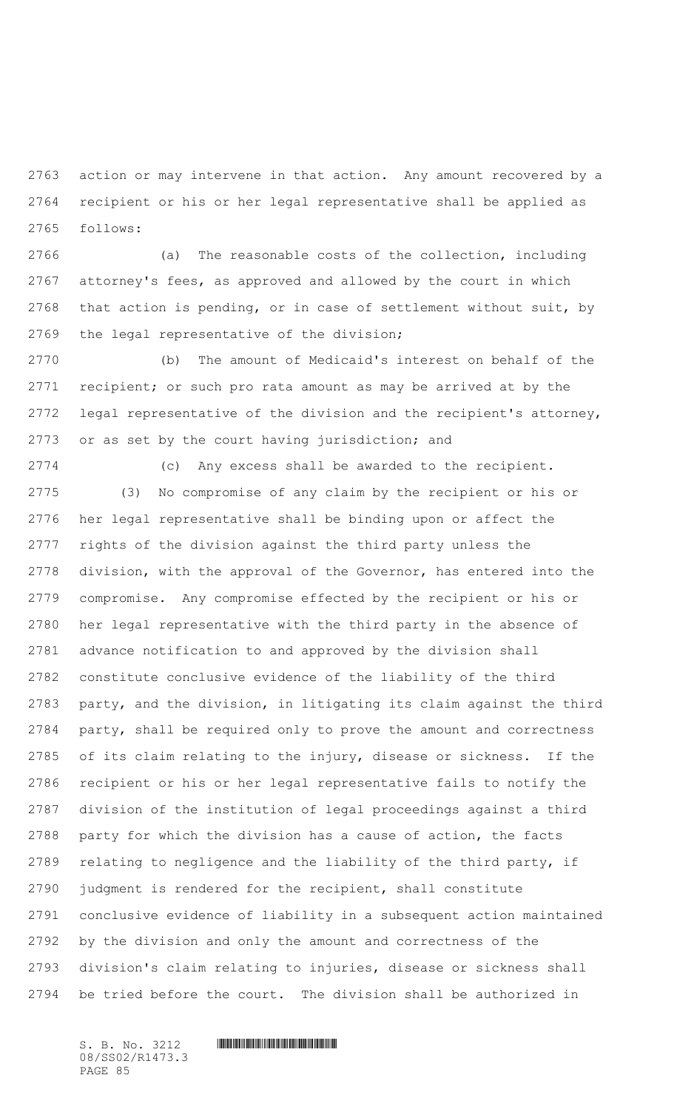action or may intervene in that action. Any amount recovered by a recipient or his or her legal representative shall be applied as follows:

 (a) The reasonable costs of the collection, including attorney's fees, as approved and allowed by the court in which that action is pending, or in case of settlement without suit, by the legal representative of the division;

 (b) The amount of Medicaid's interest on behalf of the recipient; or such pro rata amount as may be arrived at by the legal representative of the division and the recipient's attorney, or as set by the court having jurisdiction; and

 (c) Any excess shall be awarded to the recipient. (3) No compromise of any claim by the recipient or his or her legal representative shall be binding upon or affect the rights of the division against the third party unless the division, with the approval of the Governor, has entered into the compromise. Any compromise effected by the recipient or his or her legal representative with the third party in the absence of advance notification to and approved by the division shall constitute conclusive evidence of the liability of the third party, and the division, in litigating its claim against the third party, shall be required only to prove the amount and correctness of its claim relating to the injury, disease or sickness. If the recipient or his or her legal representative fails to notify the division of the institution of legal proceedings against a third party for which the division has a cause of action, the facts relating to negligence and the liability of the third party, if judgment is rendered for the recipient, shall constitute conclusive evidence of liability in a subsequent action maintained by the division and only the amount and correctness of the division's claim relating to injuries, disease or sickness shall be tried before the court. The division shall be authorized in

08/SS02/R1473.3 PAGE 85

## $S. B. No. 3212$  **INNIFICALLY AND ALL AND ALL AND ADDRESS**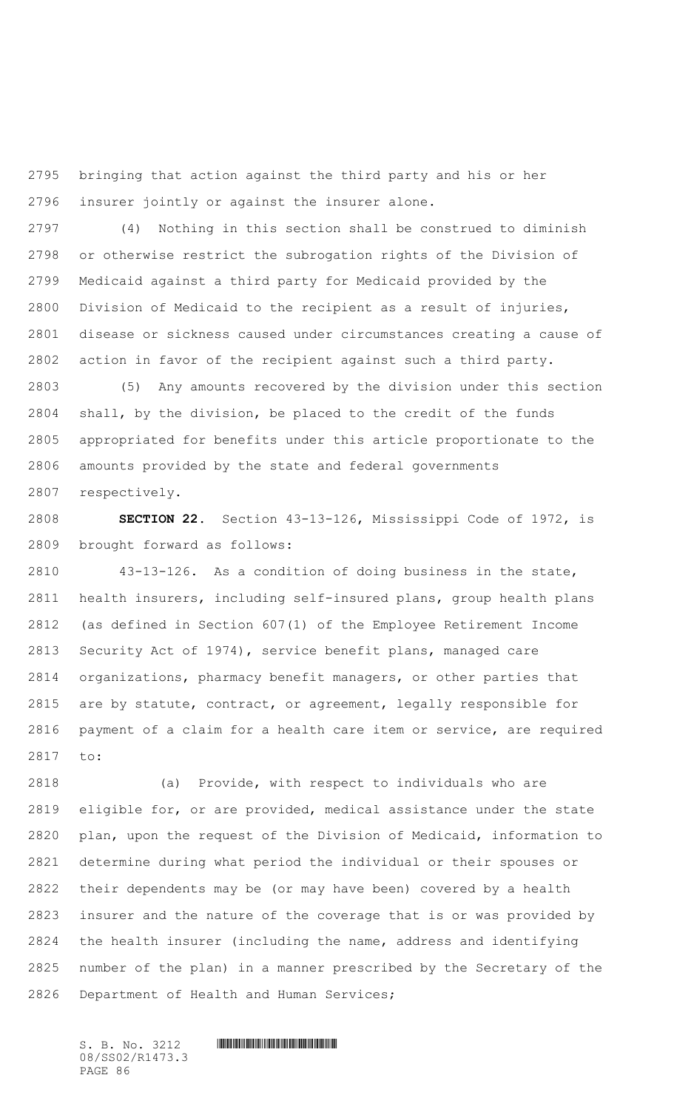bringing that action against the third party and his or her insurer jointly or against the insurer alone.

 (4) Nothing in this section shall be construed to diminish or otherwise restrict the subrogation rights of the Division of Medicaid against a third party for Medicaid provided by the Division of Medicaid to the recipient as a result of injuries, disease or sickness caused under circumstances creating a cause of action in favor of the recipient against such a third party.

 (5) Any amounts recovered by the division under this section shall, by the division, be placed to the credit of the funds appropriated for benefits under this article proportionate to the amounts provided by the state and federal governments respectively.

 **SECTION 22.** Section 43-13-126, Mississippi Code of 1972, is brought forward as follows:

 43-13-126. As a condition of doing business in the state, health insurers, including self-insured plans, group health plans (as defined in Section 607(1) of the Employee Retirement Income Security Act of 1974), service benefit plans, managed care organizations, pharmacy benefit managers, or other parties that are by statute, contract, or agreement, legally responsible for payment of a claim for a health care item or service, are required to:

 (a) Provide, with respect to individuals who are eligible for, or are provided, medical assistance under the state plan, upon the request of the Division of Medicaid, information to determine during what period the individual or their spouses or their dependents may be (or may have been) covered by a health insurer and the nature of the coverage that is or was provided by the health insurer (including the name, address and identifying number of the plan) in a manner prescribed by the Secretary of the Department of Health and Human Services;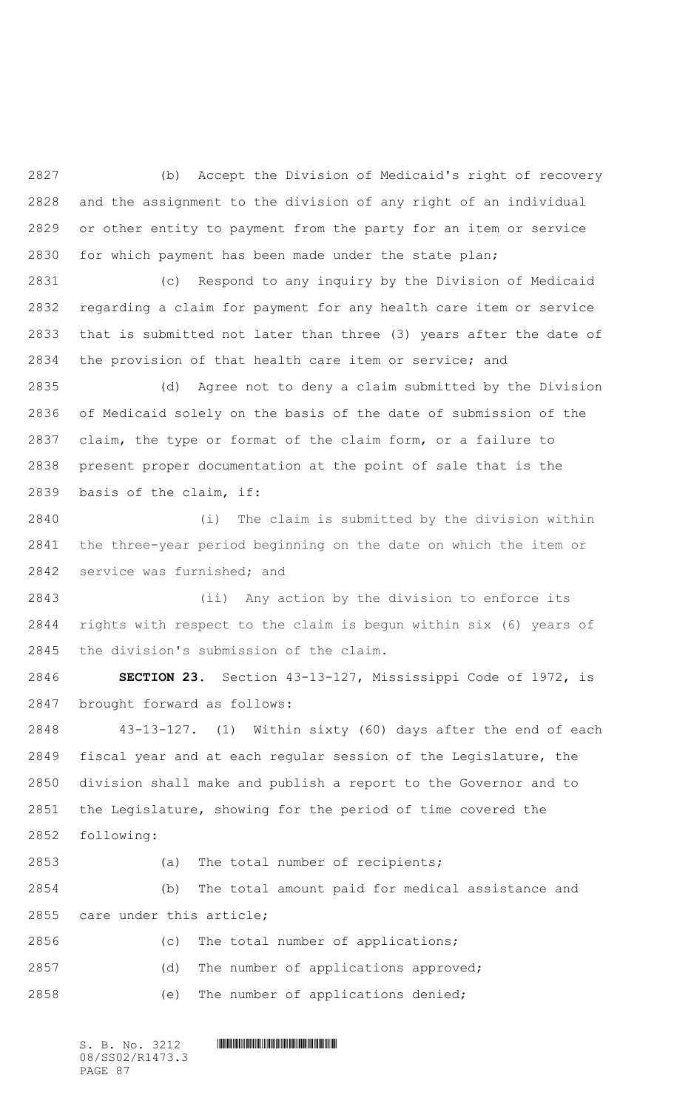(b) Accept the Division of Medicaid's right of recovery and the assignment to the division of any right of an individual or other entity to payment from the party for an item or service for which payment has been made under the state plan;

 (c) Respond to any inquiry by the Division of Medicaid regarding a claim for payment for any health care item or service that is submitted not later than three (3) years after the date of the provision of that health care item or service; and

 (d) Agree not to deny a claim submitted by the Division of Medicaid solely on the basis of the date of submission of the claim, the type or format of the claim form, or a failure to present proper documentation at the point of sale that is the basis of the claim, if:

 (i) The claim is submitted by the division within the three-year period beginning on the date on which the item or service was furnished; and

 (ii) Any action by the division to enforce its rights with respect to the claim is begun within six (6) years of the division's submission of the claim.

 **SECTION 23.** Section 43-13-127, Mississippi Code of 1972, is brought forward as follows:

 43-13-127. (1) Within sixty (60) days after the end of each fiscal year and at each regular session of the Legislature, the division shall make and publish a report to the Governor and to the Legislature, showing for the period of time covered the following:

 (a) The total number of recipients; (b) The total amount paid for medical assistance and care under this article; (c) The total number of applications; (d) The number of applications approved; (e) The number of applications denied;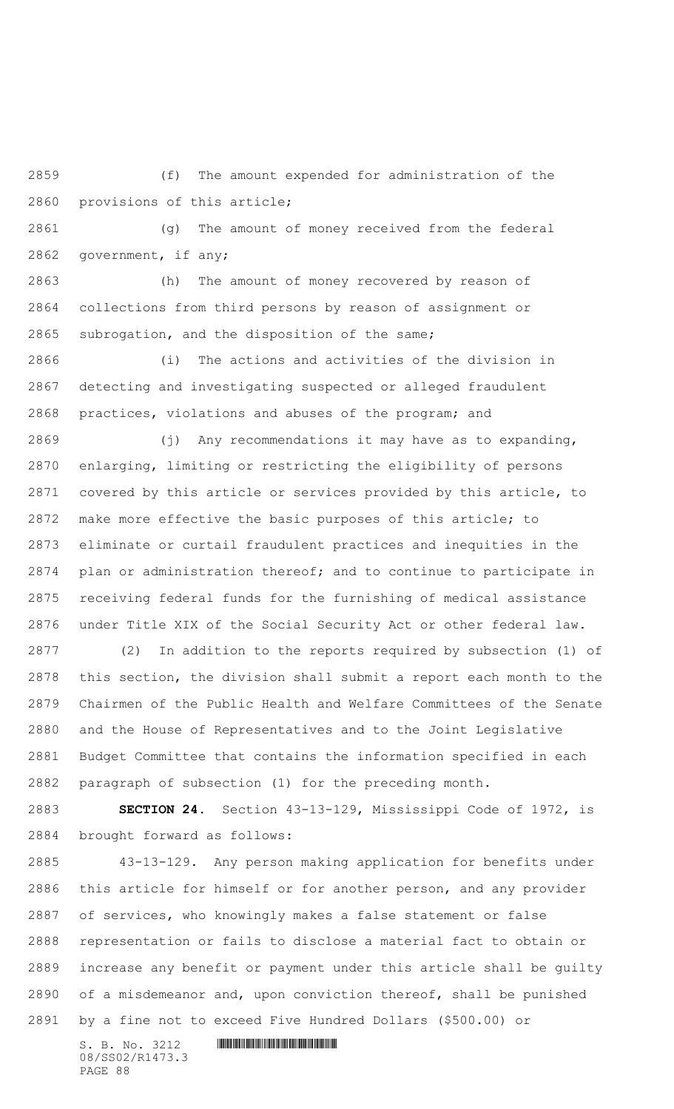(f) The amount expended for administration of the provisions of this article;

 (g) The amount of money received from the federal government, if any;

 (h) The amount of money recovered by reason of collections from third persons by reason of assignment or subrogation, and the disposition of the same;

 (i) The actions and activities of the division in detecting and investigating suspected or alleged fraudulent practices, violations and abuses of the program; and

 (j) Any recommendations it may have as to expanding, enlarging, limiting or restricting the eligibility of persons covered by this article or services provided by this article, to make more effective the basic purposes of this article; to eliminate or curtail fraudulent practices and inequities in the plan or administration thereof; and to continue to participate in receiving federal funds for the furnishing of medical assistance under Title XIX of the Social Security Act or other federal law.

 (2) In addition to the reports required by subsection (1) of this section, the division shall submit a report each month to the Chairmen of the Public Health and Welfare Committees of the Senate and the House of Representatives and to the Joint Legislative Budget Committee that contains the information specified in each paragraph of subsection (1) for the preceding month.

 **SECTION 24.** Section 43-13-129, Mississippi Code of 1972, is brought forward as follows:

 43-13-129. Any person making application for benefits under this article for himself or for another person, and any provider of services, who knowingly makes a false statement or false representation or fails to disclose a material fact to obtain or increase any benefit or payment under this article shall be guilty of a misdemeanor and, upon conviction thereof, shall be punished by a fine not to exceed Five Hundred Dollars (\$500.00) or

 $S. B. No. 3212$  **IN AND AND AND AND AND AND AND AND S** 08/SS02/R1473.3 PAGE 88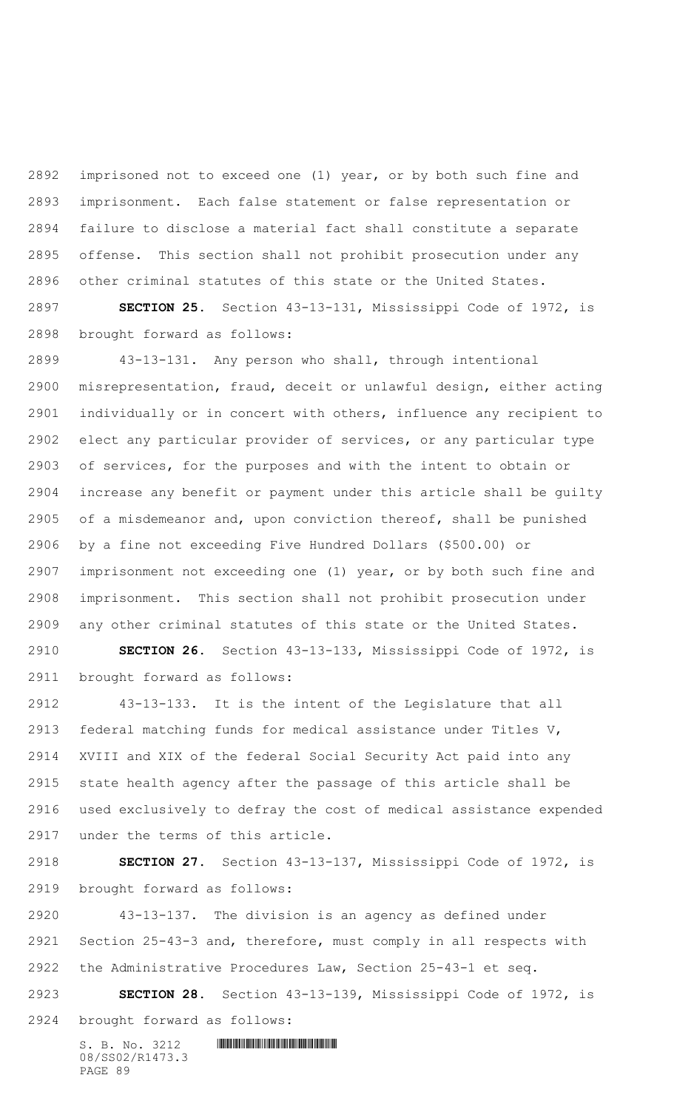imprisoned not to exceed one (1) year, or by both such fine and imprisonment. Each false statement or false representation or failure to disclose a material fact shall constitute a separate offense. This section shall not prohibit prosecution under any other criminal statutes of this state or the United States.

 **SECTION 25.** Section 43-13-131, Mississippi Code of 1972, is brought forward as follows:

 43-13-131. Any person who shall, through intentional misrepresentation, fraud, deceit or unlawful design, either acting individually or in concert with others, influence any recipient to elect any particular provider of services, or any particular type of services, for the purposes and with the intent to obtain or increase any benefit or payment under this article shall be guilty of a misdemeanor and, upon conviction thereof, shall be punished by a fine not exceeding Five Hundred Dollars (\$500.00) or imprisonment not exceeding one (1) year, or by both such fine and imprisonment. This section shall not prohibit prosecution under any other criminal statutes of this state or the United States.

 **SECTION 26.** Section 43-13-133, Mississippi Code of 1972, is brought forward as follows:

 43-13-133. It is the intent of the Legislature that all federal matching funds for medical assistance under Titles V, XVIII and XIX of the federal Social Security Act paid into any state health agency after the passage of this article shall be used exclusively to defray the cost of medical assistance expended under the terms of this article.

 **SECTION 27.** Section 43-13-137, Mississippi Code of 1972, is brought forward as follows:

 43-13-137. The division is an agency as defined under Section 25-43-3 and, therefore, must comply in all respects with the Administrative Procedures Law, Section 25-43-1 et seq.

 **SECTION 28.** Section 43-13-139, Mississippi Code of 1972, is brought forward as follows: